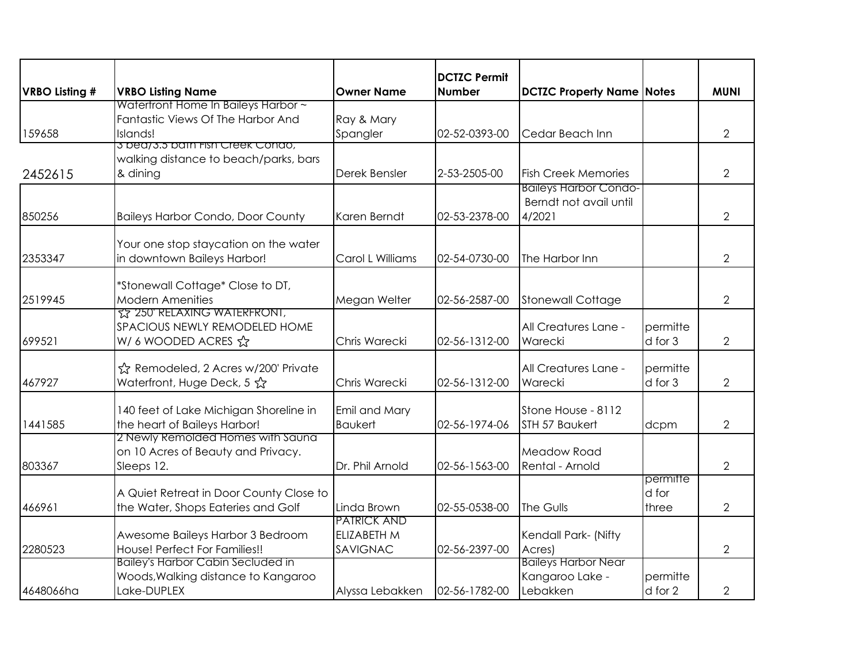|                |                                                                                                |                                               | <b>DCTZC Permit</b> |                                                                  |                            |                |
|----------------|------------------------------------------------------------------------------------------------|-----------------------------------------------|---------------------|------------------------------------------------------------------|----------------------------|----------------|
| VRBO Listing # | <b>VRBO Listing Name</b>                                                                       | <b>Owner Name</b>                             | <b>Number</b>       | <b>DCTZC Property Name Notes</b>                                 |                            | <b>MUNI</b>    |
| 159658         | Watertront Home In Baileys Harbor ~<br>Fantastic Views Of The Harbor And<br>Islands!           | Ray & Mary<br>Spangler                        | 02-52-0393-00       | Cedar Beach Inn                                                  |                            | $\overline{2}$ |
| 2452615        | 3 bea/3.5 bain Fish Creek Condo,<br>walking distance to beach/parks, bars<br>& dining          | Derek Bensler                                 | 2-53-2505-00        | <b>Fish Creek Memories</b>                                       |                            | $\overline{2}$ |
| 850256         | <b>Baileys Harbor Condo, Door County</b>                                                       | Karen Berndt                                  | 02-53-2378-00       | <b>Baileys Harbor Condo-</b><br>Berndt not avail until<br>4/2021 |                            | $\overline{2}$ |
| 2353347        | Your one stop staycation on the water<br>in downtown Baileys Harbor!                           | Carol L Williams                              | 02-54-0730-00       | The Harbor Inn                                                   |                            | $\overline{2}$ |
| 2519945        | *Stonewall Cottage* Close to DT,<br><b>Modern Amenities</b>                                    | Megan Welter                                  | 02-56-2587-00       | Stonewall Cottage                                                |                            | $\overline{2}$ |
| 699521         | <u>ና</u> ኔ 250' RELAXING WATERFRONT,<br>SPACIOUS NEWLY REMODELED HOME<br>W/ 6 WOODED ACRES ☆   | Chris Warecki                                 | 02-56-1312-00       | All Creatures Lane -<br>Warecki                                  | permitte<br>d for 3        | $\overline{2}$ |
| 467927         | ☆ Remodeled, 2 Acres w/200' Private<br>Waterfront, Huge Deck, 5 ☆                              | Chris Warecki                                 | 02-56-1312-00       | All Creatures Lane -<br>Warecki                                  | permitte<br>d for 3        | $\overline{2}$ |
| 1441585        | 140 feet of Lake Michigan Shoreline in<br>the heart of Baileys Harbor!                         | Emil and Mary<br><b>Baukert</b>               | 02-56-1974-06       | Stone House - 8112<br>STH 57 Baukert                             | dcpm                       | $\overline{2}$ |
| 803367         | 2 Newly Remolded Homes with Sauna<br>on 10 Acres of Beauty and Privacy.<br>Sleeps 12.          | Dr. Phil Arnold                               | 02-56-1563-00       | Meadow Road<br>Rental - Arnold                                   |                            | $\overline{2}$ |
| 466961         | A Quiet Retreat in Door County Close to<br>the Water, Shops Eateries and Golf                  | Linda Brown                                   | 02-55-0538-00       | The Gulls                                                        | permitte<br>d for<br>three | 2              |
| 2280523        | Awesome Baileys Harbor 3 Bedroom<br>House! Perfect For Families!!                              | PATRICK AND<br><b>ELIZABETH M</b><br>SAVIGNAC | 02-56-2397-00       | Kendall Park- (Nifty<br>Acres)                                   |                            | $\overline{2}$ |
| 4648066ha      | <b>Bailey's Harbor Cabin Secluded in</b><br>Woods, Walking distance to Kangaroo<br>Lake-DUPLEX | Alyssa Lebakken                               | 02-56-1782-00       | <b>Baileys Harbor Near</b><br>Kangaroo Lake -<br>Lebakken        | permitte<br>d for 2        | $\overline{2}$ |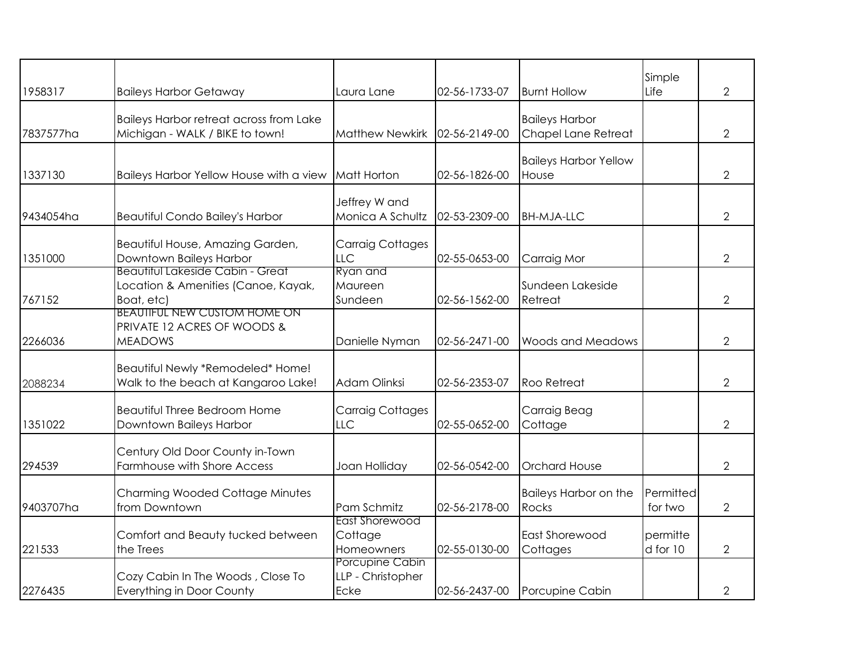|           |                                                                                              |                                              |               |                                              | Simple               |                |
|-----------|----------------------------------------------------------------------------------------------|----------------------------------------------|---------------|----------------------------------------------|----------------------|----------------|
| 1958317   | <b>Baileys Harbor Getaway</b>                                                                | Laura Lane                                   | 02-56-1733-07 | <b>Burnt Hollow</b>                          | Life                 | $\overline{2}$ |
| 7837577ha | <b>Baileys Harbor retreat across from Lake</b><br>Michigan - WALK / BIKE to town!            | <b>Matthew Newkirk</b>                       | 02-56-2149-00 | <b>Baileys Harbor</b><br>Chapel Lane Retreat |                      | $\overline{2}$ |
| 1337130   | Baileys Harbor Yellow House with a view                                                      | <b>Matt Horton</b>                           | 02-56-1826-00 | <b>Baileys Harbor Yellow</b><br>House        |                      | $\overline{2}$ |
| 9434054ha | <b>Beautiful Condo Bailey's Harbor</b>                                                       | Jeffrey W and<br>Monica A Schultz            | 02-53-2309-00 | <b>BH-MJA-LLC</b>                            |                      | $\overline{2}$ |
| 1351000   | Beautiful House, Amazing Garden,<br>Downtown Baileys Harbor                                  | <b>Carraig Cottages</b><br>LLC               | 02-55-0653-00 | Carraig Mor                                  |                      | $\overline{2}$ |
| 767152    | <b>Beautitul Lakeside Cabin - Great</b><br>Location & Amenities (Canoe, Kayak,<br>Boat, etc) | Ryan and<br>Maureen<br>Sundeen               | 02-56-1562-00 | Sundeen Lakeside<br>Retreat                  |                      | $\overline{2}$ |
| 2266036   | <b>BEAUTIFUL NEW CUSTOM HOME ON</b><br>PRIVATE 12 ACRES OF WOODS &<br><b>MEADOWS</b>         | Danielle Nyman                               | 02-56-2471-00 | <b>Woods and Meadows</b>                     |                      | $\overline{2}$ |
| 2088234   | Beautiful Newly *Remodeled* Home!<br>Walk to the beach at Kangaroo Lake!                     | Adam Olinksi                                 | 02-56-2353-07 | <b>Roo Retreat</b>                           |                      | $\overline{2}$ |
| 1351022   | <b>Beautiful Three Bedroom Home</b><br>Downtown Baileys Harbor                               | <b>Carraig Cottages</b><br>LLC               | 02-55-0652-00 | Carraig Beag<br>Cottage                      |                      | $\overline{2}$ |
| 294539    | Century Old Door County in-Town<br><b>Farmhouse with Shore Access</b>                        | Joan Holliday                                | 02-56-0542-00 | <b>Orchard House</b>                         |                      | $\overline{2}$ |
| 9403707ha | <b>Charming Wooded Cottage Minutes</b><br>from Downtown                                      | Pam Schmitz                                  | 02-56-2178-00 | <b>Baileys Harbor on the</b><br><b>Rocks</b> | Permitted<br>for two | 2              |
| 221533    | Comfort and Beauty tucked between<br>the Trees                                               | East Shorewood<br>Cottage<br>Homeowners      | 02-55-0130-00 | East Shorewood<br>Cottages                   | permitte<br>d for 10 | $\overline{2}$ |
| 2276435   | Cozy Cabin In The Woods, Close To<br><b>Everything in Door County</b>                        | Porcupine Cabin<br>LLP - Christopher<br>Ecke | 02-56-2437-00 | Porcupine Cabin                              |                      | $\overline{2}$ |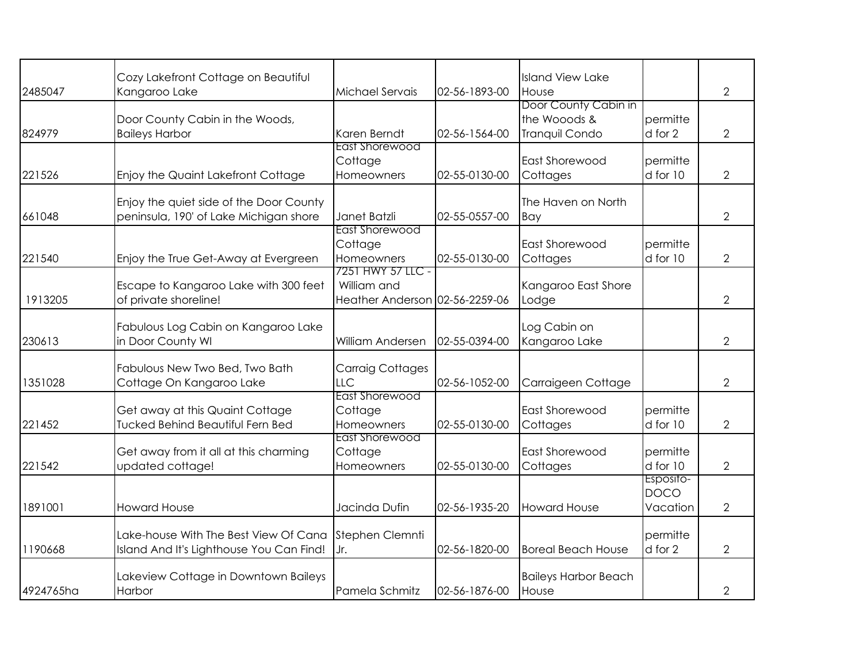|           | Cozy Lakefront Cottage on Beautiful                                               |                                                                    |               | <b>Island View Lake</b>                                |                                      |                |
|-----------|-----------------------------------------------------------------------------------|--------------------------------------------------------------------|---------------|--------------------------------------------------------|--------------------------------------|----------------|
| 2485047   | Kangaroo Lake                                                                     | Michael Servais                                                    | 02-56-1893-00 | House                                                  |                                      | $\overline{2}$ |
| 824979    | Door County Cabin in the Woods,<br><b>Baileys Harbor</b>                          | Karen Berndt                                                       | 02-56-1564-00 | Door County Cabin in<br>the Wooods &<br>Tranquil Condo | permitte<br>d for 2                  | $\overline{2}$ |
| 221526    | Enjoy the Quaint Lakefront Cottage                                                | East Shorewood<br>Cottage<br>Homeowners                            | 02-55-0130-00 | East Shorewood<br>Cottages                             | permitte<br>d for 10                 | $\overline{2}$ |
| 661048    | Enjoy the quiet side of the Door County<br>peninsula, 190' of Lake Michigan shore | Janet Batzli                                                       | 02-55-0557-00 | The Haven on North<br>Bay                              |                                      | $\overline{2}$ |
| 221540    | Enjoy the True Get-Away at Evergreen                                              | East Shorewood<br>Cottage<br>Homeowners                            | 02-55-0130-00 | East Shorewood<br>Cottages                             | permitte<br>d for 10                 | $\overline{2}$ |
| 1913205   | Escape to Kangaroo Lake with 300 feet<br>of private shoreline!                    | 7251 HWY 57 LLC -<br>William and<br>Heather Anderson 02-56-2259-06 |               | Kangaroo East Shore<br>Lodge                           |                                      | $\overline{2}$ |
| 230613    | Fabulous Log Cabin on Kangaroo Lake<br>in Door County WI                          | William Andersen                                                   | 02-55-0394-00 | Log Cabin on<br>Kangaroo Lake                          |                                      | $\overline{2}$ |
| 1351028   | Fabulous New Two Bed, Two Bath<br>Cottage On Kangaroo Lake                        | <b>Carraig Cottages</b><br>LLC                                     | 02-56-1052-00 | Carraigeen Cottage                                     |                                      | $\overline{2}$ |
| 221452    | Get away at this Quaint Cottage<br><b>Tucked Behind Beautiful Fern Bed</b>        | East Shorewood<br>Cottage<br>Homeowners                            | 02-55-0130-00 | <b>East Shorewood</b><br>Cottages                      | permitte<br>d for 10                 | $\overline{2}$ |
| 221542    | Get away from it all at this charming<br>updated cottage!                         | East Shorewood<br>Cottage<br>Homeowners                            | 02-55-0130-00 | East Shorewood<br>Cottages                             | permitte<br>d for 10                 | $\overline{2}$ |
| 1891001   | <b>Howard House</b>                                                               | Jacinda Dufin                                                      | 02-56-1935-20 | <b>Howard House</b>                                    | Esposito-<br><b>DOCO</b><br>Vacation | 2              |
| 1190668   | Lake-house With The Best View Of Cana<br>Island And It's Lighthouse You Can Find! | Stephen Clemnti<br>Jr.                                             | 02-56-1820-00 | <b>Boreal Beach House</b>                              | permitte<br>d for 2                  | $\overline{2}$ |
| 4924765ha | Lakeview Cottage in Downtown Baileys<br>Harbor                                    | Pamela Schmitz                                                     | 02-56-1876-00 | <b>Baileys Harbor Beach</b><br>House                   |                                      | 2              |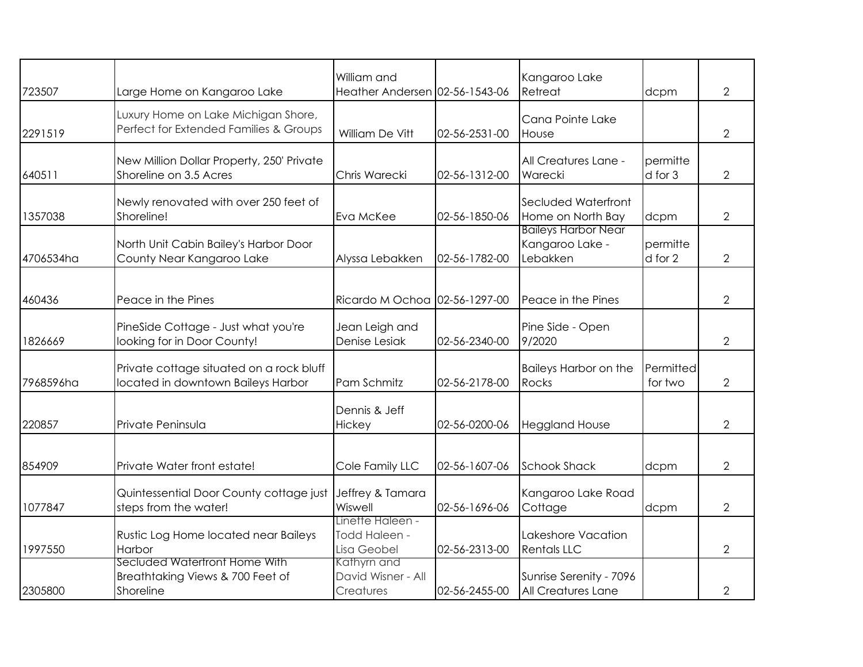| 723507    | Large Home on Kangaroo Lake                                                    | William and<br>Heather Andersen 02-56-1543-06    |               | Kangaroo Lake<br>Retreat                                  | dcpm                 | $\overline{2}$ |
|-----------|--------------------------------------------------------------------------------|--------------------------------------------------|---------------|-----------------------------------------------------------|----------------------|----------------|
| 2291519   | Luxury Home on Lake Michigan Shore,<br>Perfect for Extended Families & Groups  | William De Vitt                                  | 02-56-2531-00 | Cana Pointe Lake<br>House                                 |                      | $\overline{2}$ |
| 640511    | New Million Dollar Property, 250' Private<br>Shoreline on 3.5 Acres            | Chris Warecki                                    | 02-56-1312-00 | All Creatures Lane -<br>Warecki                           | permitte<br>d for 3  | $\overline{2}$ |
| 1357038   | Newly renovated with over 250 feet of<br>Shoreline!                            | Eva McKee                                        | 02-56-1850-06 | Secluded Waterfront<br>Home on North Bay                  | dcpm                 | $\overline{2}$ |
| 4706534ha | North Unit Cabin Bailey's Harbor Door<br>County Near Kangaroo Lake             | Alyssa Lebakken                                  | 02-56-1782-00 | <b>Baileys Harbor Near</b><br>Kangaroo Lake -<br>Lebakken | permitte<br>d for 2  | $\overline{2}$ |
| 460436    | Peace in the Pines                                                             | Ricardo M Ochoa 02-56-1297-00                    |               | Peace in the Pines                                        |                      | $\overline{2}$ |
| 1826669   | PineSide Cottage - Just what you're<br>looking for in Door County!             | Jean Leigh and<br>Denise Lesiak                  | 02-56-2340-00 | Pine Side - Open<br>9/2020                                |                      | $\overline{2}$ |
| 7968596ha | Private cottage situated on a rock bluff<br>located in downtown Baileys Harbor | Pam Schmitz                                      | 02-56-2178-00 | Baileys Harbor on the<br>Rocks                            | Permitted<br>for two | $\overline{2}$ |
| 220857    | Private Peninsula                                                              | Dennis & Jeff<br>Hickey                          | 02-56-0200-06 | <b>Heggland House</b>                                     |                      | $\overline{2}$ |
| 854909    | Private Water front estate!                                                    | Cole Family LLC                                  | 02-56-1607-06 | <b>Schook Shack</b>                                       | dcpm                 | $\overline{2}$ |
| 1077847   | Quintessential Door County cottage just<br>steps from the water!               | Jeffrey & Tamara<br>Wiswell                      | 02-56-1696-06 | Kangaroo Lake Road<br>Cottage                             | dcpm                 | $\overline{2}$ |
| 1997550   | Rustic Log Home located near Baileys<br>Harbor                                 | Linette Haleen -<br>Todd Haleen -<br>Lisa Geobel | 02-56-2313-00 | Lakeshore Vacation<br><b>Rentals LLC</b>                  |                      | $\overline{2}$ |
| 2305800   | Secluded Watertront Home With<br>Breathtaking Views & 700 Feet of<br>Shoreline | Kathyrn and<br>David Wisner - All<br>Creatures   | 02-56-2455-00 | Sunrise Serenity - 7096<br>All Creatures Lane             |                      | $\overline{2}$ |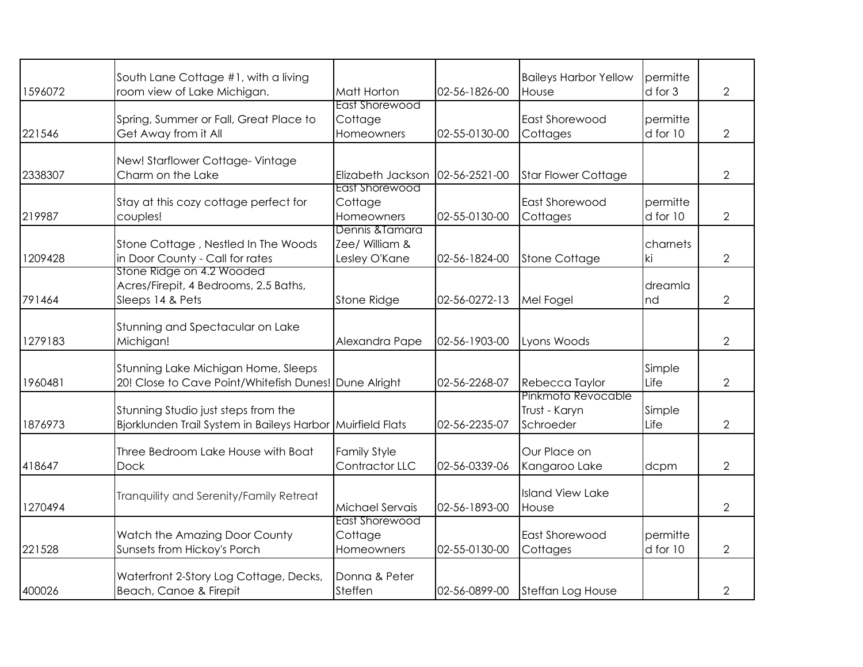| 1596072 | South Lane Cottage #1, with a living<br>room view of Lake Michigan.                               | Matt Horton                                        | 02-56-1826-00 | <b>Baileys Harbor Yellow</b><br>House            | permitte<br>d for 3  | $\overline{2}$ |
|---------|---------------------------------------------------------------------------------------------------|----------------------------------------------------|---------------|--------------------------------------------------|----------------------|----------------|
| 221546  | Spring, Summer or Fall, Great Place to<br>Get Away from it All                                    | <b>East Shorewood</b><br>Cottage<br>Homeowners     | 02-55-0130-00 | East Shorewood<br>Cottages                       | permitte<br>d for 10 | $\overline{2}$ |
| 2338307 | New! Starflower Cottage-Vintage<br>Charm on the Lake                                              | Elizabeth Jackson                                  | 02-56-2521-00 | <b>Star Flower Cottage</b>                       |                      | $\overline{2}$ |
| 219987  | Stay at this cozy cottage perfect for<br>couples!                                                 | East Shorewood<br>Cottage<br>Homeowners            | 02-55-0130-00 | East Shorewood<br>Cottages                       | permitte<br>d for 10 | $\overline{2}$ |
| 1209428 | Stone Cottage, Nestled In The Woods<br>in Door County - Call for rates                            | Dennis & Tamara<br>Zee/ William &<br>Lesley O'Kane | 02-56-1824-00 | <b>Stone Cottage</b>                             | charnets<br>ki       | $\overline{2}$ |
| 791464  | Stone Ridge on 4.2 Wooded<br>Acres/Firepit, 4 Bedrooms, 2.5 Baths,<br>Sleeps 14 & Pets            | <b>Stone Ridge</b>                                 | 02-56-0272-13 | Mel Fogel                                        | dreamla<br>nd        | $\overline{2}$ |
| 1279183 | Stunning and Spectacular on Lake<br>Michigan!                                                     | Alexandra Pape                                     | 02-56-1903-00 | Lyons Woods                                      |                      | $\overline{2}$ |
| 1960481 | Stunning Lake Michigan Home, Sleeps<br>20! Close to Cave Point/Whitefish Dunes! Dune Alright      |                                                    | 02-56-2268-07 | Rebecca Taylor                                   | Simple<br>Life       | $\overline{2}$ |
| 1876973 | Stunning Studio just steps from the<br>Bjorklunden Trail System in Baileys Harbor Muirfield Flats |                                                    | 02-56-2235-07 | Pinkmoto Revocable<br>Trust - Karyn<br>Schroeder | Simple<br>Life       | $\overline{2}$ |
| 418647  | Three Bedroom Lake House with Boat<br><b>Dock</b>                                                 | <b>Family Style</b><br>Contractor LLC              | 02-56-0339-06 | Our Place on<br>Kangaroo Lake                    | dcpm                 | $\overline{2}$ |
| 1270494 | Tranquility and Serenity/Family Retreat                                                           | Michael Servais                                    | 02-56-1893-00 | <b>Island View Lake</b><br>House                 |                      | $\overline{2}$ |
| 221528  | Watch the Amazing Door County<br>Sunsets from Hickoy's Porch                                      | East Shorewood<br>Cottage<br>Homeowners            | 02-55-0130-00 | <b>East Shorewood</b><br>Cottages                | permitte<br>d for 10 | $\overline{2}$ |
| 400026  | Waterfront 2-Story Log Cottage, Decks,<br>Beach, Canoe & Firepit                                  | Donna & Peter<br>Steffen                           | 02-56-0899-00 | Steffan Log House                                |                      | 2              |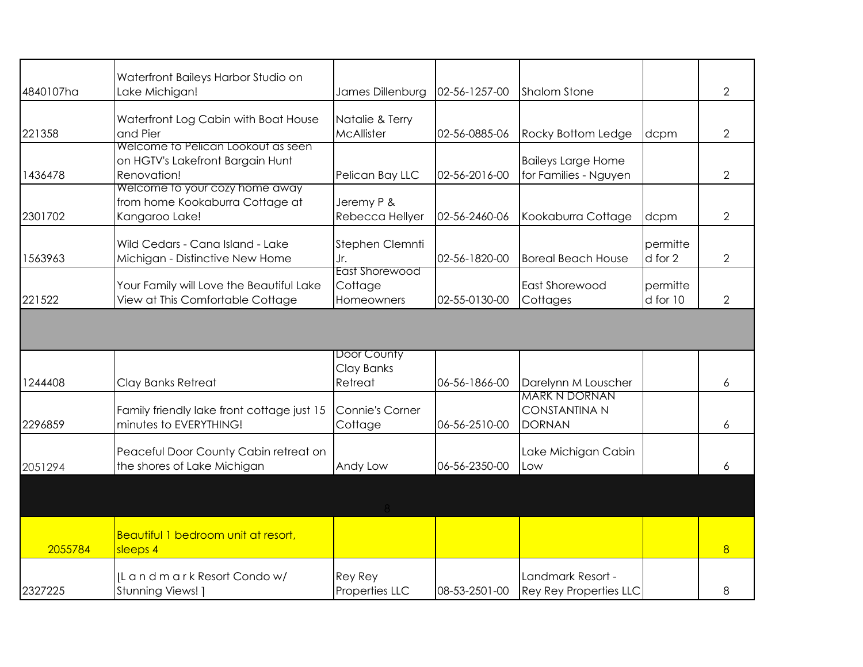| 4840107ha | Waterfront Baileys Harbor Studio on<br>Lake Michigan!                                 | James Dillenburg                               | 02-56-1257-00 | <b>Shalom Stone</b>                                           |                      | $\overline{2}$ |
|-----------|---------------------------------------------------------------------------------------|------------------------------------------------|---------------|---------------------------------------------------------------|----------------------|----------------|
| 221358    | Waterfront Log Cabin with Boat House<br>and Pier                                      | Natalie & Terry<br>McAllister                  | 02-56-0885-06 | Rocky Bottom Ledge                                            | dcpm                 | $\overline{2}$ |
| 1436478   | Welcome to Pelican Lookout as seen<br>on HGTV's Lakefront Bargain Hunt<br>Renovation! | Pelican Bay LLC                                | 02-56-2016-00 | <b>Baileys Large Home</b><br>for Families - Nguyen            |                      | $\overline{2}$ |
| 2301702   | Welcome to your cozy home away<br>from home Kookaburra Cottage at<br>Kangaroo Lake!   | Jeremy P &<br>Rebecca Hellyer                  | 02-56-2460-06 | Kookaburra Cottage                                            | dcpm                 | $\overline{2}$ |
| 1563963   | Wild Cedars - Cana Island - Lake<br>Michigan - Distinctive New Home                   | Stephen Clemnti<br>Jr.                         | 02-56-1820-00 | <b>Boreal Beach House</b>                                     | permitte<br>d for 2  | $\overline{2}$ |
| 221522    | Your Family will Love the Beautiful Lake<br>View at This Comfortable Cottage          | <b>East Shorewood</b><br>Cottage<br>Homeowners | 02-55-0130-00 | <b>East Shorewood</b><br>Cottages                             | permitte<br>d for 10 | 2              |
|           |                                                                                       |                                                |               |                                                               |                      |                |
| 1244408   | Clay Banks Retreat                                                                    | Door County<br>Clay Banks<br>Retreat           | 06-56-1866-00 | Darelynn M Louscher                                           |                      | 6              |
| 2296859   | Family friendly lake front cottage just 15<br>minutes to EVERYTHING!                  | <b>Connie's Corner</b><br>Cottage              | 06-56-2510-00 | <b>MARK N DORNAN</b><br><b>CONSTANTINA N</b><br><b>DORNAN</b> |                      | 6              |
| 2051294   | Peaceful Door County Cabin retreat on<br>the shores of Lake Michigan                  | Andy Low                                       | 06-56-2350-00 | Lake Michigan Cabin<br>Low                                    |                      | 6              |
|           |                                                                                       |                                                |               |                                                               |                      |                |
| 2055784   | Beautiful 1 bedroom unit at resort,<br>sleeps 4                                       |                                                |               |                                                               |                      | 8              |
| 2327225   | IL and mark Resort Condow/<br>Stunning Views! ]                                       | Rey Rey<br>Properties LLC                      | 08-53-2501-00 | Landmark Resort -<br><b>Rey Rey Properties LLC</b>            |                      | 8              |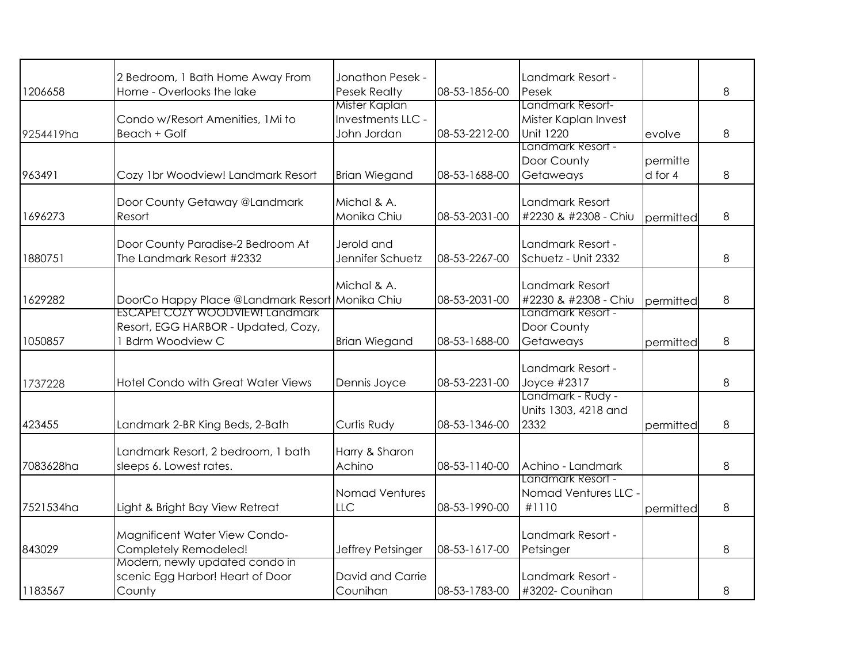|           | 2 Bedroom, 1 Bath Home Away From                        | Jonathon Pesek -     |               | Landmark Resort -    |           |   |
|-----------|---------------------------------------------------------|----------------------|---------------|----------------------|-----------|---|
| 1206658   | Home - Overlooks the lake                               | <b>Pesek Realty</b>  | 08-53-1856-00 | Pesek                |           | 8 |
|           |                                                         | <b>Mister Kaplan</b> |               | Landmark Resort-     |           |   |
|           | Condo w/Resort Amenities, 1Mi to                        | Investments LLC -    |               | Mister Kaplan Invest |           |   |
| 9254419ha | Beach + Golf                                            | John Jordan          | 08-53-2212-00 | <b>Unit 1220</b>     | evolve    | 8 |
|           |                                                         |                      |               | Landmark Resort -    |           |   |
|           |                                                         |                      |               | Door County          | permitte  |   |
| 963491    | Cozy 1br Woodview! Landmark Resort                      | <b>Brian Wiegand</b> | 08-53-1688-00 | Getaweays            | d for 4   | 8 |
|           | Door County Getaway @Landmark                           | Michal & A.          |               | Landmark Resort      |           |   |
| 1696273   | Resort                                                  | Monika Chiu          | 08-53-2031-00 | #2230 & #2308 - Chiu |           | 8 |
|           |                                                         |                      |               |                      | permitted |   |
|           | Door County Paradise-2 Bedroom At                       | Jerold and           |               | Landmark Resort -    |           |   |
| 1880751   | The Landmark Resort #2332                               | Jennifer Schuetz     | 08-53-2267-00 | Schuetz - Unit 2332  |           | 8 |
|           |                                                         |                      |               |                      |           |   |
|           |                                                         | Michal & A.          |               | Landmark Resort      |           |   |
| 1629282   | DoorCo Happy Place @Landmark Resort Monika Chiu         |                      | 08-53-2031-00 | #2230 & #2308 - Chiu | permitted | 8 |
|           | ESCAPE! COZY WOODVIEW! Landmark                         |                      |               | Landmark Resort -    |           |   |
|           | Resort, EGG HARBOR - Updated, Cozy,                     |                      |               | Door County          |           |   |
| 1050857   | 1 Bdrm Woodview C                                       | <b>Brian Wiegand</b> | 08-53-1688-00 | Getaweays            | permitted | 8 |
|           |                                                         |                      |               | Landmark Resort -    |           |   |
|           | <b>Hotel Condo with Great Water Views</b>               | Dennis Joyce         | 08-53-2231-00 | Joyce #2317          |           | 8 |
| 1737228   |                                                         |                      |               | Landmark - Rudy -    |           |   |
|           |                                                         |                      |               | Units 1303, 4218 and |           |   |
| 423455    | Landmark 2-BR King Beds, 2-Bath                         | Curtis Rudy          | 08-53-1346-00 | 2332                 | permitted | 8 |
|           |                                                         |                      |               |                      |           |   |
|           | Landmark Resort, 2 bedroom, 1 bath                      | Harry & Sharon       |               |                      |           |   |
| 7083628ha | sleeps 6. Lowest rates.                                 | Achino               | 08-53-1140-00 | Achino - Landmark    |           | 8 |
|           |                                                         |                      |               | Landmark Resort -    |           |   |
|           |                                                         | Nomad Ventures       |               | Nomad Ventures LLC   |           |   |
| 7521534ha | Light & Bright Bay View Retreat                         | LLC                  | 08-53-1990-00 | #1110                | permitted | 8 |
|           |                                                         |                      |               | Landmark Resort -    |           |   |
|           | Magnificent Water View Condo-                           |                      |               |                      |           | 8 |
| 843029    | Completely Remodeled!<br>Modern, newly updated condo in | Jeffrey Petsinger    | 08-53-1617-00 | Petsinger            |           |   |
|           | scenic Egg Harbor! Heart of Door                        | David and Carrie     |               | Landmark Resort -    |           |   |
| 1183567   | County                                                  | Counihan             | 08-53-1783-00 | #3202- Counihan      |           | 8 |
|           |                                                         |                      |               |                      |           |   |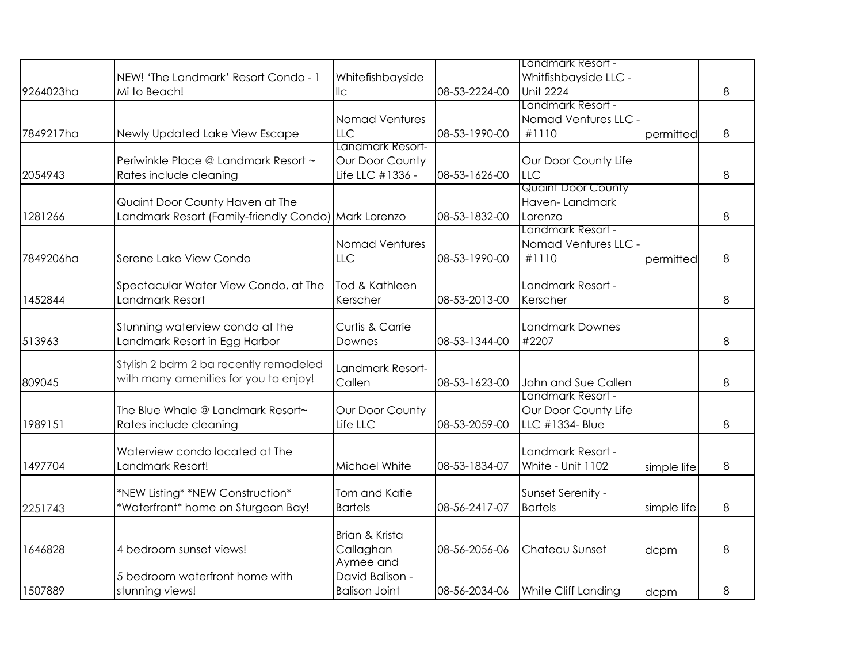|           |                                                      |                      |               | Landmark Resort -                   |             |   |
|-----------|------------------------------------------------------|----------------------|---------------|-------------------------------------|-------------|---|
|           | NEW! 'The Landmark' Resort Condo - 1                 | Whitefishbayside     |               | Whitfishbayside LLC -               |             |   |
| 9264023ha | Mi to Beach!                                         | $\parallel$ c        | 08-53-2224-00 | <b>Unit 2224</b>                    |             | 8 |
|           |                                                      |                      |               | Landmark Resort -                   |             |   |
|           |                                                      | Nomad Ventures       |               | Nomad Ventures LLC                  |             |   |
| 7849217ha | Newly Updated Lake View Escape                       | <b>LLC</b>           | 08-53-1990-00 | #1110                               | permitted   | 8 |
|           |                                                      | Landmark Resort-     |               |                                     |             |   |
|           | Periwinkle Place @ Landmark Resort ~                 | Our Door County      |               | Our Door County Life                |             |   |
| 2054943   | Rates include cleaning                               | Life LLC #1336 -     | 08-53-1626-00 | <b>LLC</b>                          |             | 8 |
|           |                                                      |                      |               | <b>Quaint Door County</b>           |             |   |
|           | Quaint Door County Haven at The                      |                      |               | Haven-Landmark                      |             |   |
| 1281266   | Landmark Resort (Family-friendly Condo) Mark Lorenzo |                      | 08-53-1832-00 | Lorenzo                             |             | 8 |
|           |                                                      |                      |               | Landmark Resort -                   |             |   |
|           |                                                      | Nomad Ventures       |               | Nomad Ventures LLC                  |             |   |
| 7849206ha | Serene Lake View Condo                               | LLC                  | 08-53-1990-00 | #1110                               | permitted   | 8 |
|           |                                                      |                      |               |                                     |             |   |
|           | Spectacular Water View Condo, at The                 | Tod & Kathleen       |               | Landmark Resort -                   |             |   |
| 1452844   | Landmark Resort                                      | Kerscher             | 08-53-2013-00 | Kerscher                            |             | 8 |
|           |                                                      |                      |               |                                     |             |   |
|           | Stunning waterview condo at the                      | Curtis & Carrie      |               | <b>Landmark Downes</b>              |             |   |
| 513963    | Landmark Resort in Egg Harbor                        | Downes               | 08-53-1344-00 | #2207                               |             | 8 |
|           | Stylish 2 bdrm 2 ba recently remodeled               |                      |               |                                     |             |   |
|           | with many amenities for you to enjoy!                | Landmark Resort-     |               |                                     |             |   |
| 809045    |                                                      | Callen               | 08-53-1623-00 | John and Sue Callen                 |             | 8 |
|           |                                                      |                      |               | Landmark Resort -                   |             |   |
|           | The Blue Whale @ Landmark Resort~                    | Our Door County      |               | Our Door County Life                |             |   |
| 1989151   | Rates include cleaning                               | Life LLC             | 08-53-2059-00 | LLC #1334- Blue                     |             | 8 |
|           |                                                      |                      |               |                                     |             |   |
|           | Waterview condo located at The                       |                      |               | Landmark Resort -                   |             |   |
| 1497704   | Landmark Resort!                                     | Michael White        | 08-53-1834-07 | White - Unit 1102                   | simple life | 8 |
|           |                                                      | Tom and Katie        |               |                                     |             |   |
|           | *NEW Listing* *NEW Construction*                     |                      | 08-56-2417-07 | Sunset Serenity -<br><b>Bartels</b> |             |   |
| 2251743   | *Waterfront* home on Sturgeon Bay!                   | <b>Bartels</b>       |               |                                     | simple life | 8 |
|           |                                                      | Brian & Krista       |               |                                     |             |   |
| 1646828   | 4 bedroom sunset views!                              | Callaghan            | 08-56-2056-06 | Chateau Sunset                      |             | 8 |
|           |                                                      | Aymee and            |               |                                     | dcpm        |   |
|           | 5 bedroom waterfront home with                       | David Balison -      |               |                                     |             |   |
| 1507889   | stunning views!                                      | <b>Balison Joint</b> | 08-56-2034-06 | White Cliff Landing                 |             | 8 |
|           |                                                      |                      |               |                                     | dcpm        |   |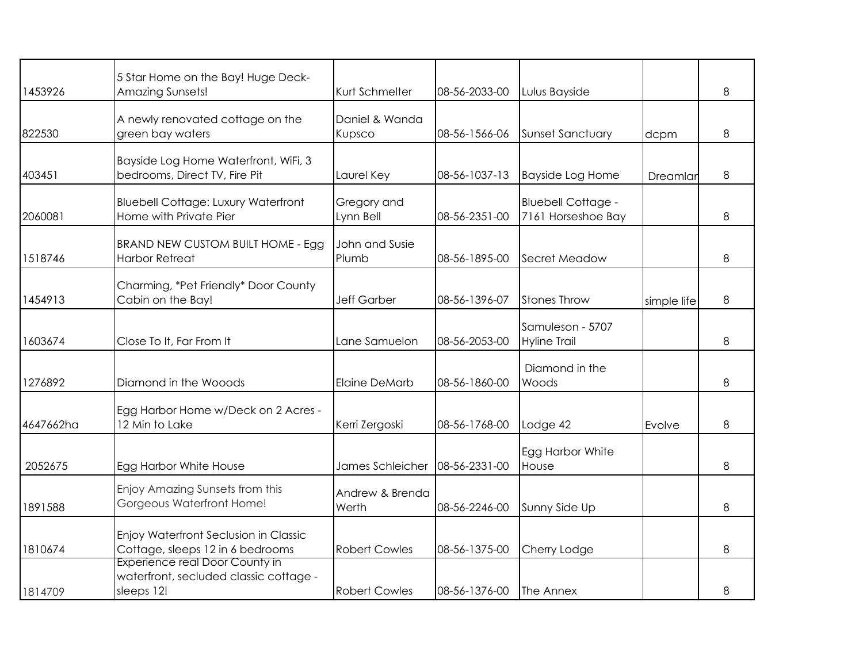| 1453926   | 5 Star Home on the Bay! Huge Deck-<br>Amazing Sunsets!                                        | Kurt Schmelter           | 08-56-2033-00 | Lulus Bayside                                   |             | 8 |
|-----------|-----------------------------------------------------------------------------------------------|--------------------------|---------------|-------------------------------------------------|-------------|---|
| 822530    | A newly renovated cottage on the<br>green bay waters                                          | Daniel & Wanda<br>Kupsco | 08-56-1566-06 | <b>Sunset Sanctuary</b>                         | dcpm        | 8 |
| 403451    | Bayside Log Home Waterfront, WiFi, 3<br>bedrooms, Direct TV, Fire Pit                         | Laurel Key               | 08-56-1037-13 | <b>Bayside Log Home</b>                         | Dreamlar    | 8 |
| 2060081   | <b>Bluebell Cottage: Luxury Waterfront</b><br>Home with Private Pier                          | Gregory and<br>Lynn Bell | 08-56-2351-00 | <b>Bluebell Cottage -</b><br>7161 Horseshoe Bay |             | 8 |
| 1518746   | BRAND NEW CUSTOM BUILT HOME - Egg<br><b>Harbor Retreat</b>                                    | John and Susie<br>Plumb  | 08-56-1895-00 | Secret Meadow                                   |             | 8 |
| 1454913   | Charming, *Pet Friendly* Door County<br>Cabin on the Bay!                                     | <b>Jeff Garber</b>       | 08-56-1396-07 | <b>Stones Throw</b>                             | simple life | 8 |
| 1603674   | Close To It, Far From It                                                                      | Lane Samuelon            | 08-56-2053-00 | Samuleson - 5707<br><b>Hyline Trail</b>         |             | 8 |
| 1276892   | Diamond in the Wooods                                                                         | <b>Elaine DeMarb</b>     | 08-56-1860-00 | Diamond in the<br>Woods                         |             | 8 |
| 4647662ha | Egg Harbor Home w/Deck on 2 Acres -<br>12 Min to Lake                                         | Kerri Zergoski           | 08-56-1768-00 | Lodge 42                                        | Evolve      | 8 |
| 2052675   | Egg Harbor White House                                                                        | James Schleicher         | 08-56-2331-00 | Egg Harbor White<br>House                       |             | 8 |
| 1891588   | Enjoy Amazing Sunsets from this<br>Gorgeous Waterfront Home!                                  | Andrew & Brenda<br>Werth | 08-56-2246-00 | Sunny Side Up                                   |             | 8 |
| 1810674   | Enjoy Waterfront Seclusion in Classic<br>Cottage, sleeps 12 in 6 bedrooms                     | <b>Robert Cowles</b>     | 08-56-1375-00 | Cherry Lodge                                    |             | 8 |
| 1814709   | <b>Experience real Door County in</b><br>waterfront, secluded classic cottage -<br>sleeps 12! | <b>Robert Cowles</b>     | 08-56-1376-00 | The Annex                                       |             | 8 |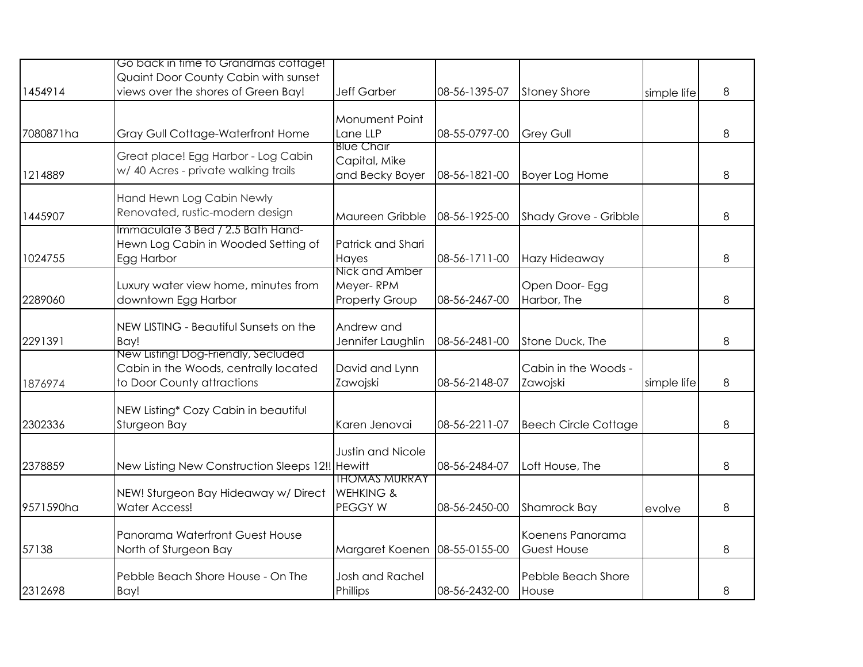|           | Go back in time to Grandmas cottage!                                        |                                    |               |                             |             |   |
|-----------|-----------------------------------------------------------------------------|------------------------------------|---------------|-----------------------------|-------------|---|
| 1454914   | Quaint Door County Cabin with sunset<br>views over the shores of Green Bay! | <b>Jeff Garber</b>                 | 08-56-1395-07 |                             |             | 8 |
|           |                                                                             |                                    |               | <b>Stoney Shore</b>         | simple life |   |
|           |                                                                             | Monument Point                     |               |                             |             |   |
| 7080871ha | Gray Gull Cottage-Waterfront Home                                           | Lane LLP                           | 08-55-0797-00 | <b>Grey Gull</b>            |             | 8 |
|           | Great place! Egg Harbor - Log Cabin                                         | <b>Blue Chair</b><br>Capital, Mike |               |                             |             |   |
| 1214889   | w/ 40 Acres - private walking trails                                        | and Becky Boyer                    | 08-56-1821-00 | Boyer Log Home              |             | 8 |
|           | Hand Hewn Log Cabin Newly                                                   |                                    |               |                             |             |   |
| 1445907   | Renovated, rustic-modern design                                             | Maureen Gribble                    | 08-56-1925-00 | Shady Grove - Gribble       |             | 8 |
|           | Immaculate 3 Bed / 2.5 Bath Hand-                                           |                                    |               |                             |             |   |
|           | Hewn Log Cabin in Wooded Setting of                                         | Patrick and Shari                  |               |                             |             |   |
| 1024755   | Egg Harbor                                                                  | Hayes<br>Nick and Amber            | 08-56-1711-00 | Hazy Hideaway               |             | 8 |
|           | Luxury water view home, minutes from                                        | Meyer-RPM                          |               | Open Door- Egg              |             |   |
| 2289060   | downtown Egg Harbor                                                         | <b>Property Group</b>              | 08-56-2467-00 | Harbor, The                 |             | 8 |
|           |                                                                             |                                    |               |                             |             |   |
| 2291391   | NEW LISTING - Beautiful Sunsets on the<br>Bay!                              | Andrew and                         | 08-56-2481-00 | Stone Duck, The             |             | 8 |
|           | New Listing! Dog-Friendly, Secluded                                         | Jennifer Laughlin                  |               |                             |             |   |
|           | Cabin in the Woods, centrally located                                       | David and Lynn                     |               | Cabin in the Woods -        |             |   |
| 1876974   | to Door County attractions                                                  | Zawojski                           | 08-56-2148-07 | Zawojski                    | simple life | 8 |
|           | NEW Listing* Cozy Cabin in beautiful                                        |                                    |               |                             |             |   |
| 2302336   | Sturgeon Bay                                                                | Karen Jenovai                      | 08-56-2211-07 | <b>Beech Circle Cottage</b> |             | 8 |
|           |                                                                             | <b>Justin and Nicole</b>           |               |                             |             |   |
| 2378859   | New Listing New Construction Sleeps 12!! Hewitt                             |                                    | 08-56-2484-07 | Loft House, The             |             | 8 |
|           |                                                                             | <b>THOMAS MURRAY</b>               |               |                             |             |   |
|           | NEW! Sturgeon Bay Hideaway w/ Direct                                        | <b>WEHKING &amp;</b>               |               |                             |             |   |
| 9571590ha | <b>Water Access!</b>                                                        | PEGGY W                            | 08-56-2450-00 | Shamrock Bay                | evolve      | 8 |
|           | Panorama Waterfront Guest House                                             |                                    |               | Koenens Panorama            |             |   |
| 57138     | North of Sturgeon Bay                                                       | Margaret Koenen                    | 08-55-0155-00 | <b>Guest House</b>          |             | 8 |
|           | Pebble Beach Shore House - On The                                           | <b>Josh and Rachel</b>             |               | Pebble Beach Shore          |             |   |
| 2312698   | Bay!                                                                        | Phillips                           | 08-56-2432-00 | House                       |             | 8 |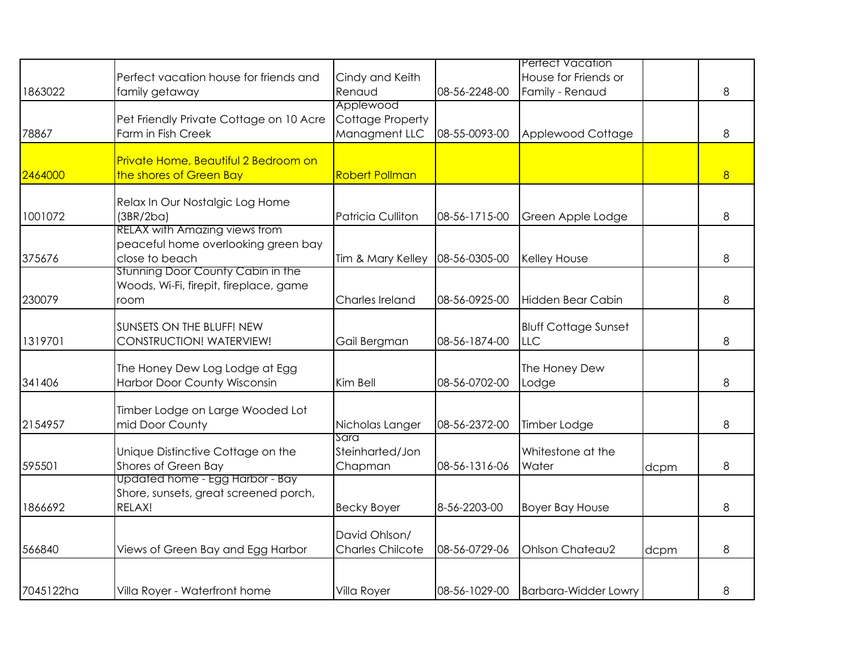|           |                                                        |                         |               | <b>Pertect Vacation</b>     |      |   |
|-----------|--------------------------------------------------------|-------------------------|---------------|-----------------------------|------|---|
|           |                                                        |                         |               |                             |      |   |
|           | Perfect vacation house for friends and                 | Cindy and Keith         |               | House for Friends or        |      |   |
| 1863022   | family getaway                                         | Renaud                  | 08-56-2248-00 | Family - Renaud             |      | 8 |
|           |                                                        | Applewood               |               |                             |      |   |
|           | Pet Friendly Private Cottage on 10 Acre                | <b>Cottage Property</b> |               |                             |      |   |
| 78867     | Farm in Fish Creek                                     | Managment LLC           | 08-55-0093-00 | Applewood Cottage           |      | 8 |
|           |                                                        |                         |               |                             |      |   |
|           | Private Home, Beautiful 2 Bedroom on                   |                         |               |                             |      |   |
| 2464000   | the shores of Green Bay                                | <b>Robert Pollman</b>   |               |                             |      | 8 |
|           | Relax In Our Nostalgic Log Home                        |                         |               |                             |      |   |
|           |                                                        |                         |               |                             |      |   |
| 1001072   | (3BR/2ba)                                              | Patricia Culliton       | 08-56-1715-00 | Green Apple Lodge           |      | 8 |
|           | <b>RELAX with Amazing views from</b>                   |                         |               |                             |      |   |
|           | peaceful home overlooking green bay                    |                         |               |                             |      |   |
| 375676    | close to beach<br>Stunning Door County Cabin in the    | Tim & Mary Kelley       | 08-56-0305-00 | Kelley House                |      | 8 |
|           |                                                        |                         |               |                             |      |   |
|           | Woods, Wi-Fi, firepit, fireplace, game                 |                         |               |                             |      |   |
| 230079    | room                                                   | Charles Ireland         | 08-56-0925-00 | Hidden Bear Cabin           |      | 8 |
|           |                                                        |                         |               |                             |      |   |
|           | SUNSETS ON THE BLUFF! NEW                              |                         |               | <b>Bluff Cottage Sunset</b> |      |   |
| 1319701   | CONSTRUCTION! WATERVIEW!                               | Gail Bergman            | 08-56-1874-00 | LLC                         |      | 8 |
|           |                                                        |                         |               |                             |      |   |
|           | The Honey Dew Log Lodge at Egg                         |                         |               | The Honey Dew               |      |   |
| 341406    | Harbor Door County Wisconsin                           | Kim Bell                | 08-56-0702-00 | Lodge                       |      | 8 |
|           |                                                        |                         |               |                             |      |   |
|           | Timber Lodge on Large Wooded Lot                       |                         |               |                             |      |   |
| 2154957   | mid Door County                                        | Nicholas Langer<br>Sara | 08-56-2372-00 | Timber Lodge                |      | 8 |
|           |                                                        |                         |               |                             |      |   |
|           | Unique Distinctive Cottage on the                      | Steinharted/Jon         |               | Whitestone at the           |      |   |
| 595501    | Shores of Green Bay<br>Updated home - Egg Harbor - Bay | Chapman                 | 08-56-1316-06 | Water                       | dcpm | 8 |
|           |                                                        |                         |               |                             |      |   |
|           | Shore, sunsets, great screened porch,                  |                         |               |                             |      |   |
| 1866692   | RELAX!                                                 | <b>Becky Boyer</b>      | 8-56-2203-00  | <b>Boyer Bay House</b>      |      | 8 |
|           |                                                        | David Ohlson/           |               |                             |      |   |
|           |                                                        |                         |               |                             |      |   |
| 566840    | Views of Green Bay and Egg Harbor                      | <b>Charles Chilcote</b> | 08-56-0729-06 | Ohlson Chateau2             | dcpm | 8 |
|           |                                                        |                         |               |                             |      |   |
| 7045122ha |                                                        |                         | 08-56-1029-00 |                             |      |   |
|           | Villa Royer - Waterfront home                          | Villa Royer             |               | <b>Barbara-Widder Lowry</b> |      | 8 |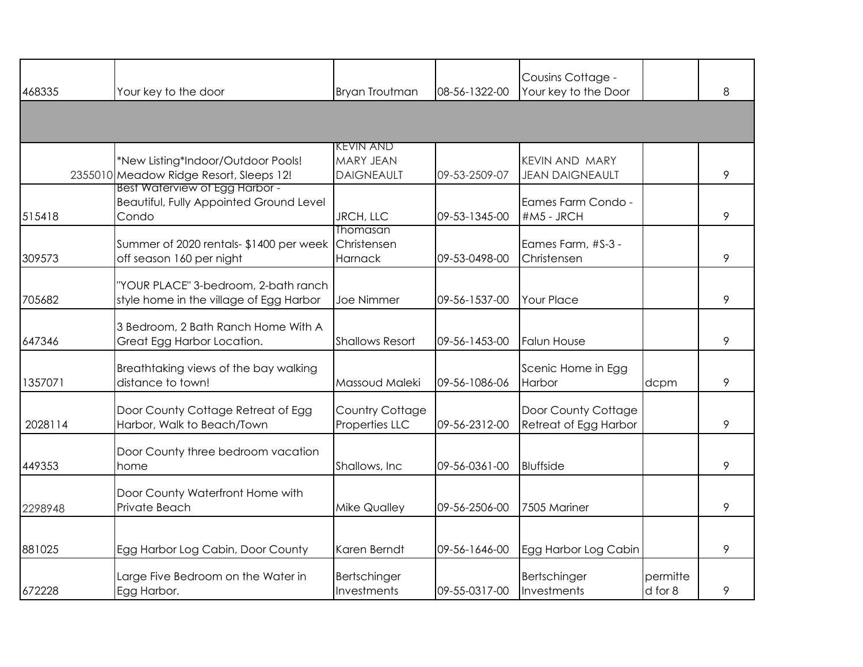| 468335  | Your key to the door                                                                      | <b>Bryan Troutman</b>                                     | 08-56-1322-00 | Cousins Cottage -<br>Your key to the Door       |                     | 8 |
|---------|-------------------------------------------------------------------------------------------|-----------------------------------------------------------|---------------|-------------------------------------------------|---------------------|---|
|         |                                                                                           |                                                           |               |                                                 |                     |   |
|         | *New Listing*Indoor/Outdoor Pools!<br>2355010 Meadow Ridge Resort, Sleeps 12!             | <b>KEVIN AND</b><br><b>MARY JEAN</b><br><b>DAIGNEAULT</b> | 09-53-2509-07 | <b>KEVIN AND MARY</b><br><b>JEAN DAIGNEAULT</b> |                     | 9 |
| 515418  | Best Waterview of Egg Harbor -<br><b>Beautiful, Fully Appointed Ground Level</b><br>Condo | JRCH, LLC                                                 | 09-53-1345-00 | Eames Farm Condo -<br>#M5 - JRCH                |                     | 9 |
| 309573  | Summer of 2020 rentals- \$1400 per week<br>off season 160 per night                       | Thomasan<br>Christensen<br>Harnack                        | 09-53-0498-00 | Eames Farm, #S-3 -<br>Christensen               |                     | 9 |
| 705682  | "YOUR PLACE" 3-bedroom, 2-bath ranch<br>style home in the village of Egg Harbor           | Joe Nimmer                                                | 09-56-1537-00 | <b>Your Place</b>                               |                     | 9 |
| 647346  | 3 Bedroom, 2 Bath Ranch Home With A<br>Great Egg Harbor Location.                         | <b>Shallows Resort</b>                                    | 09-56-1453-00 | <b>Falun House</b>                              |                     | 9 |
| 1357071 | Breathtaking views of the bay walking<br>distance to town!                                | Massoud Maleki                                            | 09-56-1086-06 | Scenic Home in Egg<br>Harbor                    | dcpm                | 9 |
| 2028114 | Door County Cottage Retreat of Egg<br>Harbor, Walk to Beach/Town                          | Country Cottage<br>Properties LLC                         | 09-56-2312-00 | Door County Cottage<br>Retreat of Egg Harbor    |                     | 9 |
| 449353  | Door County three bedroom vacation<br>home                                                | Shallows, Inc.                                            | 09-56-0361-00 | <b>Bluffside</b>                                |                     | 9 |
| 2298948 | Door County Waterfront Home with<br>Private Beach                                         | <b>Mike Qualley</b>                                       | 09-56-2506-00 | 7505 Mariner                                    |                     | 9 |
| 881025  | Egg Harbor Log Cabin, Door County                                                         | Karen Berndt                                              | 09-56-1646-00 | Egg Harbor Log Cabin                            |                     | 9 |
| 672228  | Large Five Bedroom on the Water in<br>Egg Harbor.                                         | Bertschinger<br>Investments                               | 09-55-0317-00 | Bertschinger<br>Investments                     | permitte<br>d for 8 | 9 |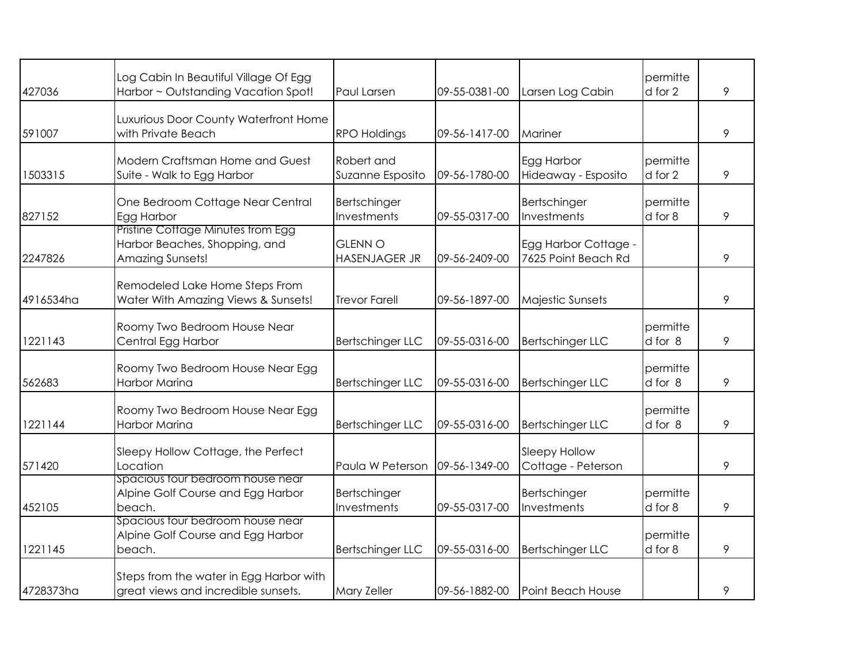| 427036    | Log Cabin In Beautiful Village Of Egg                                 | Paul Larsen                 | 09-55-0381-00 |                             | permitte<br>d for 2 | 9 |
|-----------|-----------------------------------------------------------------------|-----------------------------|---------------|-----------------------------|---------------------|---|
|           | Harbor ~ Outstanding Vacation Spot!                                   |                             |               | Larsen Log Cabin            |                     |   |
|           | Luxurious Door County Waterfront Home                                 |                             |               |                             |                     |   |
| 591007    | with Private Beach                                                    | <b>RPO Holdings</b>         | 09-56-1417-00 | Mariner                     |                     | 9 |
|           | Modern Craftsman Home and Guest                                       | Robert and                  |               | Egg Harbor                  | permitte            |   |
| 1503315   | Suite - Walk to Egg Harbor                                            | Suzanne Esposito            | 09-56-1780-00 | Hideaway - Esposito         | d for 2             | 9 |
|           |                                                                       |                             |               |                             |                     |   |
|           | One Bedroom Cottage Near Central                                      | Bertschinger<br>Investments |               | Bertschinger<br>Investments | permitte            | 9 |
| 827152    | Egg Harbor<br>Pristine Cottage Minutes trom Egg                       |                             | 09-55-0317-00 |                             | d for 8             |   |
|           | Harbor Beaches, Shopping, and                                         | <b>GLENN O</b>              |               | Egg Harbor Cottage -        |                     |   |
| 2247826   | <b>Amazing Sunsets!</b>                                               | <b>HASENJAGER JR</b>        | 09-56-2409-00 | 7625 Point Beach Rd         |                     | 9 |
|           |                                                                       |                             |               |                             |                     |   |
| 4916534ha | Remodeled Lake Home Steps From<br>Water With Amazing Views & Sunsets! | <b>Trevor Farell</b>        | 09-56-1897-00 | <b>Majestic Sunsets</b>     |                     | 9 |
|           |                                                                       |                             |               |                             |                     |   |
|           | Roomy Two Bedroom House Near                                          |                             |               |                             | permitte            |   |
| 1221143   | Central Egg Harbor                                                    | <b>Bertschinger LLC</b>     | 09-55-0316-00 | <b>Bertschinger LLC</b>     | d for 8             | 9 |
|           |                                                                       |                             |               |                             | permitte            |   |
| 562683    | Roomy Two Bedroom House Near Egg<br>Harbor Marina                     | <b>Bertschinger LLC</b>     | 09-55-0316-00 | <b>Bertschinger LLC</b>     | d for 8             | 9 |
|           |                                                                       |                             |               |                             |                     |   |
|           | Roomy Two Bedroom House Near Egg                                      |                             |               |                             | permitte            |   |
| 1221144   | <b>Harbor Marina</b>                                                  | <b>Bertschinger LLC</b>     | 09-55-0316-00 | <b>Bertschinger LLC</b>     | d for 8             | 9 |
|           | Sleepy Hollow Cottage, the Perfect                                    |                             |               | Sleepy Hollow               |                     |   |
| 571420    | Location                                                              | Paula W Peterson            | 09-56-1349-00 | Cottage - Peterson          |                     | 9 |
|           | Spacious tour bedroom house near                                      |                             |               |                             |                     |   |
|           | Alpine Golf Course and Egg Harbor                                     | Bertschinger                |               | Bertschinger                | permitte            |   |
| 452105    | beach.<br>Spacious tour bedroom house near                            | Investments                 | 09-55-0317-00 | Investments                 | d for 8             | 9 |
|           | Alpine Golf Course and Egg Harbor                                     |                             |               |                             | permitte            |   |
| 1221145   | beach.                                                                | <b>Bertschinger LLC</b>     | 09-55-0316-00 | <b>Bertschinger LLC</b>     | d for 8             | 9 |
|           |                                                                       |                             |               |                             |                     |   |
|           | Steps from the water in Egg Harbor with                               |                             |               |                             |                     |   |
| 4728373ha | great views and incredible sunsets.                                   | Mary Zeller                 | 09-56-1882-00 | Point Beach House           |                     | 9 |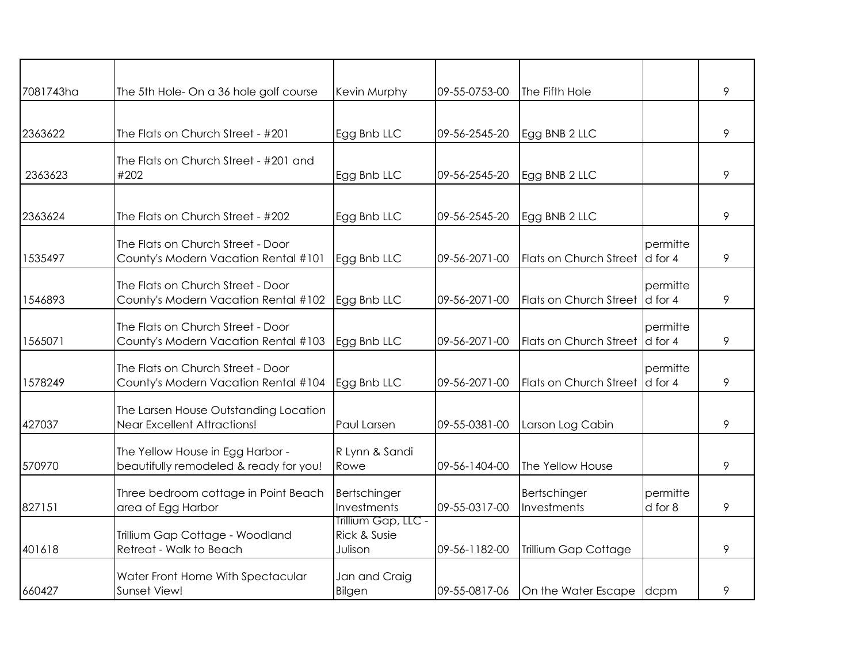| 7081743ha | The 5th Hole- On a 36 hole golf course                                      | Kevin Murphy                                   | 09-55-0753-00 | The Fifth Hole                 |                     | 9 |
|-----------|-----------------------------------------------------------------------------|------------------------------------------------|---------------|--------------------------------|---------------------|---|
|           |                                                                             |                                                |               |                                |                     |   |
| 2363622   | The Flats on Church Street - #201                                           | Egg Bnb LLC                                    | 09-56-2545-20 | Egg BNB 2 LLC                  |                     | 9 |
| 2363623   | The Flats on Church Street - #201 and<br>#202                               | Egg Bnb LLC                                    | 09-56-2545-20 | Egg BNB 2 LLC                  |                     | 9 |
| 2363624   | The Flats on Church Street - #202                                           | Egg Bnb LLC                                    | 09-56-2545-20 | Egg BNB 2 LLC                  |                     | 9 |
| 1535497   | The Flats on Church Street - Door<br>County's Modern Vacation Rental #101   | Egg Bnb LLC                                    | 09-56-2071-00 | Flats on Church Street         | permitte<br>d for 4 | 9 |
| 1546893   | The Flats on Church Street - Door<br>County's Modern Vacation Rental #102   | Egg Bnb LLC                                    | 09-56-2071-00 | Flats on Church Street         | permitte<br>d for 4 | 9 |
| 1565071   | The Flats on Church Street - Door<br>County's Modern Vacation Rental #103   | Egg Bnb LLC                                    | 09-56-2071-00 | Flats on Church Street d for 4 | permitte            | 9 |
| 1578249   | The Flats on Church Street - Door<br>County's Modern Vacation Rental #104   | Egg Bnb LLC                                    | 09-56-2071-00 | Flats on Church Street         | permitte<br>d for 4 | 9 |
| 427037    | The Larsen House Outstanding Location<br><b>Near Excellent Attractions!</b> | Paul Larsen                                    | 09-55-0381-00 | Larson Log Cabin               |                     | 9 |
| 570970    | The Yellow House in Egg Harbor -<br>beautifully remodeled & ready for you!  | R Lynn & Sandi<br>Rowe                         | 09-56-1404-00 | The Yellow House               |                     | 9 |
| 827151    | Three bedroom cottage in Point Beach<br>area of Egg Harbor                  | Bertschinger<br>Investments                    | 09-55-0317-00 | Bertschinger<br>Investments    | permitte<br>d for 8 | 9 |
| 401618    | Trillium Gap Cottage - Woodland<br>Retreat - Walk to Beach                  | Trillium Gap, LLC -<br>Rick & Susie<br>Julison | 09-56-1182-00 | Trillium Gap Cottage           |                     | 9 |
| 660427    | Water Front Home With Spectacular<br>Sunset View!                           | Jan and Craig<br>Bilgen                        | 09-55-0817-06 | On the Water Escape dcpm       |                     | 9 |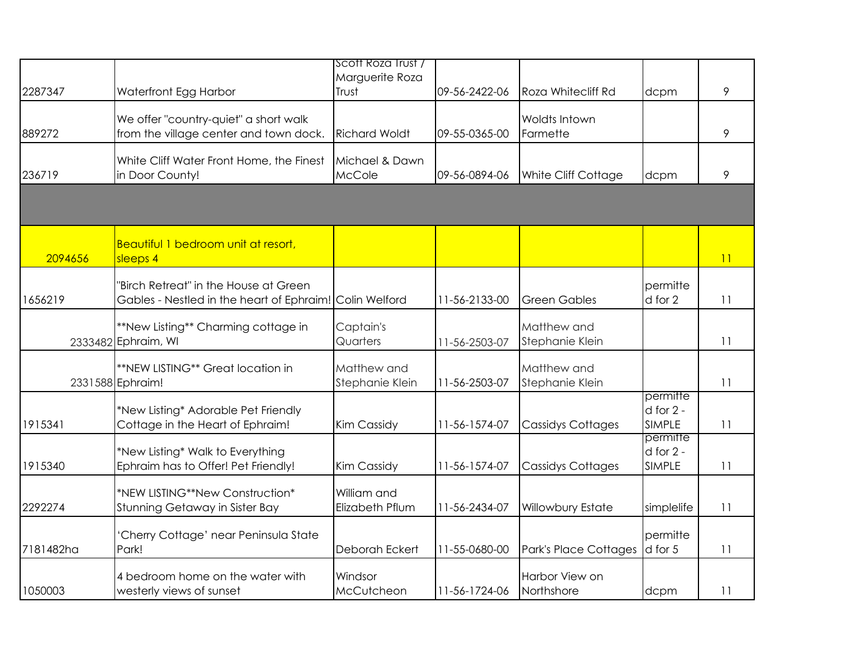|           |                                                                                                  | Scott Roza Trust /<br>Marguerite Roza |               |                                |                                            |    |
|-----------|--------------------------------------------------------------------------------------------------|---------------------------------------|---------------|--------------------------------|--------------------------------------------|----|
| 2287347   | Waterfront Egg Harbor                                                                            | Trust                                 | 09-56-2422-06 | Roza Whitecliff Rd             | dcpm                                       | 9  |
| 889272    | We offer "country-quiet" a short walk<br>from the village center and town dock.                  | <b>Richard Woldt</b>                  | 09-55-0365-00 | Woldts Intown<br>Farmette      |                                            | 9  |
| 236719    | White Cliff Water Front Home, the Finest<br>in Door County!                                      | Michael & Dawn<br>McCole              | 09-56-0894-06 | White Cliff Cottage            | dcpm                                       | 9  |
|           |                                                                                                  |                                       |               |                                |                                            |    |
| 2094656   | Beautiful 1 bedroom unit at resort,<br>sleeps 4                                                  |                                       |               |                                |                                            | 11 |
| 1656219   | 'Birch Retreat" in the House at Green<br>Gables - Nestled in the heart of Ephraim! Colin Welford |                                       | 11-56-2133-00 | <b>Green Gables</b>            | permitte<br>d for 2                        | 11 |
|           | **New Listing** Charming cottage in<br>2333482 Ephraim, WI                                       | Captain's<br>Quarters                 | 11-56-2503-07 | Matthew and<br>Stephanie Klein |                                            | 11 |
|           | **NEW LISTING** Great location in<br>2331588 Ephraim!                                            | Matthew and<br>Stephanie Klein        | 11-56-2503-07 | Matthew and<br>Stephanie Klein |                                            | 11 |
| 1915341   | *New Listing* Adorable Pet Friendly<br>Cottage in the Heart of Ephraim!                          | Kim Cassidy                           | 11-56-1574-07 | <b>Cassidys Cottages</b>       | permitte<br>$d$ for $2 -$<br><b>SIMPLE</b> | 11 |
| 1915340   | *New Listing* Walk to Everything<br>Ephraim has to Offer! Pet Friendly!                          | Kim Cassidy                           | 11-56-1574-07 | <b>Cassidys Cottages</b>       | permitte<br>$d$ for $2 -$<br><b>SIMPLE</b> | 11 |
| 2292274   | *NEW LISTING**New Construction*<br>Stunning Getaway in Sister Bay                                | William and<br>Elizabeth Pflum        | 11-56-2434-07 | Willowbury Estate              | simplelife                                 | 11 |
| 7181482ha | 'Cherry Cottage' near Peninsula State<br>Park!                                                   | Deborah Eckert                        | 11-55-0680-00 | Park's Place Cottages          | permitte<br>d for 5                        | 11 |
| 1050003   | 4 bedroom home on the water with<br>westerly views of sunset                                     | Windsor<br>McCutcheon                 | 11-56-1724-06 | Harbor View on<br>Northshore   | dcpm                                       | 11 |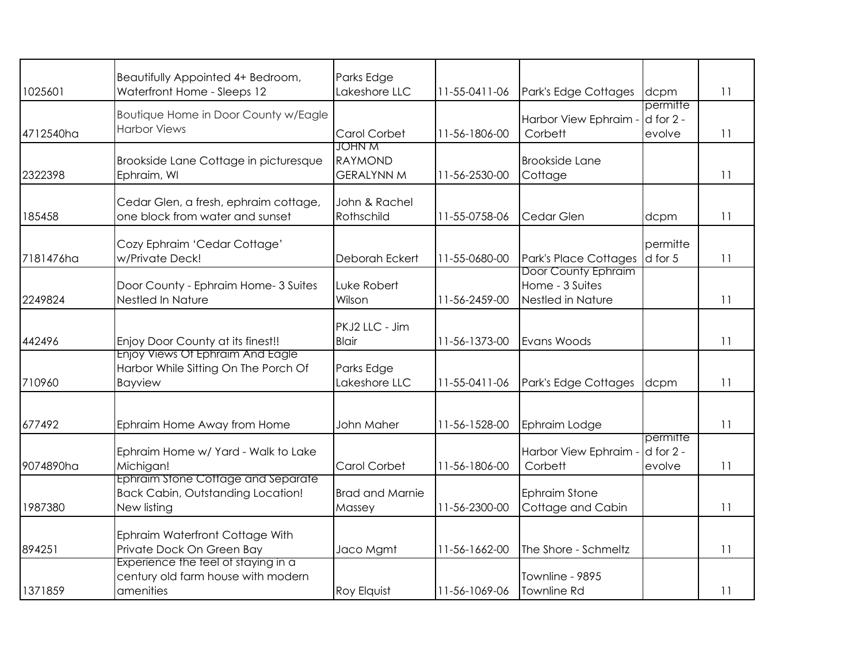| 1025601   | Beautifully Appointed 4+ Bedroom,<br>Waterfront Home - Sleeps 12                              | Parks Edge<br>Lakeshore LLC                   | 11-55-0411-06 | Park's Edge Cottages                                        | dcpm                                | 11 |
|-----------|-----------------------------------------------------------------------------------------------|-----------------------------------------------|---------------|-------------------------------------------------------------|-------------------------------------|----|
| 4712540ha | Boutique Home in Door County w/Eagle<br><b>Harbor Views</b>                                   | Carol Corbet                                  | 11-56-1806-00 | Harbor View Ephraim -<br>Corbett                            | permitte<br>$d$ for $2 -$<br>evolve | 11 |
| 2322398   | Brookside Lane Cottage in picturesque<br>Ephraim, WI                                          | JOHN M<br><b>RAYMOND</b><br><b>GERALYNN M</b> | 11-56-2530-00 | <b>Brookside Lane</b><br>Cottage                            |                                     | 11 |
| 185458    | Cedar Glen, a fresh, ephraim cottage,<br>one block from water and sunset                      | John & Rachel<br>Rothschild                   | 11-55-0758-06 | Cedar Glen                                                  | dcpm                                | 11 |
| 7181476ha | Cozy Ephraim 'Cedar Cottage'<br>w/Private Deck!                                               | Deborah Eckert                                | 11-55-0680-00 | Park's Place Cottages                                       | permitte<br>d for 5                 | 11 |
| 2249824   | Door County - Ephraim Home- 3 Suites<br>Nestled In Nature                                     | Luke Robert<br>Wilson                         | 11-56-2459-00 | Door County Ephraim<br>Home - 3 Suites<br>Nestled in Nature |                                     | 11 |
| 442496    | Enjoy Door County at its finest!!                                                             | PKJ2 LLC - Jim<br><b>Blair</b>                | 11-56-1373-00 | Evans Woods                                                 |                                     | 11 |
| 710960    | Enjoy Views Of Ephraim And Eagle<br>Harbor While Sitting On The Porch Of<br>Bayview           | Parks Edge<br>Lakeshore LLC                   | 11-55-0411-06 | Park's Edge Cottages                                        | dcpm                                | 11 |
| 677492    | Ephraim Home Away from Home                                                                   | John Maher                                    | 11-56-1528-00 | Ephraim Lodge                                               |                                     | 11 |
| 9074890ha | Ephraim Home w/ Yard - Walk to Lake<br>Michigan!                                              | Carol Corbet                                  | 11-56-1806-00 | Harbor View Ephraim<br>Corbett                              | permitte<br>$d$ for $2 -$<br>evolve | 11 |
| 1987380   | Ephraim Stone Cottage and Separate<br><b>Back Cabin, Outstanding Location!</b><br>New listing | <b>Brad and Marnie</b><br>Massey              | 11-56-2300-00 | <b>Ephraim Stone</b><br>Cottage and Cabin                   |                                     | 11 |
| 894251    | Ephraim Waterfront Cottage With<br>Private Dock On Green Bay                                  | Jaco Mgmt                                     | 11-56-1662-00 | The Shore - Schmeltz                                        |                                     | 11 |
| 1371859   | Experience the teel of staying in a<br>century old farm house with modern<br>amenities        | <b>Roy Elquist</b>                            | 11-56-1069-06 | Townline - 9895<br>Townline Rd                              |                                     | 11 |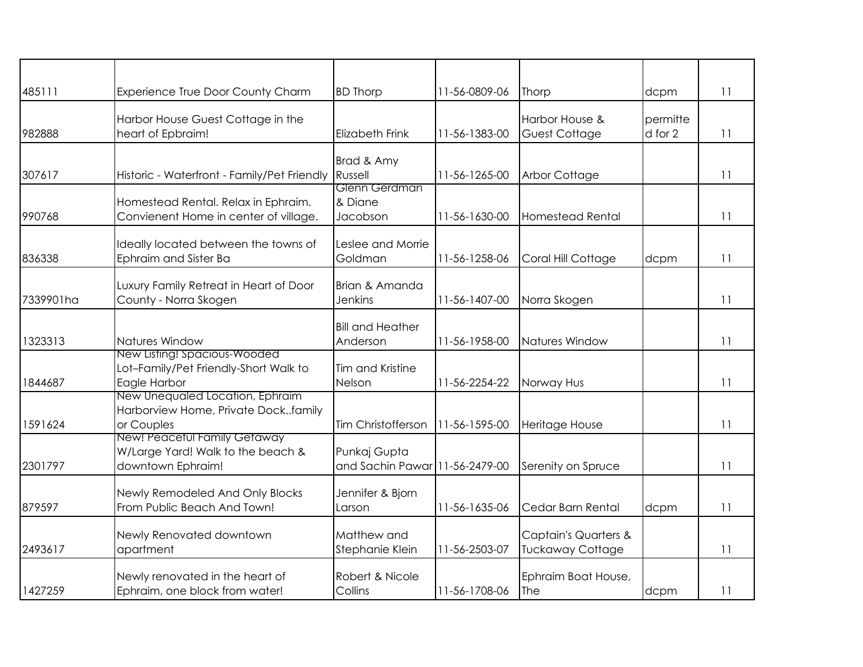| 485111    | Experience True Door County Charm                                                      | <b>BD Thorp</b>                      | 11-56-0809-06 | Thorp                                                      | dcpm                | 11 |
|-----------|----------------------------------------------------------------------------------------|--------------------------------------|---------------|------------------------------------------------------------|---------------------|----|
| 982888    | Harbor House Guest Cottage in the<br>heart of Epbraim!                                 | <b>Elizabeth Frink</b>               | 11-56-1383-00 | Harbor House &<br><b>Guest Cottage</b>                     | permitte<br>d for 2 | 11 |
| 307617    | Historic - Waterfront - Family/Pet Friendly                                            | Brad & Amy<br>Russell                | 11-56-1265-00 | <b>Arbor Cottage</b>                                       |                     | 11 |
| 990768    | Homestead Rental. Relax in Ephraim.<br>Convienent Home in center of village.           | Glenn Gerdman<br>& Diane<br>Jacobson | 11-56-1630-00 | Homestead Rental                                           |                     | 11 |
| 836338    | Ideally located between the towns of<br>Ephraim and Sister Ba                          | Leslee and Morrie<br>Goldman         | 11-56-1258-06 | Coral Hill Cottage                                         | dcpm                | 11 |
| 7339901ha | Luxury Family Retreat in Heart of Door<br>County - Norra Skogen                        | Brian & Amanda<br><b>Jenkins</b>     | 11-56-1407-00 | Norra Skogen                                               |                     | 11 |
| 1323313   | Natures Window                                                                         | <b>Bill and Heather</b><br>Anderson  | 11-56-1958-00 | Natures Window                                             |                     | 11 |
| 1844687   | New Listing! Spacious-Wooded<br>Lot-Family/Pet Friendly-Short Walk to<br>Eagle Harbor  | Tim and Kristine<br>Nelson           | 11-56-2254-22 | Norway Hus                                                 |                     | 11 |
| 1591624   | New Unequaled Location, Ephraim<br>Harborview Home, Private Dockfamily<br>or Couples   | Tim Christofferson                   | 11-56-1595-00 | Heritage House                                             |                     | 11 |
| 2301797   | New! Peacetul Family Getaway<br>W/Large Yard! Walk to the beach &<br>downtown Ephraim! | Punkaj Gupta<br>and Sachin Pawar     | 11-56-2479-00 | Serenity on Spruce                                         |                     | 11 |
| 879597    | Newly Remodeled And Only Blocks<br>From Public Beach And Town!                         | Jennifer & Bjorn<br>Larson           | 11-56-1635-06 | Cedar Barn Rental                                          | dcpm                | 11 |
| 2493617   | Newly Renovated downtown<br>apartment                                                  | Matthew and<br>Stephanie Klein       | 11-56-2503-07 | <b>Captain's Quarters &amp;</b><br><b>Tuckaway Cottage</b> |                     | 11 |
| 1427259   | Newly renovated in the heart of<br>Ephraim, one block from water!                      | Robert & Nicole<br>Collins           | 11-56-1708-06 | Ephraim Boat House,<br><b>The</b>                          | dcpm                | 11 |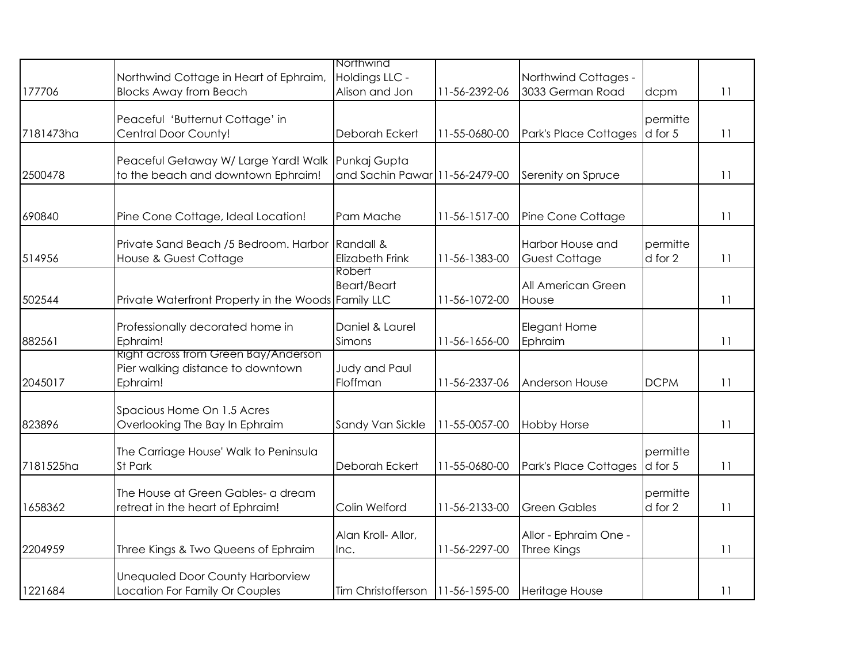|           |                                                                                       | Northwind                                      |               |                                             |                     |    |
|-----------|---------------------------------------------------------------------------------------|------------------------------------------------|---------------|---------------------------------------------|---------------------|----|
| 177706    | Northwind Cottage in Heart of Ephraim,<br><b>Blocks Away from Beach</b>               | Holdings LLC -<br>Alison and Jon               | 11-56-2392-06 | Northwind Cottages -<br>3033 German Road    | dcpm                | 11 |
| 7181473ha | Peaceful 'Butternut Cottage' in<br>Central Door County!                               | Deborah Eckert                                 | 11-55-0680-00 | Park's Place Cottages                       | permitte<br>d for 5 | 11 |
| 2500478   | Peaceful Getaway W/ Large Yard! Walk<br>to the beach and downtown Ephraim!            | Punkaj Gupta<br>and Sachin Pawar 11-56-2479-00 |               | Serenity on Spruce                          |                     | 11 |
| 690840    | Pine Cone Cottage, Ideal Location!                                                    | Pam Mache                                      | 11-56-1517-00 | Pine Cone Cottage                           |                     | 11 |
| 514956    | Private Sand Beach /5 Bedroom. Harbor Randall &<br>House & Guest Cottage              | <b>Elizabeth Frink</b>                         | 11-56-1383-00 | Harbor House and<br><b>Guest Cottage</b>    | permitte<br>d for 2 | 11 |
| 502544    | Private Waterfront Property in the Woods Family LLC                                   | <b>Robert</b><br><b>Beart/Beart</b>            | 11-56-1072-00 | All American Green<br>House                 |                     | 11 |
| 882561    | Professionally decorated home in<br>Ephraim!                                          | Daniel & Laurel<br>Simons                      | 11-56-1656-00 | Elegant Home<br>Ephraim                     |                     | 11 |
| 2045017   | Right across trom Green Bay/Anderson<br>Pier walking distance to downtown<br>Ephraim! | Judy and Paul<br>Floffman                      | 11-56-2337-06 | Anderson House                              | <b>DCPM</b>         | 11 |
| 823896    | Spacious Home On 1.5 Acres<br>Overlooking The Bay In Ephraim                          | Sandy Van Sickle                               | 11-55-0057-00 | <b>Hobby Horse</b>                          |                     | 11 |
| 7181525ha | The Carriage House' Walk to Peninsula<br>St Park                                      | Deborah Eckert                                 | 11-55-0680-00 | Park's Place Cottages                       | permitte<br>d for 5 | 11 |
| 1658362   | The House at Green Gables- a dream<br>retreat in the heart of Ephraim!                | Colin Welford                                  | 11-56-2133-00 | <b>Green Gables</b>                         | permitte<br>d for 2 | 11 |
| 2204959   | Three Kings & Two Queens of Ephraim                                                   | Alan Kroll- Allor,<br>Inc.                     | 11-56-2297-00 | Allor - Ephraim One -<br><b>Three Kings</b> |                     | 11 |
| 1221684   | <b>Unequaled Door County Harborview</b><br>Location For Family Or Couples             | Tim Christofferson                             | 11-56-1595-00 | Heritage House                              |                     | 11 |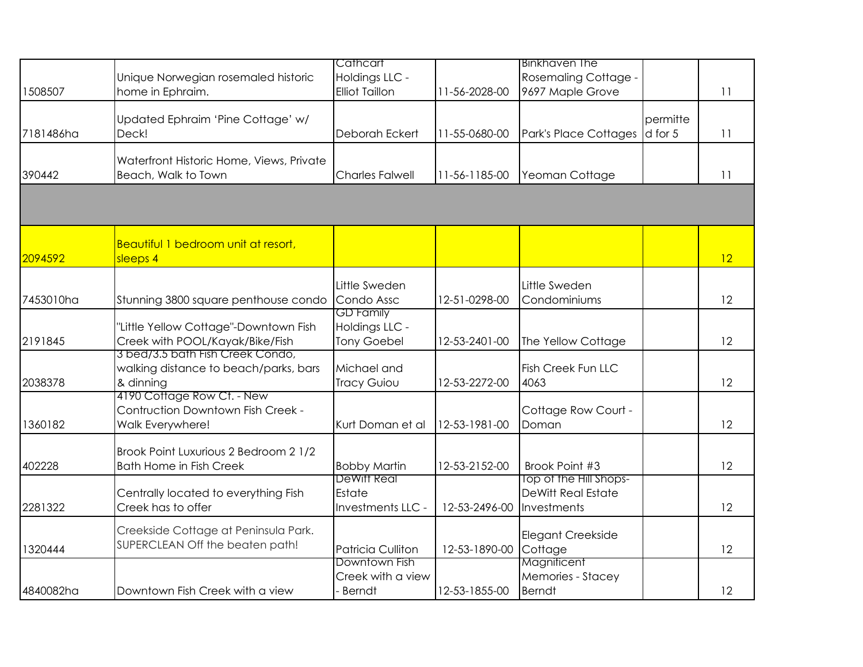|           |                                          | Cathcart                                  |               | <b>Binkhaven The</b>                                |          |    |
|-----------|------------------------------------------|-------------------------------------------|---------------|-----------------------------------------------------|----------|----|
|           |                                          |                                           |               |                                                     |          |    |
|           | Unique Norwegian rosemaled historic      | Holdings LLC -                            |               | Rosemaling Cottage -                                |          |    |
| 1508507   | home in Ephraim.                         | <b>Elliot Taillon</b>                     | 11-56-2028-00 | 9697 Maple Grove                                    |          | 11 |
|           |                                          |                                           |               |                                                     |          |    |
|           | Updated Ephraim 'Pine Cottage' w/        |                                           |               |                                                     | permitte |    |
| 7181486ha | Deck!                                    | Deborah Eckert                            | 11-55-0680-00 | Park's Place Cottages                               | d for 5  | 11 |
|           | Waterfront Historic Home, Views, Private |                                           |               |                                                     |          |    |
| 390442    | Beach, Walk to Town                      | <b>Charles Falwell</b>                    | 11-56-1185-00 | Yeoman Cottage                                      |          | 11 |
|           |                                          |                                           |               |                                                     |          |    |
|           |                                          |                                           |               |                                                     |          |    |
|           |                                          |                                           |               |                                                     |          |    |
|           | Beautiful 1 bedroom unit at resort,      |                                           |               |                                                     |          |    |
| 2094592   | sleeps 4                                 |                                           |               |                                                     |          | 12 |
|           |                                          |                                           |               |                                                     |          |    |
|           |                                          | Little Sweden                             |               | Little Sweden                                       |          |    |
| 7453010ha | Stunning 3800 square penthouse condo     | Condo Assc                                | 12-51-0298-00 | Condominiums                                        |          | 12 |
|           |                                          | <b>GD Family</b>                          |               |                                                     |          |    |
|           | "Little Yellow Cottage"-Downtown Fish    | Holdings LLC -                            |               |                                                     |          |    |
| 2191845   | Creek with POOL/Kayak/Bike/Fish          | <b>Tony Goebel</b>                        | 12-53-2401-00 | The Yellow Cottage                                  |          | 12 |
|           | 3 bed/3.5 bath Fish Creek Condo,         |                                           |               |                                                     |          |    |
|           | walking distance to beach/parks, bars    | Michael and                               |               | <b>Fish Creek Fun LLC</b>                           |          |    |
| 2038378   | & dinning                                | <b>Tracy Guiou</b>                        | 12-53-2272-00 | 4063                                                |          | 12 |
|           | 4190 Cottage Row Ct. - New               |                                           |               |                                                     |          |    |
|           | Contruction Downtown Fish Creek -        |                                           |               | Cottage Row Court -                                 |          |    |
| 1360182   | Walk Everywhere!                         | Kurt Doman et al                          | 12-53-1981-00 | Doman                                               |          | 12 |
|           |                                          |                                           |               |                                                     |          |    |
|           | Brook Point Luxurious 2 Bedroom 2 1/2    |                                           |               |                                                     |          |    |
| 402228    | <b>Bath Home in Fish Creek</b>           | <b>Bobby Martin</b><br><b>DeWitt Real</b> | 12-53-2152-00 | Brook Point #3                                      |          | 12 |
|           |                                          | Estate                                    |               | Top of the Hill Shops-<br><b>DeWitt Real Estate</b> |          |    |
|           | Centrally located to everything Fish     | Investments LLC -                         |               | Investments                                         |          | 12 |
| 2281322   | Creek has to offer                       |                                           | 12-53-2496-00 |                                                     |          |    |
|           | Creekside Cottage at Peninsula Park.     |                                           |               | Elegant Creekside                                   |          |    |
| 1320444   | SUPERCLEAN Off the beaten path!          | <b>Patricia Culliton</b>                  | 12-53-1890-00 | Cottage                                             |          | 12 |
|           |                                          | Downtown Fish                             |               | Magniticent                                         |          |    |
|           |                                          | Creek with a view                         |               | Memories - Stacey                                   |          |    |
| 4840082ha | Downtown Fish Creek with a view          | <b>Berndt</b>                             | 12-53-1855-00 | <b>Berndt</b>                                       |          | 12 |
|           |                                          |                                           |               |                                                     |          |    |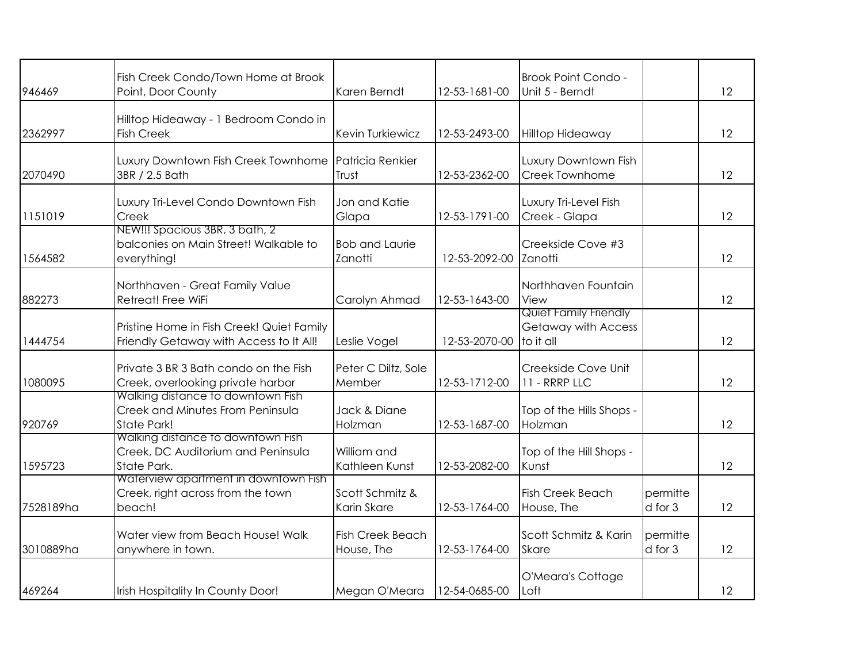| 946469    | Fish Creek Condo/Town Home at Brook<br>Point, Door County                                   | Karen Berndt                          | 12-53-1681-00 | Brook Point Condo -<br>Unit 5 - Berndt                           |                     | 12 |
|-----------|---------------------------------------------------------------------------------------------|---------------------------------------|---------------|------------------------------------------------------------------|---------------------|----|
| 2362997   | Hilltop Hideaway - 1 Bedroom Condo in<br><b>Fish Creek</b>                                  | Kevin Turkiewicz                      | 12-53-2493-00 | <b>Hilltop Hideaway</b>                                          |                     | 12 |
| 2070490   | Luxury Downtown Fish Creek Townhome<br>3BR / 2.5 Bath                                       | Patricia Renkier<br>Trust             | 12-53-2362-00 | Luxury Downtown Fish<br>Creek Townhome                           |                     | 12 |
| 1151019   | Luxury Tri-Level Condo Downtown Fish<br>Creek                                               | Jon and Katie<br>Glapa                | 12-53-1791-00 | Luxury Tri-Level Fish<br>Creek - Glapa                           |                     | 12 |
| 1564582   | NEW!!! Spacious 3BR, 3 bath, 2<br>balconies on Main Street! Walkable to<br>everything!      | <b>Bob and Laurie</b><br>Zanotti      | 12-53-2092-00 | Creekside Cove #3<br>Zanotti                                     |                     | 12 |
| 882273    | Northhaven - Great Family Value<br>Retreat! Free WiFi                                       | Carolyn Ahmad                         | 12-53-1643-00 | Northhaven Fountain<br>View                                      |                     | 12 |
| 1444754   | Pristine Home in Fish Creek! Quiet Family<br>Friendly Getaway with Access to It All!        | Leslie Vogel                          | 12-53-2070-00 | Quiet Family Friendly<br><b>Getaway with Access</b><br>to it all |                     | 12 |
| 1080095   | Private 3 BR 3 Bath condo on the Fish<br>Creek, overlooking private harbor                  | Peter C Diltz, Sole<br>Member         | 12-53-1712-00 | Creekside Cove Unit<br>11 - RRRP LLC                             |                     | 12 |
| 920769    | Walking distance to downtown Fish<br>Creek and Minutes From Peninsula<br><b>State Park!</b> | Jack & Diane<br>Holzman               | 12-53-1687-00 | Top of the Hills Shops -<br>Holzman                              |                     | 12 |
| 1595723   | Walking distance to downtown Fish<br>Creek, DC Auditorium and Peninsula<br>State Park.      | William and<br>Kathleen Kunst         | 12-53-2082-00 | Top of the Hill Shops -<br>Kunst                                 |                     | 12 |
| 7528189ha | Waterview apartment in downtown Fish<br>Creek, right across from the town<br>beach!         | Scott Schmitz &<br>Karin Skare        | 12-53-1764-00 | <b>Fish Creek Beach</b><br>House, The                            | permitte<br>d for 3 | 12 |
| 3010889ha | Water view from Beach House! Walk<br>anywhere in town.                                      | <b>Fish Creek Beach</b><br>House, The | 12-53-1764-00 | Scott Schmitz & Karin<br><b>Skare</b>                            | permitte<br>d for 3 | 12 |
| 469264    | Irish Hospitality In County Door!                                                           | Megan O'Meara                         | 12-54-0685-00 | O'Meara's Cottage<br>Loft                                        |                     | 12 |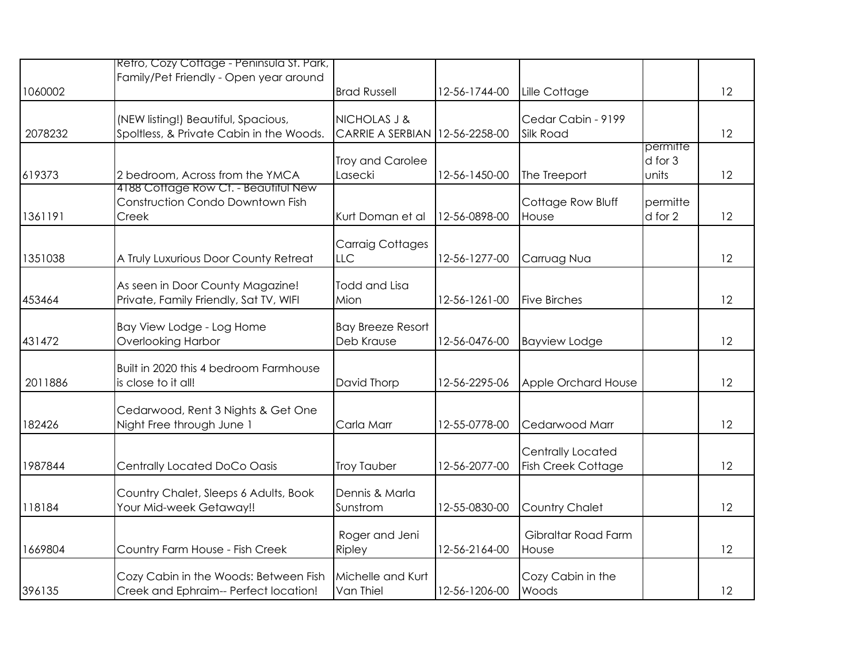|         | Retro, Cozy Cottage - Peninsula St. Park,<br>Family/Pet Friendly - Open year around |                                         |               |                                                |                              |    |
|---------|-------------------------------------------------------------------------------------|-----------------------------------------|---------------|------------------------------------------------|------------------------------|----|
| 1060002 |                                                                                     | <b>Brad Russell</b>                     | 12-56-1744-00 | Lille Cottage                                  |                              | 12 |
| 2078232 | (NEW listing!) Beautiful, Spacious,<br>Spoltless, & Private Cabin in the Woods.     | NICHOLAS J &<br><b>CARRIE A SERBIAN</b> | 12-56-2258-00 | Cedar Cabin - 9199<br>Silk Road                |                              | 12 |
| 619373  | 2 bedroom, Across from the YMCA                                                     | Troy and Carolee<br>Lasecki             | 12-56-1450-00 | The Treeport                                   | permitte<br>d for 3<br>units | 12 |
| 1361191 | 4188 Cottage Row Ct. - Beautitul New<br>Construction Condo Downtown Fish<br>Creek   | Kurt Doman et al                        | 12-56-0898-00 | Cottage Row Bluff<br>House                     | permitte<br>d for 2          | 12 |
| 1351038 | A Truly Luxurious Door County Retreat                                               | <b>Carraig Cottages</b><br>LLC          | 12-56-1277-00 | Carruag Nua                                    |                              | 12 |
| 453464  | As seen in Door County Magazine!<br>Private, Family Friendly, Sat TV, WIFI          | <b>Todd and Lisa</b><br>Mion            | 12-56-1261-00 | <b>Five Birches</b>                            |                              | 12 |
| 431472  | Bay View Lodge - Log Home<br><b>Overlooking Harbor</b>                              | <b>Bay Breeze Resort</b><br>Deb Krause  | 12-56-0476-00 | <b>Bayview Lodge</b>                           |                              | 12 |
| 2011886 | Built in 2020 this 4 bedroom Farmhouse<br>is close to it all!                       | David Thorp                             | 12-56-2295-06 | Apple Orchard House                            |                              | 12 |
| 182426  | Cedarwood, Rent 3 Nights & Get One<br>Night Free through June 1                     | Carla Marr                              | 12-55-0778-00 | Cedarwood Marr                                 |                              | 12 |
| 1987844 | Centrally Located DoCo Oasis                                                        | <b>Troy Tauber</b>                      | 12-56-2077-00 | Centrally Located<br><b>Fish Creek Cottage</b> |                              | 12 |
| 118184  | Country Chalet, Sleeps 6 Adults, Book<br>Your Mid-week Getaway!!                    | Dennis & Marla<br>Sunstrom              | 12-55-0830-00 | Country Chalet                                 |                              | 12 |
| 1669804 | Country Farm House - Fish Creek                                                     | Roger and Jeni<br>Ripley                | 12-56-2164-00 | Gibraltar Road Farm<br>House                   |                              | 12 |
| 396135  | Cozy Cabin in the Woods: Between Fish<br>Creek and Ephraim-- Perfect location!      | Michelle and Kurt<br>Van Thiel          | 12-56-1206-00 | Cozy Cabin in the<br>Woods                     |                              | 12 |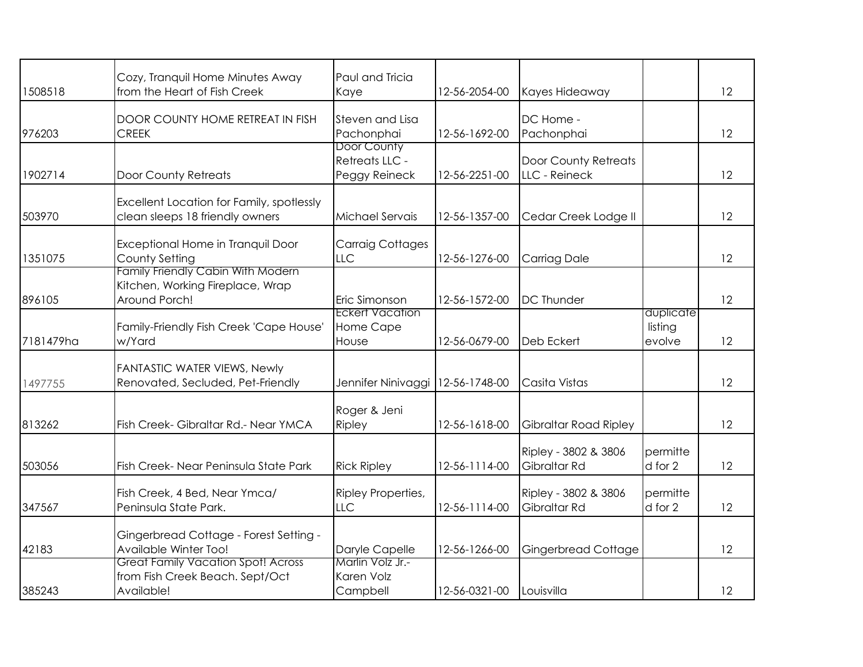|           | Cozy, Tranquil Home Minutes Away                                                              | Paul and Tricia                                |               |                                       |                                |    |
|-----------|-----------------------------------------------------------------------------------------------|------------------------------------------------|---------------|---------------------------------------|--------------------------------|----|
| 1508518   | from the Heart of Fish Creek                                                                  | Kaye                                           | 12-56-2054-00 | Kayes Hideaway                        |                                | 12 |
| 976203    | DOOR COUNTY HOME RETREAT IN FISH<br><b>CREEK</b>                                              | <b>Steven and Lisa</b><br>Pachonphai           | 12-56-1692-00 | DC Home -<br>Pachonphai               |                                | 12 |
| 1902714   | Door County Retreats                                                                          | Door County<br>Retreats LLC -<br>Peggy Reineck | 12-56-2251-00 | Door County Retreats<br>LLC - Reineck |                                | 12 |
| 503970    | Excellent Location for Family, spotlessly<br>clean sleeps 18 friendly owners                  | Michael Servais                                | 12-56-1357-00 | Cedar Creek Lodge II                  |                                | 12 |
| 1351075   | Exceptional Home in Tranquil Door<br>County Setting                                           | <b>Carraig Cottages</b><br><b>LLC</b>          | 12-56-1276-00 | Carriag Dale                          |                                | 12 |
| 896105    | <b>Family Friendly Cabin With Modern</b><br>Kitchen, Working Fireplace, Wrap<br>Around Porch! | Eric Simonson                                  | 12-56-1572-00 | <b>DC Thunder</b>                     |                                | 12 |
| 7181479ha | Family-Friendly Fish Creek 'Cape House'<br>w/Yard                                             | <b>Eckert Vacation</b><br>Home Cape<br>House   | 12-56-0679-00 | Deb Eckert                            | duplicate<br>listing<br>evolve | 12 |
| 1497755   | <b>FANTASTIC WATER VIEWS, Newly</b><br>Renovated, Secluded, Pet-Friendly                      | Jennifer Ninivaggi                             | 12-56-1748-00 | Casita Vistas                         |                                | 12 |
| 813262    | Fish Creek-Gibraltar Rd.- Near YMCA                                                           | Roger & Jeni<br>Ripley                         | 12-56-1618-00 | <b>Gibraltar Road Ripley</b>          |                                | 12 |
| 503056    | Fish Creek- Near Peninsula State Park                                                         | <b>Rick Ripley</b>                             | 12-56-1114-00 | Ripley - 3802 & 3806<br>Gibraltar Rd  | permitte<br>d for 2            | 12 |
| 347567    | Fish Creek, 4 Bed, Near Ymca/<br>Peninsula State Park.                                        | Ripley Properties,<br><b>LLC</b>               | 12-56-1114-00 | Ripley - 3802 & 3806<br>Gibraltar Rd  | permitte<br>d for 2            | 12 |
| 42183     | Gingerbread Cottage - Forest Setting -<br>Available Winter Too!                               | Daryle Capelle                                 | 12-56-1266-00 | <b>Gingerbread Cottage</b>            |                                | 12 |
| 385243    | <b>Great Family Vacation Spot! Across</b><br>from Fish Creek Beach. Sept/Oct<br>Available!    | Marlin Volz Jr.-<br>Karen Volz<br>Campbell     | 12-56-0321-00 | Louisvilla                            |                                | 12 |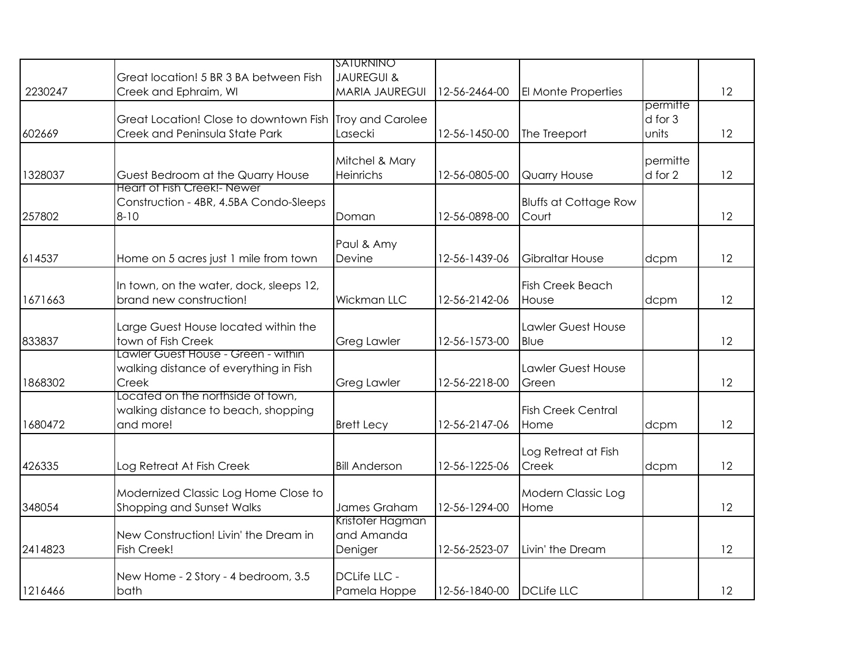|         |                                                                                          | <u>ISATURNINO</u>                         |               |                                       |                              |    |
|---------|------------------------------------------------------------------------------------------|-------------------------------------------|---------------|---------------------------------------|------------------------------|----|
|         | Great location! 5 BR 3 BA between Fish                                                   | <b>JAUREGUI &amp;</b>                     |               |                                       |                              |    |
| 2230247 | Creek and Ephraim, WI                                                                    | <b>MARIA JAUREGUI</b>                     | 12-56-2464-00 | El Monte Properties                   |                              | 12 |
| 602669  | Great Location! Close to downtown Fish<br>Creek and Peninsula State Park                 | Troy and Carolee<br>Lasecki               | 12-56-1450-00 | The Treeport                          | permitte<br>d for 3<br>units | 12 |
| 1328037 | Guest Bedroom at the Quarry House                                                        | Mitchel & Mary<br>Heinrichs               | 12-56-0805-00 | <b>Quarry House</b>                   | permitte<br>d for 2          | 12 |
| 257802  | <b>Heart of Fish Creek!- Newer</b><br>Construction - 4BR, 4.5BA Condo-Sleeps<br>$8 - 10$ | Doman                                     | 12-56-0898-00 | <b>Bluffs at Cottage Row</b><br>Court |                              | 12 |
| 614537  | Home on 5 acres just 1 mile from town                                                    | Paul & Amy<br>Devine                      | 12-56-1439-06 | <b>Gibraltar House</b>                | dcpm                         | 12 |
| 1671663 | In town, on the water, dock, sleeps 12,<br>brand new construction!                       | <b>Wickman LLC</b>                        | 12-56-2142-06 | <b>Fish Creek Beach</b><br>House      | dcpm                         | 12 |
| 833837  | Large Guest House located within the<br>town of Fish Creek                               | <b>Greg Lawler</b>                        | 12-56-1573-00 | Lawler Guest House<br>Blue            |                              | 12 |
| 1868302 | Lawler Guest House - Green - within<br>walking distance of everything in Fish<br>Creek   | <b>Greg Lawler</b>                        | 12-56-2218-00 | Lawler Guest House<br>Green           |                              | 12 |
| 1680472 | Located on the northside of town,<br>walking distance to beach, shopping<br>and more!    | <b>Brett Lecy</b>                         | 12-56-2147-06 | <b>Fish Creek Central</b><br>Home     | dcpm                         | 12 |
| 426335  | Log Retreat At Fish Creek                                                                | <b>Bill Anderson</b>                      | 12-56-1225-06 | Log Retreat at Fish<br>Creek          | dcpm                         | 12 |
| 348054  | Modernized Classic Log Home Close to<br>Shopping and Sunset Walks                        | James Graham                              | 12-56-1294-00 | Modern Classic Log<br>Home            |                              | 12 |
| 2414823 | New Construction! Livin' the Dream in<br>Fish Creek!                                     | Kristoter Hagman<br>and Amanda<br>Deniger | 12-56-2523-07 | Livin' the Dream                      |                              | 12 |
| 1216466 | New Home - 2 Story - 4 bedroom, 3.5<br>bath                                              | DCLife LLC -<br>Pamela Hoppe              | 12-56-1840-00 | <b>DCLife LLC</b>                     |                              | 12 |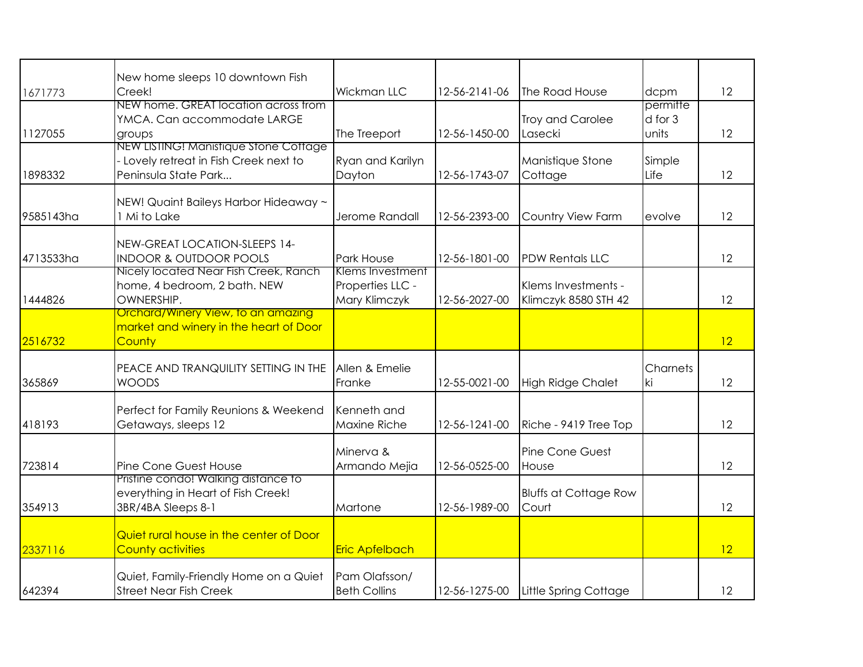|           | New home sleeps 10 downtown Fish                                                                        |                                                       |               |                                             |                              |    |
|-----------|---------------------------------------------------------------------------------------------------------|-------------------------------------------------------|---------------|---------------------------------------------|------------------------------|----|
| 1671773   | Creek!                                                                                                  | Wickman LLC                                           | 12-56-2141-06 | The Road House                              | dcpm                         | 12 |
| 1127055   | NEW home. GREAT location across trom<br>YMCA. Can accommodate LARGE<br>groups                           | The Treeport                                          | 12-56-1450-00 | Troy and Carolee<br>Lasecki                 | permitte<br>d for 3<br>units | 12 |
| 1898332   | NEW LISTING! Manistique Stone Cottage<br>- Lovely retreat in Fish Creek next to<br>Peninsula State Park | Ryan and Karilyn<br>Dayton                            | 12-56-1743-07 | Manistique Stone<br>Cottage                 | Simple<br>Life               | 12 |
| 9585143ha | NEW! Quaint Baileys Harbor Hideaway ~<br>1 Mi to Lake                                                   | Jerome Randall                                        | 12-56-2393-00 | Country View Farm                           | evolve                       | 12 |
| 4713533ha | NEW-GREAT LOCATION-SLEEPS 14-<br><b>INDOOR &amp; OUTDOOR POOLS</b>                                      | Park House                                            | 12-56-1801-00 | <b>PDW Rentals LLC</b>                      |                              | 12 |
| 1444826   | Nicely located Near Fish Creek, Ranch<br>home, 4 bedroom, 2 bath. NEW<br>OWNERSHIP.                     | Klems Investment<br>Properties LLC -<br>Mary Klimczyk | 12-56-2027-00 | Klems Investments -<br>Klimczyk 8580 STH 42 |                              | 12 |
| 2516732   | Orchard/Winery View, to an amazing<br>market and winery in the heart of Door<br>County                  |                                                       |               |                                             |                              | 12 |
| 365869    | PEACE AND TRANQUILITY SETTING IN THE<br><b>WOODS</b>                                                    | Allen & Emelie<br>Franke                              | 12-55-0021-00 | <b>High Ridge Chalet</b>                    | Charnets<br>ki               | 12 |
| 418193    | Perfect for Family Reunions & Weekend<br>Getaways, sleeps 12                                            | Kenneth and<br>Maxine Riche                           | 12-56-1241-00 | Riche - 9419 Tree Top                       |                              | 12 |
| 723814    | Pine Cone Guest House                                                                                   | Minerva &<br>Armando Mejia                            | 12-56-0525-00 | Pine Cone Guest<br>House                    |                              | 12 |
| 354913    | Pristine condo! Walking distance to<br>everything in Heart of Fish Creek!<br>3BR/4BA Sleeps 8-1         | Martone                                               | 12-56-1989-00 | <b>Bluffs at Cottage Row</b><br>Court       |                              | 12 |
| 2337116   | Quiet rural house in the center of Door<br><b>County activities</b>                                     | <b>Eric Apfelbach</b>                                 |               |                                             |                              | 12 |
| 642394    | Quiet, Family-Friendly Home on a Quiet<br><b>Street Near Fish Creek</b>                                 | Pam Olafsson/<br><b>Beth Collins</b>                  | 12-56-1275-00 | Little Spring Cottage                       |                              | 12 |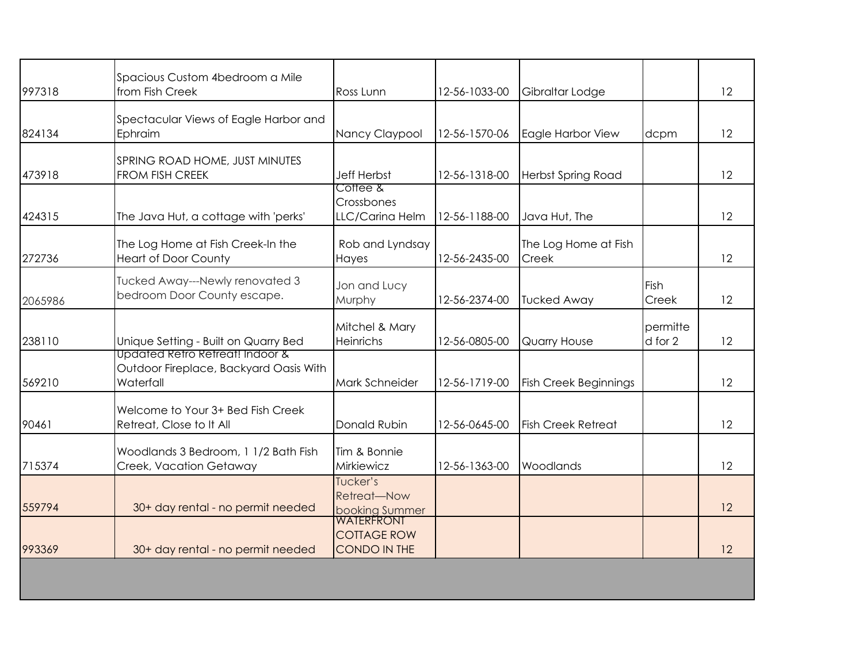| 997318  | Spacious Custom 4bedroom a Mile<br>from Fish Creek                                     | Ross Lunn                                               | 12-56-1033-00 | Gibraltar Lodge               |                     | 12 |
|---------|----------------------------------------------------------------------------------------|---------------------------------------------------------|---------------|-------------------------------|---------------------|----|
| 824134  | Spectacular Views of Eagle Harbor and<br>Ephraim                                       | Nancy Claypool                                          | 12-56-1570-06 | Eagle Harbor View             | dcpm                | 12 |
| 473918  | SPRING ROAD HOME, JUST MINUTES<br><b>FROM FISH CREEK</b>                               | <b>Jeff Herbst</b>                                      | 12-56-1318-00 | <b>Herbst Spring Road</b>     |                     | 12 |
| 424315  | The Java Hut, a cottage with 'perks'                                                   | Cottee &<br>Crossbones<br>LLC/Carina Helm               | 12-56-1188-00 | Java Hut, The                 |                     | 12 |
| 272736  | The Log Home at Fish Creek-In the<br><b>Heart of Door County</b>                       | Rob and Lyndsay<br>Hayes                                | 12-56-2435-00 | The Log Home at Fish<br>Creek |                     | 12 |
| 2065986 | Tucked Away---Newly renovated 3<br>bedroom Door County escape.                         | Jon and Lucy<br>Murphy                                  | 12-56-2374-00 | <b>Tucked Away</b>            | Fish<br>Creek       | 12 |
| 238110  | Unique Setting - Built on Quarry Bed                                                   | Mitchel & Mary<br><b>Heinrichs</b>                      | 12-56-0805-00 | Quarry House                  | permitte<br>d for 2 | 12 |
| 569210  | Updated Retro Retreat! Indoor &<br>Outdoor Fireplace, Backyard Oasis With<br>Waterfall | Mark Schneider                                          | 12-56-1719-00 | <b>Fish Creek Beginnings</b>  |                     | 12 |
| 90461   | Welcome to Your 3+ Bed Fish Creek<br>Retreat, Close to It All                          | Donald Rubin                                            | 12-56-0645-00 | <b>Fish Creek Retreat</b>     |                     | 12 |
| 715374  | Woodlands 3 Bedroom, 1 1/2 Bath Fish<br>Creek, Vacation Getaway                        | Tim & Bonnie<br>Mirkiewicz                              | 12-56-1363-00 | Woodlands                     |                     | 12 |
| 559794  | 30+ day rental - no permit needed                                                      | Tucker's<br>Retreat-Now<br>booking Summer               |               |                               |                     | 12 |
| 993369  | 30+ day rental - no permit needed                                                      | <b>WATERFRONT</b><br><b>COTTAGE ROW</b><br>CONDO IN THE |               |                               |                     | 12 |
|         |                                                                                        |                                                         |               |                               |                     |    |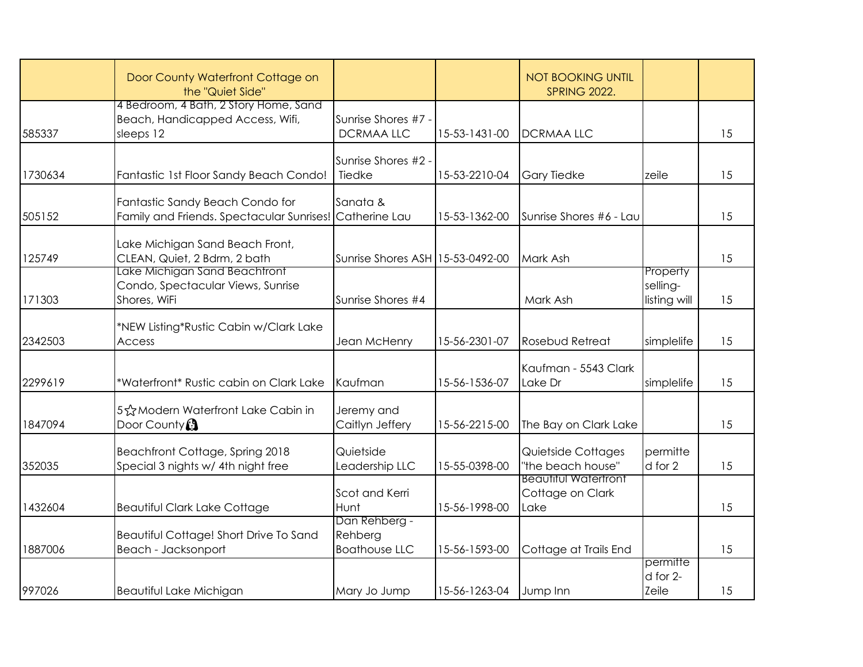|         | Door County Waterfront Cottage on<br>the "Quiet Side"                                      |                                                  |               | <b>NOT BOOKING UNTIL</b><br><b>SPRING 2022.</b>         |                                      |    |
|---------|--------------------------------------------------------------------------------------------|--------------------------------------------------|---------------|---------------------------------------------------------|--------------------------------------|----|
| 585337  | 4 Bedroom, 4 Bath, 2 Story Home, Sand<br>Beach, Handicapped Access, Wifi,<br>sleeps 12     | Sunrise Shores #7 -<br><b>DCRMAA LLC</b>         | 15-53-1431-00 | <b>DCRMAALLC</b>                                        |                                      | 15 |
| 1730634 | Fantastic 1st Floor Sandy Beach Condo!                                                     | Sunrise Shores #2 -<br>Tiedke                    | 15-53-2210-04 | <b>Gary Tiedke</b>                                      | zeile                                | 15 |
| 505152  | Fantastic Sandy Beach Condo for<br>Family and Friends. Spectacular Sunrises! Catherine Lau | Sanata &                                         | 15-53-1362-00 | Sunrise Shores #6 - Lau                                 |                                      | 15 |
| 125749  | Lake Michigan Sand Beach Front,<br>CLEAN, Quiet, 2 Bdrm, 2 bath                            | Sunrise Shores ASH 15-53-0492-00                 |               | Mark Ash                                                |                                      | 15 |
| 171303  | Lake Michigan Sand Beachtront<br>Condo, Spectacular Views, Sunrise<br>Shores, WiFi         | Sunrise Shores #4                                |               | Mark Ash                                                | Property<br>selling-<br>listing will | 15 |
| 2342503 | *NEW Listing*Rustic Cabin w/Clark Lake<br>Access                                           | Jean McHenry                                     | 15-56-2301-07 | Rosebud Retreat                                         | simplelife                           | 15 |
| 2299619 | *Waterfront* Rustic cabin on Clark Lake                                                    | Kaufman                                          | 15-56-1536-07 | Kaufman - 5543 Clark<br>Lake Dr                         | simplelife                           | 15 |
| 1847094 | 5☆ Modern Waterfront Lake Cabin in<br>Door County                                          | Jeremy and<br>Caitlyn Jeffery                    | 15-56-2215-00 | The Bay on Clark Lake                                   |                                      | 15 |
| 352035  | Beachfront Cottage, Spring 2018<br>Special 3 nights w/ 4th night free                      | Quietside<br>Leadership LLC                      | 15-55-0398-00 | Quietside Cottages<br>"the beach house"                 | permitte<br>d for 2                  | 15 |
| 1432604 | <b>Beautiful Clark Lake Cottage</b>                                                        | Scot and Kerri<br>Hunt                           | 15-56-1998-00 | <b>Beautitul Watertront</b><br>Cottage on Clark<br>Lake |                                      | 15 |
| 1887006 | Beautiful Cottage! Short Drive To Sand<br>Beach - Jacksonport                              | Dan Rehberg -<br>Rehberg<br><b>Boathouse LLC</b> | 15-56-1593-00 | Cottage at Trails End                                   |                                      | 15 |
| 997026  | Beautiful Lake Michigan                                                                    | Mary Jo Jump                                     | 15-56-1263-04 | Jump Inn                                                | permitte<br>d for 2-<br>Zeile        | 15 |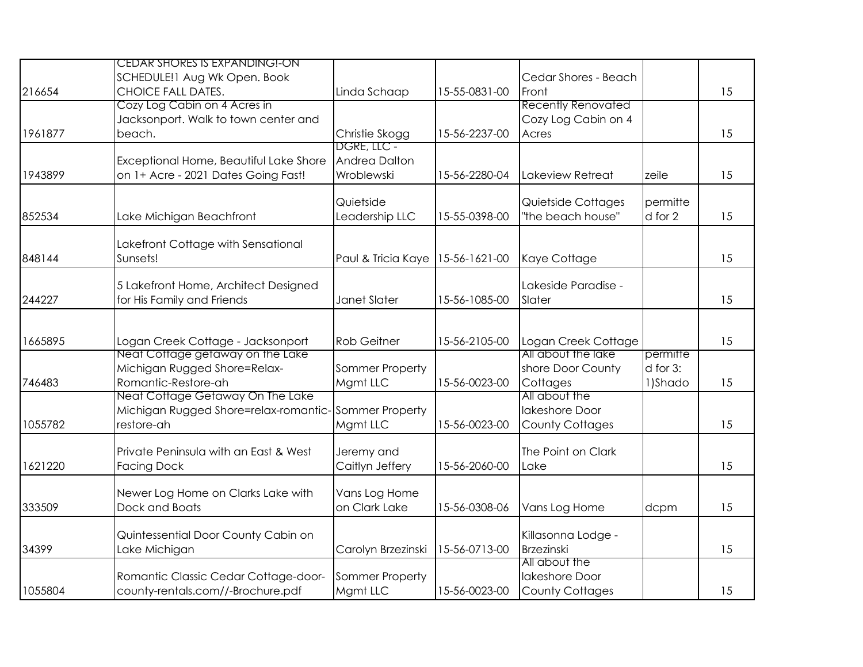|         | <b>CEDAR SHORES IS EXPANDING!-ON</b>                 |                    |               |                           |               |    |
|---------|------------------------------------------------------|--------------------|---------------|---------------------------|---------------|----|
|         | SCHEDULE!1 Aug Wk Open. Book                         |                    |               | Cedar Shores - Beach      |               |    |
| 216654  | <b>CHOICE FALL DATES.</b>                            | Linda Schaap       | 15-55-0831-00 | Front                     |               | 15 |
|         | Cozy Log Cabin on 4 Acres in                         |                    |               | <b>Recently Renovated</b> |               |    |
|         | Jacksonport. Walk to town center and                 |                    |               | Cozy Log Cabin on 4       |               |    |
| 1961877 | beach.                                               | Christie Skogg     | 15-56-2237-00 | Acres                     |               | 15 |
|         |                                                      | DGRE, LLC -        |               |                           |               |    |
|         | Exceptional Home, Beautiful Lake Shore               | Andrea Dalton      |               |                           |               |    |
| 1943899 | on 1+ Acre - 2021 Dates Going Fast!                  | Wroblewski         | 15-56-2280-04 | Lakeview Retreat          | zeile         | 15 |
|         |                                                      |                    |               |                           |               |    |
|         |                                                      | Quietside          |               | Quietside Cottages        | permitte      |    |
| 852534  | Lake Michigan Beachfront                             | Leadership LLC     | 15-55-0398-00 | "the beach house"         | d for 2       | 15 |
|         |                                                      |                    |               |                           |               |    |
| 848144  | Lakefront Cottage with Sensational<br>Sunsets!       | Paul & Tricia Kaye | 15-56-1621-00 | Kaye Cottage              |               | 15 |
|         |                                                      |                    |               |                           |               |    |
|         | 5 Lakefront Home, Architect Designed                 |                    |               | Lakeside Paradise -       |               |    |
| 244227  | for His Family and Friends                           | Janet Slater       | 15-56-1085-00 | Slater                    |               | 15 |
|         |                                                      |                    |               |                           |               |    |
|         |                                                      |                    |               |                           |               |    |
| 1665895 | Logan Creek Cottage - Jacksonport                    | <b>Rob Geitner</b> | 15-56-2105-00 | Logan Creek Cottage       |               | 15 |
|         | Neat Cottage getaway on the Lake                     |                    |               | All about the lake        | permitte      |    |
|         | Michigan Rugged Shore=Relax-                         | Sommer Property    |               | shore Door County         | $d$ for $3$ : |    |
| 746483  | Romantic-Restore-ah                                  | Mgmt LLC           | 15-56-0023-00 | Cottages                  | 1)Shado       | 15 |
|         | Neat Cottage Getaway On The Lake                     |                    |               | All about the             |               |    |
|         | Michigan Rugged Shore=relax-romantic-Sommer Property |                    |               | lakeshore Door            |               |    |
| 1055782 | restore-ah                                           | Mgmt LLC           | 15-56-0023-00 | <b>County Cottages</b>    |               | 15 |
|         |                                                      |                    |               |                           |               |    |
|         | Private Peninsula with an East & West                | Jeremy and         |               | The Point on Clark        |               |    |
| 1621220 | <b>Facing Dock</b>                                   | Caitlyn Jeffery    | 15-56-2060-00 | Lake                      |               | 15 |
|         |                                                      |                    |               |                           |               |    |
|         | Newer Log Home on Clarks Lake with                   | Vans Log Home      |               |                           |               |    |
| 333509  | Dock and Boats                                       | on Clark Lake      | 15-56-0308-06 | Vans Log Home             | dcpm          | 15 |
|         | Quintessential Door County Cabin on                  |                    |               | Killasonna Lodge -        |               |    |
| 34399   |                                                      |                    | 15-56-0713-00 | <b>Brzezinski</b>         |               | 15 |
|         | Lake Michigan                                        | Carolyn Brzezinski |               | All about the             |               |    |
|         | Romantic Classic Cedar Cottage-door-                 | Sommer Property    |               | lakeshore Door            |               |    |
| 1055804 | county-rentals.com//-Brochure.pdf                    | Mgmt LLC           | 15-56-0023-00 | County Cottages           |               | 15 |
|         |                                                      |                    |               |                           |               |    |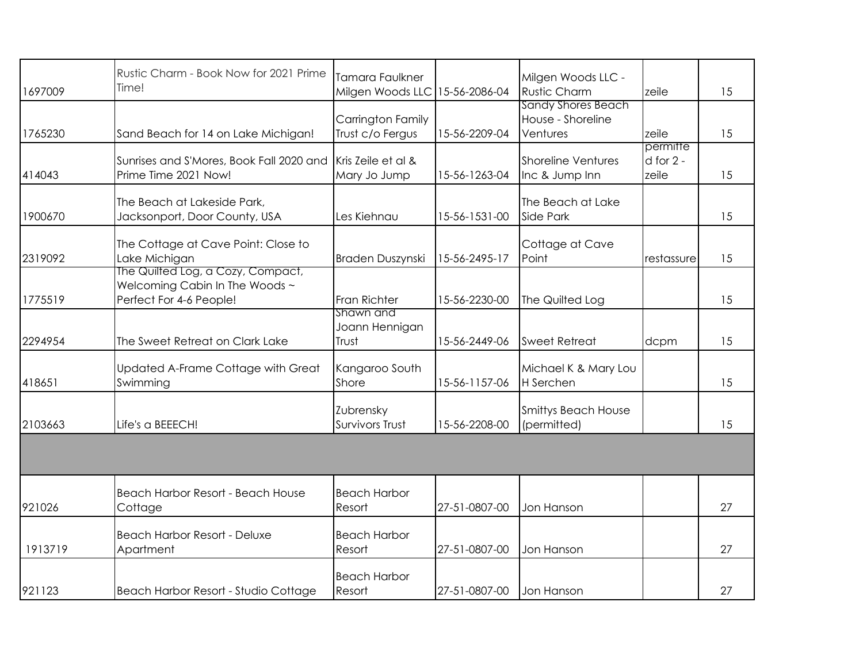|         | Rustic Charm - Book Now for 2021 Prime<br>Time!           | <b>Tamara Faulkner</b>                |               | Milgen Woods LLC -            |               |    |
|---------|-----------------------------------------------------------|---------------------------------------|---------------|-------------------------------|---------------|----|
| 1697009 |                                                           | Milgen Woods LLC                      | 15-56-2086-04 | <b>Rustic Charm</b>           | zeile         | 15 |
|         |                                                           |                                       |               | <b>Sandy Shores Beach</b>     |               |    |
| 1765230 | Sand Beach for 14 on Lake Michigan!                       | Carrington Family<br>Trust c/o Fergus | 15-56-2209-04 | House - Shoreline<br>Ventures | zeile         | 15 |
|         |                                                           |                                       |               |                               | permitte      |    |
|         | Sunrises and S'Mores, Book Fall 2020 and                  | Kris Zeile et al &                    |               | <b>Shoreline Ventures</b>     | $d$ for $2 -$ |    |
| 414043  | Prime Time 2021 Now!                                      | Mary Jo Jump                          | 15-56-1263-04 | Inc & Jump Inn                | zeile         | 15 |
|         |                                                           |                                       |               |                               |               |    |
|         | The Beach at Lakeside Park,                               |                                       |               | The Beach at Lake             |               |    |
| 1900670 | Jacksonport, Door County, USA                             | Les Kiehnau                           | 15-56-1531-00 | Side Park                     |               | 15 |
|         |                                                           |                                       |               |                               |               |    |
|         | The Cottage at Cave Point: Close to                       |                                       |               | Cottage at Cave               |               |    |
| 2319092 | Lake Michigan                                             | Braden Duszynski                      | 15-56-2495-17 | Point                         | restassure    | 15 |
|         | The Quilted Log, a Cozy, Compact,                         |                                       |               |                               |               |    |
| 1775519 | Welcoming Cabin In The Woods ~<br>Perfect For 4-6 People! | Fran Richter                          | 15-56-2230-00 |                               |               | 15 |
|         |                                                           | Shawn and                             |               | The Quilted Log               |               |    |
|         |                                                           | Joann Hennigan                        |               |                               |               |    |
| 2294954 | The Sweet Retreat on Clark Lake                           | Trust                                 | 15-56-2449-06 | <b>Sweet Retreat</b>          | dcpm          | 15 |
|         |                                                           |                                       |               |                               |               |    |
|         | Updated A-Frame Cottage with Great                        | Kangaroo South                        |               | Michael K & Mary Lou          |               |    |
| 418651  | Swimming                                                  | Shore                                 | 15-56-1157-06 | H Serchen                     |               | 15 |
|         |                                                           |                                       |               |                               |               |    |
|         |                                                           | Zubrensky                             |               | <b>Smittys Beach House</b>    |               |    |
| 2103663 | Life's a BEEECH!                                          | Survivors Trust                       | 15-56-2208-00 | (permitted)                   |               | 15 |
|         |                                                           |                                       |               |                               |               |    |
|         |                                                           |                                       |               |                               |               |    |
|         |                                                           |                                       |               |                               |               |    |
|         | <b>Beach Harbor Resort - Beach House</b>                  | <b>Beach Harbor</b>                   |               |                               |               |    |
| 921026  | Cottage                                                   | Resort                                | 27-51-0807-00 | Jon Hanson                    |               | 27 |
|         |                                                           |                                       |               |                               |               |    |
|         | <b>Beach Harbor Resort - Deluxe</b>                       | <b>Beach Harbor</b>                   |               |                               |               |    |
| 1913719 | Apartment                                                 | Resort                                | 27-51-0807-00 | Jon Hanson                    |               | 27 |
|         |                                                           | <b>Beach Harbor</b>                   |               |                               |               |    |
| 921123  | Beach Harbor Resort - Studio Cottage                      | Resort                                | 27-51-0807-00 | Jon Hanson                    |               | 27 |
|         |                                                           |                                       |               |                               |               |    |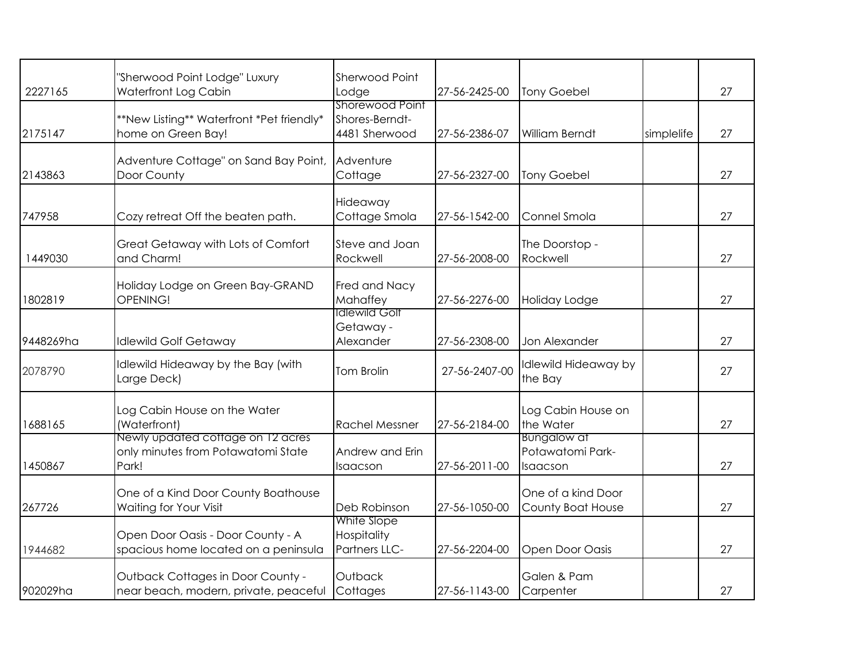| 2227165   | "Sherwood Point Lodge" Luxury<br>Waterfront Log Cabin                            | Sherwood Point<br>Lodge                            | 27-56-2425-00 | <b>Tony Goebel</b>                                 |            | 27 |
|-----------|----------------------------------------------------------------------------------|----------------------------------------------------|---------------|----------------------------------------------------|------------|----|
| 2175147   | **New Listing** Waterfront *Pet friendly*<br>home on Green Bay!                  | Shorewood Point<br>Shores-Berndt-<br>4481 Sherwood | 27-56-2386-07 | <b>William Berndt</b>                              | simplelife | 27 |
| 2143863   | Adventure Cottage" on Sand Bay Point,<br>Door County                             | Adventure<br>Cottage                               | 27-56-2327-00 | <b>Tony Goebel</b>                                 |            | 27 |
| 747958    | Cozy retreat Off the beaten path.                                                | Hideaway<br>Cottage Smola                          | 27-56-1542-00 | Connel Smola                                       |            | 27 |
| 1449030   | Great Getaway with Lots of Comfort<br>and Charm!                                 | Steve and Joan<br>Rockwell                         | 27-56-2008-00 | The Doorstop -<br>Rockwell                         |            | 27 |
| 1802819   | Holiday Lodge on Green Bay-GRAND<br>OPENING!                                     | Fred and Nacy<br>Mahaffey                          | 27-56-2276-00 | Holiday Lodge                                      |            | 27 |
| 9448269ha | <b>Idlewild Golf Getaway</b>                                                     | <b>Idlewild Golf</b><br>Getaway -<br>Alexander     | 27-56-2308-00 | Jon Alexander                                      |            | 27 |
| 2078790   | Idlewild Hideaway by the Bay (with<br>Large Deck)                                | Tom Brolin                                         | 27-56-2407-00 | Idlewild Hideaway by<br>the Bay                    |            | 27 |
| 1688165   | Log Cabin House on the Water<br>(Waterfront)                                     | <b>Rachel Messner</b>                              | 27-56-2184-00 | Log Cabin House on<br>the Water                    |            | 27 |
| 1450867   | Newly updated cottage on 12 acres<br>only minutes from Potawatomi State<br>Park! | Andrew and Erin<br>Isaacson                        | 27-56-2011-00 | <b>Bungalow at</b><br>Potawatomi Park-<br>Isaacson |            | 27 |
| 267726    | One of a Kind Door County Boathouse<br>Waiting for Your Visit                    | Deb Robinson                                       | 27-56-1050-00 | One of a kind Door<br>County Boat House            |            | 27 |
| 1944682   | Open Door Oasis - Door County - A<br>spacious home located on a peninsula        | White Slope<br>Hospitality<br>Partners LLC-        | 27-56-2204-00 | <b>Open Door Oasis</b>                             |            | 27 |
| 902029ha  | Outback Cottages in Door County -<br>near beach, modern, private, peaceful       | Outback<br>Cottages                                | 27-56-1143-00 | Galen & Pam<br>Carpenter                           |            | 27 |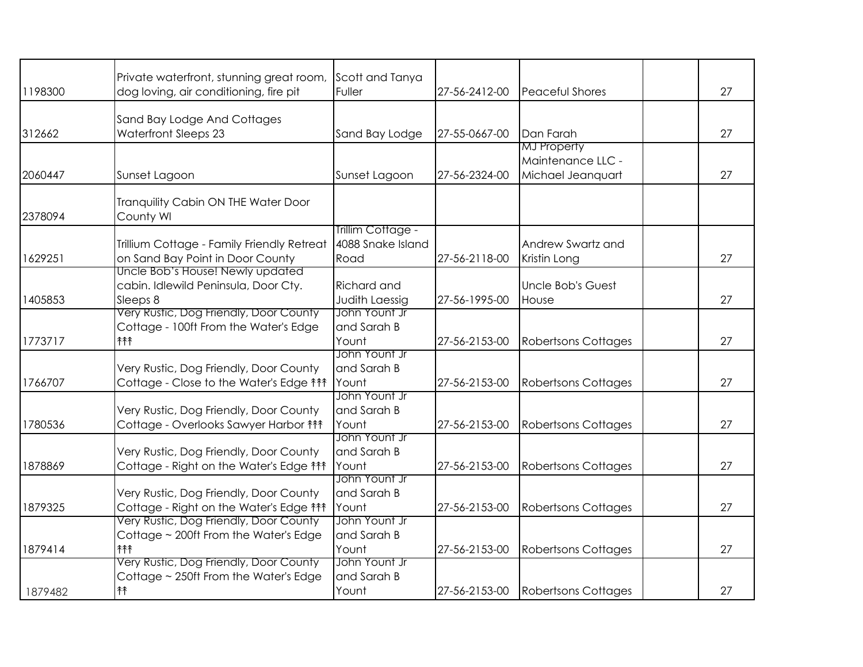| 1198300 | Private waterfront, stunning great room,<br>dog loving, air conditioning, fire pit | Scott and Tanya<br>Fuller              | 27-56-2412-00 | <b>Peaceful Shores</b>     | 27 |
|---------|------------------------------------------------------------------------------------|----------------------------------------|---------------|----------------------------|----|
|         |                                                                                    |                                        |               |                            |    |
|         | Sand Bay Lodge And Cottages                                                        |                                        |               |                            |    |
| 312662  | Waterfront Sleeps 23                                                               | Sand Bay Lodge                         | 27-55-0667-00 | Dan Farah                  | 27 |
|         |                                                                                    |                                        |               | <b>MJ</b> Property         |    |
|         |                                                                                    |                                        |               | Maintenance LLC -          |    |
| 2060447 | Sunset Lagoon                                                                      | Sunset Lagoon                          | 27-56-2324-00 | Michael Jeanquart          | 27 |
|         | Tranquility Cabin ON THE Water Door                                                |                                        |               |                            |    |
| 2378094 | County WI                                                                          |                                        |               |                            |    |
|         |                                                                                    | Trillim Cottage -<br>4088 Snake Island |               | Andrew Swartz and          |    |
| 1629251 | Trillium Cottage - Family Friendly Retreat<br>on Sand Bay Point in Door County     | Road                                   | 27-56-2118-00 |                            | 27 |
|         | Uncle Bob's House! Newly updated                                                   |                                        |               | Kristin Long               |    |
|         | cabin. Idlewild Peninsula, Door Cty.                                               | Richard and                            |               | <b>Uncle Bob's Guest</b>   |    |
| 1405853 | Sleeps 8                                                                           | <b>Judith Laessig</b>                  | 27-56-1995-00 | House                      | 27 |
|         | Very Rustic, Dog Friendly, Door County                                             | John Yount Jr                          |               |                            |    |
|         | Cottage - 100ft From the Water's Edge                                              | and Sarah B                            |               |                            |    |
| 1773717 | 个个个                                                                                | Yount                                  | 27-56-2153-00 | <b>Robertsons Cottages</b> | 27 |
|         |                                                                                    | John Yount Jr                          |               |                            |    |
|         | Very Rustic, Dog Friendly, Door County                                             | and Sarah B                            |               |                            |    |
| 1766707 | Cottage - Close to the Water's Edge ***                                            | Yount                                  | 27-56-2153-00 | <b>Robertsons Cottages</b> | 27 |
|         |                                                                                    | John Yount Jr                          |               |                            |    |
|         | Very Rustic, Dog Friendly, Door County                                             | and Sarah B                            |               |                            |    |
| 1780536 | Cottage - Overlooks Sawyer Harbor ***                                              | Yount                                  | 27-56-2153-00 | <b>Robertsons Cottages</b> | 27 |
|         |                                                                                    | John Yount Jr                          |               |                            |    |
|         | Very Rustic, Dog Friendly, Door County                                             | and Sarah B                            |               |                            |    |
| 1878869 | Cottage - Right on the Water's Edge ***                                            | Yount                                  | 27-56-2153-00 | <b>Robertsons Cottages</b> | 27 |
|         |                                                                                    | John Yount Jr                          |               |                            |    |
|         | Very Rustic, Dog Friendly, Door County                                             | and Sarah B                            |               |                            |    |
| 1879325 | Cottage - Right on the Water's Edge 111<br>Very Rustic, Dog Friendly, Door County  | Yount<br>John Yount Jr                 | 27-56-2153-00 | <b>Robertsons Cottages</b> | 27 |
|         | Cottage ~ 200ft From the Water's Edge                                              | and Sarah B                            |               |                            |    |
|         | 个个个                                                                                | Yount                                  |               |                            | 27 |
| 1879414 | Very Rustic, Dog Friendly, Door County                                             | John Yount Jr                          | 27-56-2153-00 | <b>Robertsons Cottages</b> |    |
|         | Cottage ~ 250ft From the Water's Edge                                              | and Sarah B                            |               |                            |    |
|         | 介                                                                                  | Yount                                  | 27-56-2153-00 | <b>Robertsons Cottages</b> | 27 |
| 1879482 |                                                                                    |                                        |               |                            |    |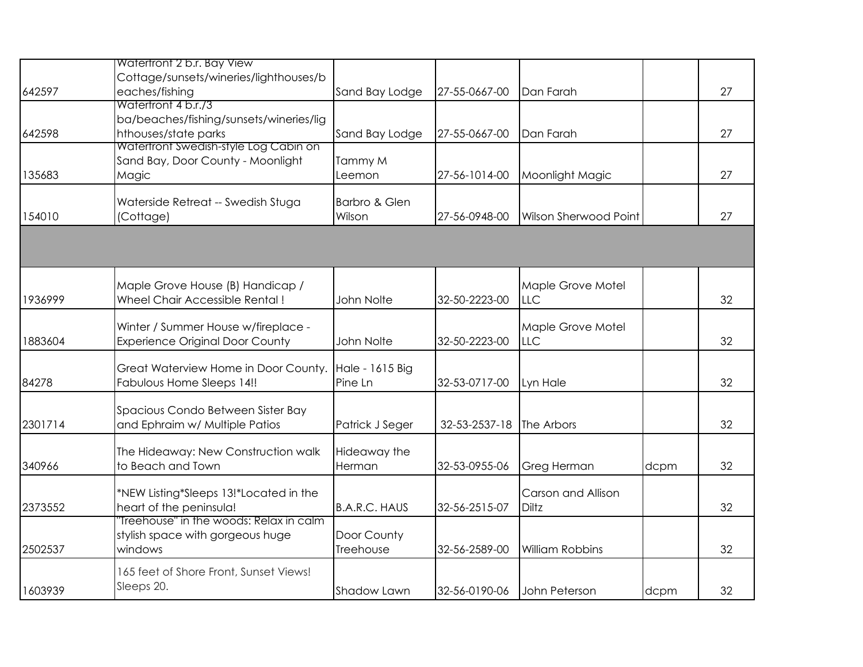|         | Watertront 2 b.r. Bay View                                                             |                            |               |                                 |      |    |
|---------|----------------------------------------------------------------------------------------|----------------------------|---------------|---------------------------------|------|----|
| 642597  | Cottage/sunsets/wineries/lighthouses/b<br>eaches/fishing                               | Sand Bay Lodge             | 27-55-0667-00 | Dan Farah                       |      | 27 |
| 642598  | Watertront 4 b.r./3<br>ba/beaches/fishing/sunsets/wineries/lig<br>hthouses/state parks | Sand Bay Lodge             | 27-55-0667-00 | Dan Farah                       |      | 27 |
| 135683  | Watertront Swedish-style Log Cabin on<br>Sand Bay, Door County - Moonlight<br>Magic    | Tammy M<br>Leemon          | 27-56-1014-00 | Moonlight Magic                 |      | 27 |
| 154010  | Waterside Retreat -- Swedish Stuga<br>(Cottage)                                        | Barbro & Glen<br>Wilson    | 27-56-0948-00 | <b>Wilson Sherwood Point</b>    |      | 27 |
|         |                                                                                        |                            |               |                                 |      |    |
| 1936999 | Maple Grove House (B) Handicap /<br><b>Wheel Chair Accessible Rental!</b>              | John Nolte                 | 32-50-2223-00 | Maple Grove Motel<br><b>LLC</b> |      | 32 |
| 1883604 | Winter / Summer House w/fireplace -<br><b>Experience Original Door County</b>          | John Nolte                 | 32-50-2223-00 | Maple Grove Motel<br><b>LLC</b> |      | 32 |
| 84278   | Great Waterview Home in Door County.<br><b>Fabulous Home Sleeps 14!!</b>               | Hale - 1615 Big<br>Pine Ln | 32-53-0717-00 | Lyn Hale                        |      | 32 |
| 2301714 | Spacious Condo Between Sister Bay<br>and Ephraim w/ Multiple Patios                    | Patrick J Seger            | 32-53-2537-18 | The Arbors                      |      | 32 |
| 340966  | The Hideaway: New Construction walk<br>to Beach and Town                               | Hideaway the<br>Herman     | 32-53-0955-06 | Greg Herman                     | dcpm | 32 |
| 2373552 | *NEW Listing*Sleeps 13!*Located in the<br>heart of the peninsula!                      | <b>B.A.R.C. HAUS</b>       | 32-56-2515-07 | Carson and Allison<br>Diltz     |      | 32 |
| 2502537 | Treehouse" in the woods: Relax in calm<br>stylish space with gorgeous huge<br>windows  | Door County<br>Treehouse   | 32-56-2589-00 | <b>William Robbins</b>          |      | 32 |
| 1603939 | 165 feet of Shore Front, Sunset Views!<br>Sleeps 20.                                   | Shadow Lawn                | 32-56-0190-06 | John Peterson                   | dcpm | 32 |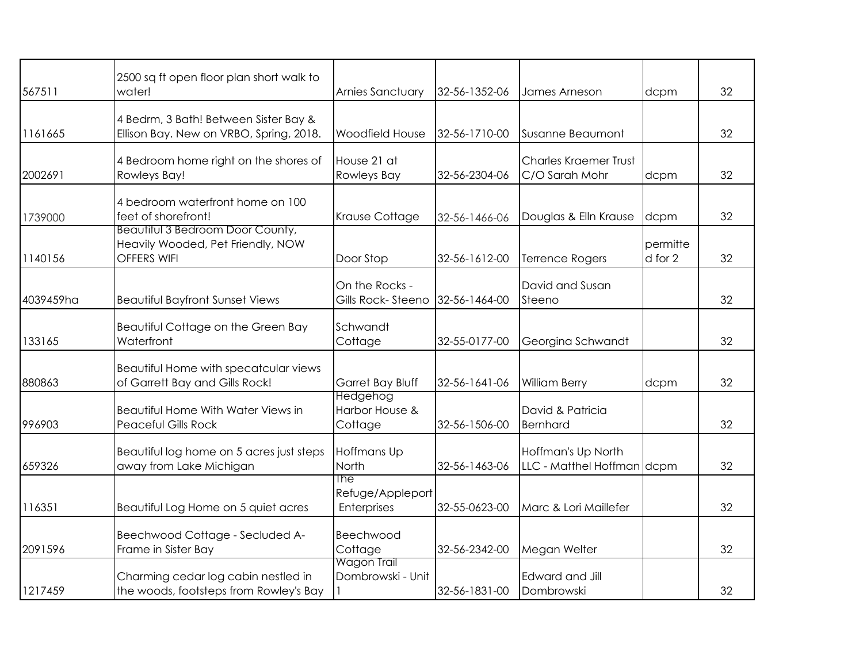| 567511    | 2500 sq ft open floor plan short walk to<br>water!                                   | Arnies Sanctuary                       | 32-56-1352-06 | James Arneson                                    | dcpm                | 32 |
|-----------|--------------------------------------------------------------------------------------|----------------------------------------|---------------|--------------------------------------------------|---------------------|----|
| 1161665   | 4 Bedrm, 3 Bath! Between Sister Bay &<br>Ellison Bay. New on VRBO, Spring, 2018.     | <b>Woodfield House</b>                 | 32-56-1710-00 | Susanne Beaumont                                 |                     | 32 |
| 2002691   | 4 Bedroom home right on the shores of<br>Rowleys Bay!                                | House 21 at<br>Rowleys Bay             | 32-56-2304-06 | <b>Charles Kraemer Trust</b><br>C/O Sarah Mohr   | dcpm                | 32 |
| 1739000   | 4 bedroom waterfront home on 100<br>feet of shorefront!                              | Krause Cottage                         | 32-56-1466-06 | Douglas & Elln Krause                            | dcpm                | 32 |
| 1140156   | Beautitul 3 Bedroom Door County,<br>Heavily Wooded, Pet Friendly, NOW<br>OFFERS WIFI | Door Stop                              | 32-56-1612-00 | <b>Terrence Rogers</b>                           | permitte<br>d for 2 | 32 |
| 4039459ha | <b>Beautiful Bayfront Sunset Views</b>                                               | On the Rocks -<br>Gills Rock-Steeno    | 32-56-1464-00 | David and Susan<br>Steeno                        |                     | 32 |
| 133165    | Beautiful Cottage on the Green Bay<br>Waterfront                                     | Schwandt<br>Cottage                    | 32-55-0177-00 | Georgina Schwandt                                |                     | 32 |
| 880863    | Beautiful Home with specatcular views<br>of Garrett Bay and Gills Rock!              | Garret Bay Bluff                       | 32-56-1641-06 | <b>William Berry</b>                             | dcpm                | 32 |
| 996903    | Beautiful Home With Water Views in<br>Peaceful Gills Rock                            | Hedgehog<br>Harbor House &<br>Cottage  | 32-56-1506-00 | David & Patricia<br>Bernhard                     |                     | 32 |
| 659326    | Beautiful log home on 5 acres just steps<br>away from Lake Michigan                  | Hoffmans Up<br>North                   | 32-56-1463-06 | Hoffman's Up North<br>LLC - Matthel Hoffman dcpm |                     | 32 |
| 116351    | Beautiful Log Home on 5 quiet acres                                                  | The<br>Refuge/Appleport<br>Enterprises | 32-55-0623-00 | Marc & Lori Maillefer                            |                     | 32 |
| 2091596   | Beechwood Cottage - Secluded A-<br>Frame in Sister Bay                               | Beechwood<br>Cottage                   | 32-56-2342-00 | Megan Welter                                     |                     | 32 |
| 1217459   | Charming cedar log cabin nestled in<br>the woods, footsteps from Rowley's Bay        | Wagon Trail<br>Dombrowski - Unit       | 32-56-1831-00 | Edward and Jill<br>Dombrowski                    |                     | 32 |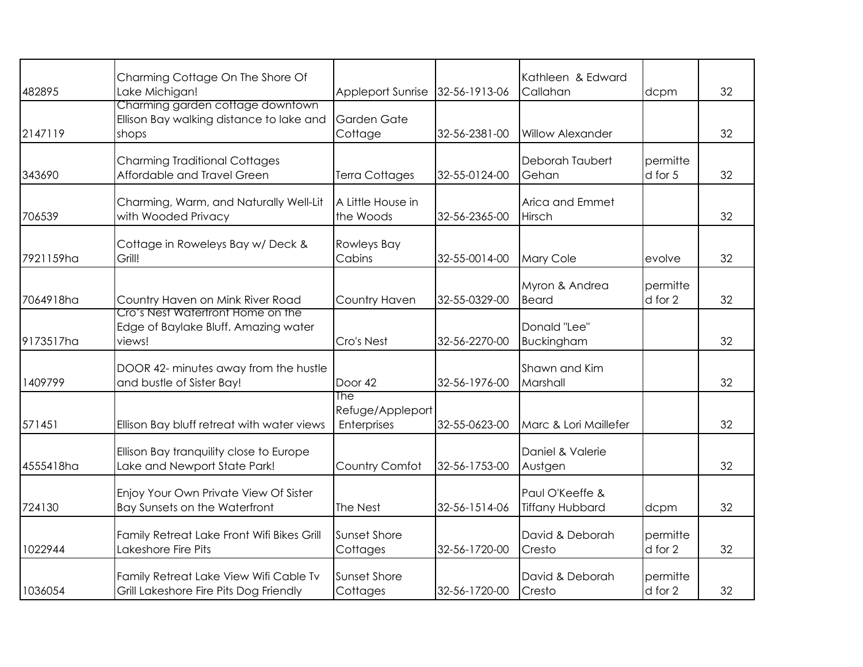| 482895    | Charming Cottage On The Shore Of<br>Lake Michigan!                                    | <b>Appleport Sunrise</b>               | 32-56-1913-06 | Kathleen & Edward<br>Callahan             | dcpm                | 32 |
|-----------|---------------------------------------------------------------------------------------|----------------------------------------|---------------|-------------------------------------------|---------------------|----|
| 2147119   | Charming garden cottage downtown<br>Ellison Bay walking distance to lake and<br>shops | Garden Gate<br>Cottage                 | 32-56-2381-00 | <b>Willow Alexander</b>                   |                     | 32 |
| 343690    | <b>Charming Traditional Cottages</b><br>Affordable and Travel Green                   | <b>Terra Cottages</b>                  | 32-55-0124-00 | Deborah Taubert<br>Gehan                  | permitte<br>d for 5 | 32 |
| 706539    | Charming, Warm, and Naturally Well-Lit<br>with Wooded Privacy                         | A Little House in<br>the Woods         | 32-56-2365-00 | Arica and Emmet<br>Hirsch                 |                     | 32 |
| 7921159ha | Cottage in Roweleys Bay w/ Deck &<br>Grill!                                           | Rowleys Bay<br>Cabins                  | 32-55-0014-00 | <b>Mary Cole</b>                          | evolve              | 32 |
| 7064918ha | Country Haven on Mink River Road                                                      | Country Haven                          | 32-55-0329-00 | Myron & Andrea<br>Beard                   | permitte<br>d for 2 | 32 |
| 9173517ha | Cro's Nest Watertront Home on the<br>Edge of Baylake Bluff. Amazing water<br>views!   | Cro's Nest                             | 32-56-2270-00 | Donald "Lee"<br>Buckingham                |                     | 32 |
| 1409799   | DOOR 42- minutes away from the hustle<br>and bustle of Sister Bay!                    | Door 42                                | 32-56-1976-00 | Shawn and Kim<br>Marshall                 |                     | 32 |
| 571451    | Ellison Bay bluff retreat with water views                                            | The<br>Refuge/Appleport<br>Enterprises | 32-55-0623-00 | Marc & Lori Maillefer                     |                     | 32 |
| 4555418ha | Ellison Bay tranquility close to Europe<br>Lake and Newport State Park!               | Country Comfot                         | 32-56-1753-00 | Daniel & Valerie<br>Austgen               |                     | 32 |
| 724130    | Enjoy Your Own Private View Of Sister<br>Bay Sunsets on the Waterfront                | The Nest                               | 32-56-1514-06 | Paul O'Keeffe &<br><b>Tiffany Hubbard</b> | dcpm                | 32 |
| 1022944   | Family Retreat Lake Front Wifi Bikes Grill<br>Lakeshore Fire Pits                     | Sunset Shore<br>Cottages               | 32-56-1720-00 | David & Deborah<br>Cresto                 | permitte<br>d for 2 | 32 |
| 1036054   | Family Retreat Lake View Wifi Cable Tv<br>Grill Lakeshore Fire Pits Dog Friendly      | Sunset Shore<br>Cottages               | 32-56-1720-00 | David & Deborah<br>Cresto                 | permitte<br>d for 2 | 32 |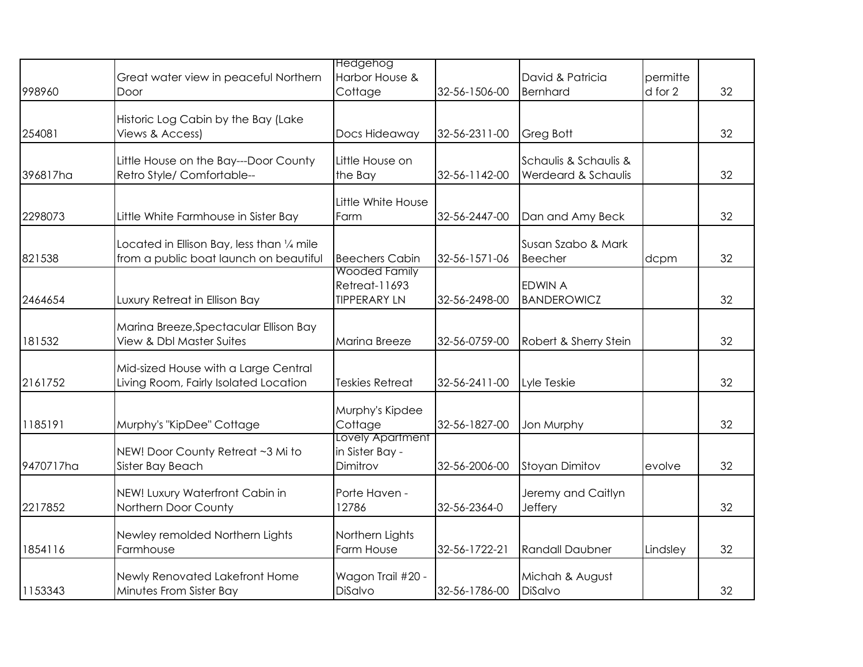|           |                                                                               | <b>Hedgehog</b>                       |               |                        |          |    |
|-----------|-------------------------------------------------------------------------------|---------------------------------------|---------------|------------------------|----------|----|
|           | Great water view in peaceful Northern                                         | Harbor House &                        |               | David & Patricia       | permitte |    |
| 998960    | Door                                                                          | Cottage                               | 32-56-1506-00 | Bernhard               | d for 2  | 32 |
|           | Historic Log Cabin by the Bay (Lake                                           |                                       |               |                        |          |    |
| 254081    | Views & Access)                                                               | Docs Hideaway                         | 32-56-2311-00 | Greg Bott              |          | 32 |
|           | Little House on the Bay---Door County                                         | Little House on                       |               | Schaulis & Schaulis &  |          |    |
| 396817ha  | Retro Style/ Comfortable--                                                    | the Bay                               | 32-56-1142-00 | Werdeard & Schaulis    |          | 32 |
|           |                                                                               | Little White House                    |               |                        |          |    |
| 2298073   | Little White Farmhouse in Sister Bay                                          | Farm                                  | 32-56-2447-00 | Dan and Amy Beck       |          | 32 |
|           | Located in Ellison Bay, less than 1/4 mile                                    |                                       |               | Susan Szabo & Mark     |          |    |
| 821538    | from a public boat launch on beautiful                                        | <b>Beechers Cabin</b>                 | 32-56-1571-06 | Beecher                | dcpm     | 32 |
|           |                                                                               | Wooded Family<br><b>Retreat-11693</b> |               | <b>EDWIN A</b>         |          |    |
| 2464654   | Luxury Retreat in Ellison Bay                                                 | <b>TIPPERARY LN</b>                   | 32-56-2498-00 | <b>BANDEROWICZ</b>     |          | 32 |
|           |                                                                               |                                       |               |                        |          |    |
| 181532    | Marina Breeze, Spectacular Ellison Bay<br><b>View &amp; Dbl Master Suites</b> | Marina Breeze                         | 32-56-0759-00 | Robert & Sherry Stein  |          | 32 |
|           |                                                                               |                                       |               |                        |          |    |
| 2161752   | Mid-sized House with a Large Central<br>Living Room, Fairly Isolated Location | <b>Teskies Retreat</b>                | 32-56-2411-00 | Lyle Teskie            |          | 32 |
|           |                                                                               |                                       |               |                        |          |    |
|           |                                                                               | Murphy's Kipdee                       |               |                        |          |    |
| 1185191   | Murphy's "KipDee" Cottage                                                     | Cottage<br>Lovely Apartment           | 32-56-1827-00 | Jon Murphy             |          | 32 |
|           | NEW! Door County Retreat ~3 Mi to                                             | in Sister Bay -                       |               |                        |          |    |
| 9470717ha | Sister Bay Beach                                                              | Dimitrov                              | 32-56-2006-00 | <b>Stoyan Dimitov</b>  | evolve   | 32 |
|           | NEW! Luxury Waterfront Cabin in                                               | Porte Haven -                         |               | Jeremy and Caitlyn     |          |    |
| 2217852   | Northern Door County                                                          | 12786                                 | 32-56-2364-0  | Jeffery                |          | 32 |
|           | Newley remolded Northern Lights                                               | Northern Lights                       |               |                        |          |    |
| 1854116   | Farmhouse                                                                     | Farm House                            | 32-56-1722-21 | <b>Randall Daubner</b> | Lindsley | 32 |
|           | Newly Renovated Lakefront Home                                                | Wagon Trail #20 -                     |               | Michah & August        |          |    |
| 1153343   | Minutes From Sister Bay                                                       | <b>DiSalvo</b>                        | 32-56-1786-00 | DiSalvo                |          | 32 |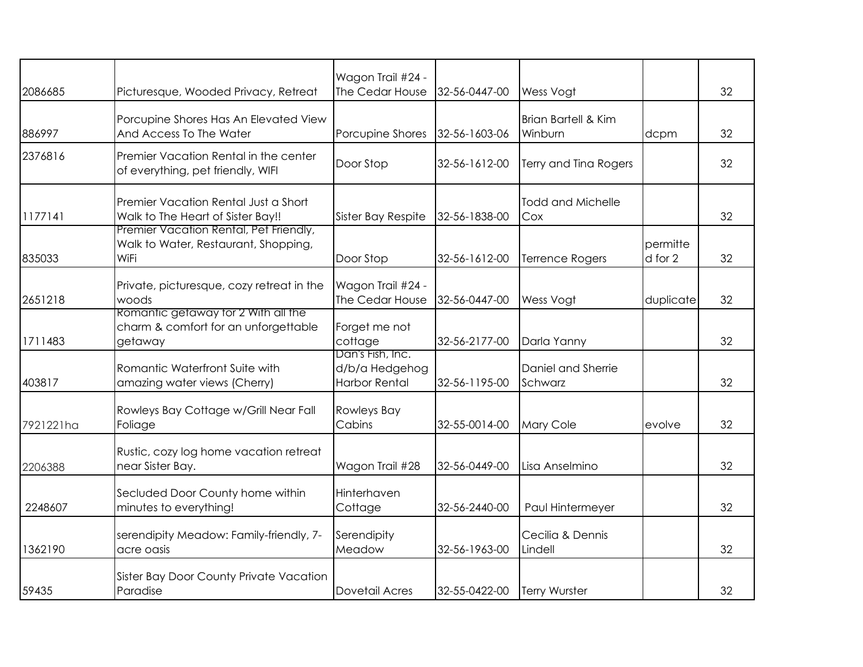|           |                                                                                               | Wagon Trail #24 -                                          |               |                                           |                     |    |
|-----------|-----------------------------------------------------------------------------------------------|------------------------------------------------------------|---------------|-------------------------------------------|---------------------|----|
| 2086685   | Picturesque, Wooded Privacy, Retreat                                                          | The Cedar House                                            | 32-56-0447-00 | Wess Vogt                                 |                     | 32 |
| 886997    | Porcupine Shores Has An Elevated View<br>And Access To The Water                              | Porcupine Shores                                           | 32-56-1603-06 | <b>Brian Bartell &amp; Kim</b><br>Winburn | dcpm                | 32 |
| 2376816   | Premier Vacation Rental in the center<br>of everything, pet friendly, WIFI                    | Door Stop                                                  | 32-56-1612-00 | Terry and Tina Rogers                     |                     | 32 |
| 1177141   | Premier Vacation Rental Just a Short<br>Walk to The Heart of Sister Bay!!                     | Sister Bay Respite                                         | 32-56-1838-00 | <b>Todd and Michelle</b><br>Cox           |                     | 32 |
| 835033    | Premier Vacation Rental, Pet Friendly,<br>Walk to Water, Restaurant, Shopping,<br><b>WiFi</b> | Door Stop                                                  | 32-56-1612-00 | <b>Terrence Rogers</b>                    | permitte<br>d for 2 | 32 |
| 2651218   | Private, picturesque, cozy retreat in the<br>woods                                            | Wagon Trail #24 -<br>The Cedar House                       | 32-56-0447-00 | Wess Vogt                                 | duplicate           | 32 |
| 1711483   | Romantic getaway tor 2 With all the<br>charm & comfort for an unforgettable<br>getaway        | Forget me not<br>cottage                                   | 32-56-2177-00 | Darla Yanny                               |                     | 32 |
| 403817    | Romantic Waterfront Suite with<br>amazing water views (Cherry)                                | Dan's Fish, Inc.<br>d/b/a Hedgehog<br><b>Harbor Rental</b> | 32-56-1195-00 | Daniel and Sherrie<br>Schwarz             |                     | 32 |
| 7921221ha | Rowleys Bay Cottage w/Grill Near Fall<br>Foliage                                              | <b>Rowleys Bay</b><br>Cabins                               | 32-55-0014-00 | Mary Cole                                 | evolve              | 32 |
| 2206388   | Rustic, cozy log home vacation retreat<br>near Sister Bay.                                    | Wagon Trail #28                                            | 32-56-0449-00 | Lisa Anselmino                            |                     | 32 |
| 2248607   | Secluded Door County home within<br>minutes to everything!                                    | Hinterhaven<br>Cottage                                     | 32-56-2440-00 | Paul Hintermeyer                          |                     | 32 |
| 1362190   | serendipity Meadow: Family-friendly, 7-<br>acre oasis                                         | Serendipity<br>Meadow                                      | 32-56-1963-00 | Cecilia & Dennis<br>Lindell               |                     | 32 |
| 59435     | Sister Bay Door County Private Vacation<br>Paradise                                           | Dovetail Acres                                             | 32-55-0422-00 | Terry Wurster                             |                     | 32 |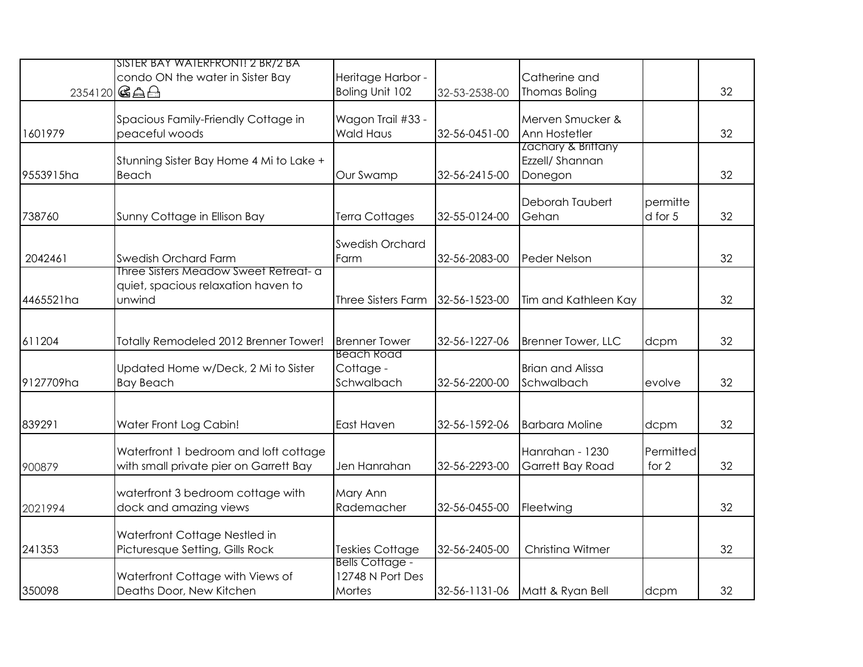|           | SISTER BAY WATERFRONT! 2 BR/2 BA<br>condo ON the water in Sister Bay<br>2354120 GAA    | Heritage Harbor -<br>Boling Unit 102                 | 32-53-2538-00 | Catherine and<br>Thomas Boling                   |                     | 32 |
|-----------|----------------------------------------------------------------------------------------|------------------------------------------------------|---------------|--------------------------------------------------|---------------------|----|
| 1601979   | Spacious Family-Friendly Cottage in<br>peaceful woods                                  | Wagon Trail #33 -<br><b>Wald Haus</b>                | 32-56-0451-00 | Merven Smucker &<br>Ann Hostetler                |                     | 32 |
| 9553915ha | Stunning Sister Bay Home 4 Mi to Lake +<br>Beach                                       | Our Swamp                                            | 32-56-2415-00 | Zachary & Brittany<br>Ezzell/ Shannan<br>Donegon |                     | 32 |
| 738760    | Sunny Cottage in Ellison Bay                                                           | Terra Cottages                                       | 32-55-0124-00 | Deborah Taubert<br>Gehan                         | permitte<br>d for 5 | 32 |
| 2042461   | Swedish Orchard Farm                                                                   | Swedish Orchard<br>Farm                              | 32-56-2083-00 | <b>Peder Nelson</b>                              |                     | 32 |
| 4465521ha | Three Sisters Meadow Sweet Retreat- a<br>quiet, spacious relaxation haven to<br>unwind | <b>Three Sisters Farm</b>                            | 32-56-1523-00 | Tim and Kathleen Kay                             |                     | 32 |
| 611204    | Totally Remodeled 2012 Brenner Tower!                                                  | <b>Brenner Tower</b>                                 | 32-56-1227-06 | Brenner Tower, LLC                               | dcpm                | 32 |
| 9127709ha | Updated Home w/Deck, 2 Mi to Sister<br><b>Bay Beach</b>                                | <b>Beach Road</b><br>Cottage -<br>Schwalbach         | 32-56-2200-00 | <b>Brian and Alissa</b><br>Schwalbach            | evolve              | 32 |
| 839291    | Water Front Log Cabin!                                                                 | East Haven                                           | 32-56-1592-06 | <b>Barbara Moline</b>                            | dcpm                | 32 |
| 900879    | Waterfront 1 bedroom and loft cottage<br>with small private pier on Garrett Bay        | Jen Hanrahan                                         | 32-56-2293-00 | Hanrahan - 1230<br>Garrett Bay Road              | Permitted<br>for 2  | 32 |
| 2021994   | waterfront 3 bedroom cottage with<br>dock and amazing views                            | Mary Ann<br>Rademacher                               | 32-56-0455-00 | Fleetwing                                        |                     | 32 |
| 241353    | Waterfront Cottage Nestled in<br>Picturesque Setting, Gills Rock                       | <b>Teskies Cottage</b>                               | 32-56-2405-00 | Christina Witmer                                 |                     | 32 |
| 350098    | Waterfront Cottage with Views of<br>Deaths Door, New Kitchen                           | <b>Bells Cottage -</b><br>12748 N Port Des<br>Mortes | 32-56-1131-06 | Matt & Ryan Bell                                 | dcpm                | 32 |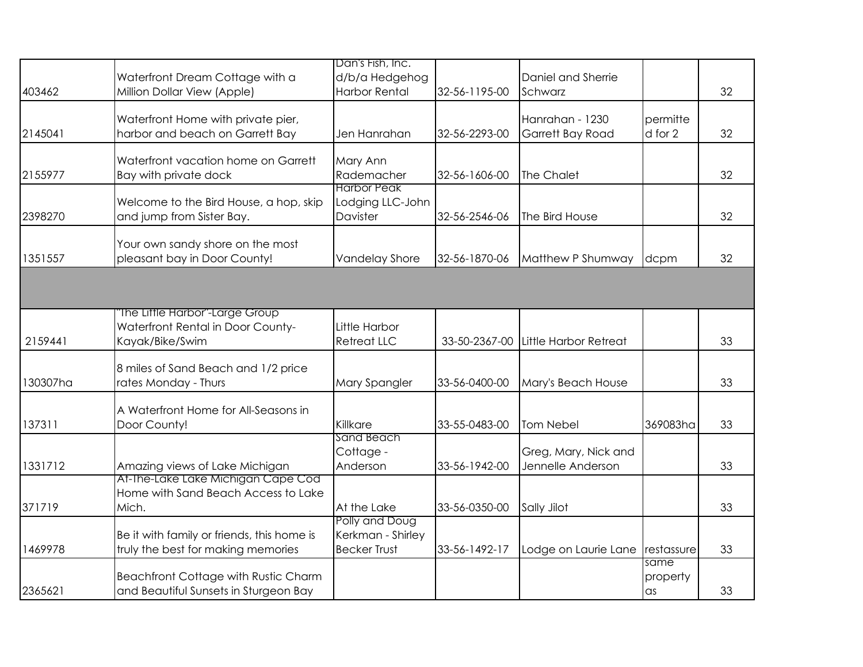|          |                                                                  | Dan's Fish, Inc.      |               |                       |            |    |
|----------|------------------------------------------------------------------|-----------------------|---------------|-----------------------|------------|----|
|          | Waterfront Dream Cottage with a                                  | d/b/a Hedgehog        |               | Daniel and Sherrie    |            |    |
| 403462   | Million Dollar View (Apple)                                      | <b>Harbor Rental</b>  | 32-56-1195-00 | Schwarz               |            | 32 |
|          |                                                                  |                       |               |                       |            |    |
|          | Waterfront Home with private pier,                               |                       |               | Hanrahan - 1230       | permitte   |    |
| 2145041  | harbor and beach on Garrett Bay                                  | Jen Hanrahan          | 32-56-2293-00 | Garrett Bay Road      | d for 2    | 32 |
|          | Waterfront vacation home on Garrett                              | Mary Ann              |               |                       |            |    |
| 2155977  | Bay with private dock                                            | Rademacher            | 32-56-1606-00 | The Chalet            |            | 32 |
|          |                                                                  | <b>Harbor Peak</b>    |               |                       |            |    |
|          | Welcome to the Bird House, a hop, skip                           | Lodging LLC-John      |               |                       |            |    |
| 2398270  | and jump from Sister Bay.                                        | Davister              | 32-56-2546-06 | The Bird House        |            | 32 |
|          |                                                                  |                       |               |                       |            |    |
| 1351557  | Your own sandy shore on the most<br>pleasant bay in Door County! | <b>Vandelay Shore</b> | 32-56-1870-06 | Matthew P Shumway     |            | 32 |
|          |                                                                  |                       |               |                       | dcpm       |    |
|          |                                                                  |                       |               |                       |            |    |
|          |                                                                  |                       |               |                       |            |    |
|          | "The Little Harbor"-Large Group                                  |                       |               |                       |            |    |
|          | Waterfront Rental in Door County-                                | Little Harbor         |               |                       |            |    |
| 2159441  | Kayak/Bike/Swim                                                  | <b>Retreat LLC</b>    | 33-50-2367-00 | Little Harbor Retreat |            | 33 |
|          | 8 miles of Sand Beach and 1/2 price                              |                       |               |                       |            |    |
| 130307ha | rates Monday - Thurs                                             | Mary Spangler         | 33-56-0400-00 | Mary's Beach House    |            | 33 |
|          |                                                                  |                       |               |                       |            |    |
|          | A Waterfront Home for All-Seasons in                             |                       |               |                       |            |    |
| 137311   | Door County!                                                     | Killkare              | 33-55-0483-00 | Tom Nebel             | 369083ha   | 33 |
|          |                                                                  | <b>Sand Beach</b>     |               |                       |            |    |
|          |                                                                  | Cottage -             |               | Greg, Mary, Nick and  |            |    |
| 1331712  | Amazing views of Lake Michigan                                   | Anderson              | 33-56-1942-00 | Jennelle Anderson     |            | 33 |
|          | At-The-Lake Lake Michigan Cape Cod                               |                       |               |                       |            |    |
|          | Home with Sand Beach Access to Lake                              |                       |               |                       |            |    |
| 371719   | Mich.                                                            | At the Lake           | 33-56-0350-00 | Sally Jilot           |            | 33 |
|          |                                                                  | Polly and Doug        |               |                       |            |    |
|          | Be it with family or friends, this home is                       | Kerkman - Shirley     |               |                       |            |    |
| 1469978  | truly the best for making memories                               | <b>Becker Trust</b>   | 33-56-1492-17 | Lodge on Laurie Lane  | restassure | 33 |
|          |                                                                  |                       |               |                       | same       |    |
|          | Beachfront Cottage with Rustic Charm                             |                       |               |                       | property   |    |
| 2365621  | and Beautiful Sunsets in Sturgeon Bay                            |                       |               |                       | $\alpha$ s | 33 |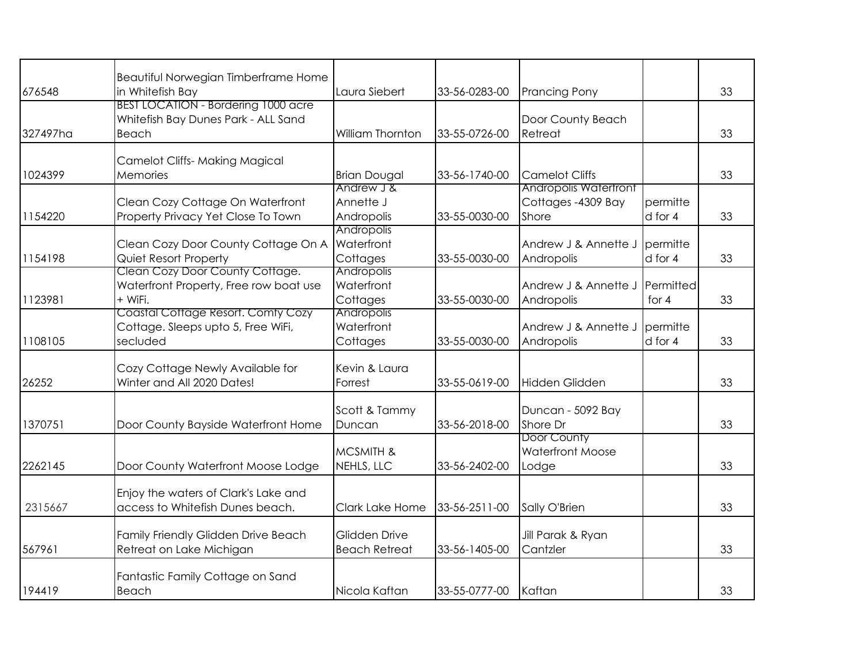| 676548   | Beautiful Norwegian Timberframe Home<br>in Whitefish Bay                                   | Laura Siebert                               | 33-56-0283-00 | <b>Prancing Pony</b>                                  |                      | 33 |
|----------|--------------------------------------------------------------------------------------------|---------------------------------------------|---------------|-------------------------------------------------------|----------------------|----|
| 327497ha | <b>BEST LOCATION - Bordering 1000 acre</b><br>Whitefish Bay Dunes Park - ALL Sand<br>Beach | <b>William Thornton</b>                     | 33-55-0726-00 | Door County Beach<br>Retreat                          |                      | 33 |
| 1024399  | <b>Camelot Cliffs- Making Magical</b><br><b>Memories</b>                                   | <b>Brian Dougal</b><br>Andrew J &           | 33-56-1740-00 | <b>Camelot Cliffs</b><br><b>Andropolis Watertront</b> |                      | 33 |
| 1154220  | Clean Cozy Cottage On Waterfront<br>Property Privacy Yet Close To Town                     | Annette J<br>Andropolis                     | 33-55-0030-00 | Cottages - 4309 Bay<br>Shore                          | permitte<br>d for 4  | 33 |
| 1154198  | Clean Cozy Door County Cottage On A<br>Quiet Resort Property                               | Andropolis<br>Waterfront<br>Cottages        | 33-55-0030-00 | Andrew J & Annette J<br>Andropolis                    | permitte<br>d for 4  | 33 |
| 1123981  | Clean Cozy Door County Cottage.<br>Waterfront Property, Free row boat use<br>+ WiFi.       | <b>Andropolis</b><br>Waterfront<br>Cottages | 33-55-0030-00 | Andrew J & Annette J<br>Andropolis                    | Permitted<br>for $4$ | 33 |
| 1108105  | Coastal Cottage Resort. Comty Cozy<br>Cottage. Sleeps upto 5, Free WiFi,<br>secluded       | Andropolis<br>Waterfront<br>Cottages        | 33-55-0030-00 | Andrew J & Annette J<br>Andropolis                    | permitte<br>d for 4  | 33 |
| 26252    | Cozy Cottage Newly Available for<br>Winter and All 2020 Dates!                             | Kevin & Laura<br>Forrest                    | 33-55-0619-00 | Hidden Glidden                                        |                      | 33 |
| 1370751  | Door County Bayside Waterfront Home                                                        | Scott & Tammy<br>Duncan                     | 33-56-2018-00 | Duncan - 5092 Bay<br>Shore Dr                         |                      | 33 |
| 2262145  | Door County Waterfront Moose Lodge                                                         | <b>MCSMITH &amp;</b><br>NEHLS, LLC          | 33-56-2402-00 | Door County<br><b>Waterfront Moose</b><br>Lodge       |                      | 33 |
| 2315667  | Enjoy the waters of Clark's Lake and<br>access to Whitefish Dunes beach.                   | Clark Lake Home                             | 33-56-2511-00 | Sally O'Brien                                         |                      | 33 |
| 567961   | Family Friendly Glidden Drive Beach<br>Retreat on Lake Michigan                            | Glidden Drive<br><b>Beach Retreat</b>       | 33-56-1405-00 | Jill Parak & Ryan<br>Cantzler                         |                      | 33 |
| 194419   | Fantastic Family Cottage on Sand<br>Beach                                                  | Nicola Kaftan                               | 33-55-0777-00 | Kaftan                                                |                      | 33 |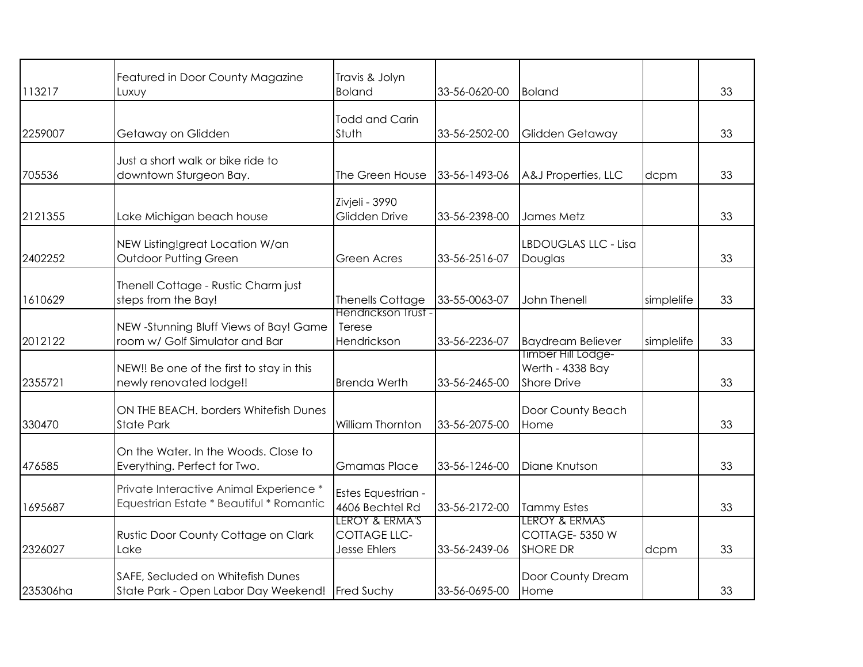| 113217   | Featured in Door County Magazine<br>Luxuy                                           | Travis & Jolyn<br><b>Boland</b>                              | 33-56-0620-00 | <b>Boland</b>                                                |            | 33 |
|----------|-------------------------------------------------------------------------------------|--------------------------------------------------------------|---------------|--------------------------------------------------------------|------------|----|
| 2259007  | Getaway on Glidden                                                                  | <b>Todd and Carin</b><br>Stuth                               | 33-56-2502-00 | Glidden Getaway                                              |            | 33 |
| 705536   | Just a short walk or bike ride to<br>downtown Sturgeon Bay.                         | The Green House                                              | 33-56-1493-06 | A&J Properties, LLC                                          | dcpm       | 33 |
| 2121355  | Lake Michigan beach house                                                           | Zivjeli - 3990<br>Glidden Drive                              | 33-56-2398-00 | James Metz                                                   |            | 33 |
| 2402252  | NEW Listing!great Location W/an<br><b>Outdoor Putting Green</b>                     | <b>Green Acres</b>                                           | 33-56-2516-07 | LBDOUGLAS LLC - Lisa<br>Douglas                              |            | 33 |
| 1610629  | Thenell Cottage - Rustic Charm just<br>steps from the Bay!                          | <b>Thenells Cottage</b>                                      | 33-55-0063-07 | John Thenell                                                 | simplelife | 33 |
| 2012122  | NEW -Stunning Bluff Views of Bay! Game<br>room w/ Golf Simulator and Bar            | Hendrickson Trust<br>Terese<br>Hendrickson                   | 33-56-2236-07 | <b>Baydream Believer</b>                                     | simplelife | 33 |
| 2355721  | NEW!! Be one of the first to stay in this<br>newly renovated lodge!!                | <b>Brenda Werth</b>                                          | 33-56-2465-00 | Timber Hill Lodge-<br>Werth - 4338 Bay<br><b>Shore Drive</b> |            | 33 |
| 330470   | ON THE BEACH. borders Whitefish Dunes<br><b>State Park</b>                          | William Thornton                                             | 33-56-2075-00 | Door County Beach<br>Home                                    |            | 33 |
| 476585   | On the Water. In the Woods. Close to<br>Everything. Perfect for Two.                | <b>Gmamas Place</b>                                          | 33-56-1246-00 | Diane Knutson                                                |            | 33 |
| 1695687  | Private Interactive Animal Experience *<br>Equestrian Estate * Beautiful * Romantic | Estes Equestrian -<br>4606 Bechtel Rd                        | 33-56-2172-00 | <b>Tammy Estes</b>                                           |            | 33 |
| 2326027  | Rustic Door County Cottage on Clark<br>Lake                                         | LEROY & ERMA'S<br><b>COTTAGE LLC-</b><br><b>Jesse Ehlers</b> | 33-56-2439-06 | LEROY & ERMAS<br>COTTAGE-5350W<br><b>SHORE DR</b>            | dcpm       | 33 |
| 235306ha | SAFE, Secluded on Whitefish Dunes<br>State Park - Open Labor Day Weekend!           | Fred Suchy                                                   | 33-56-0695-00 | Door County Dream<br>Home                                    |            | 33 |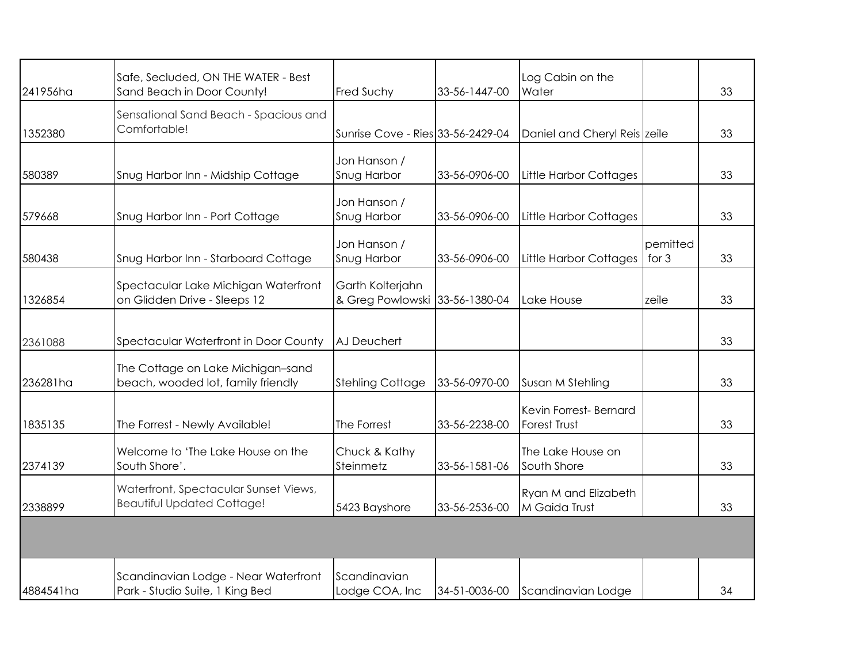| 241956ha  | Safe, Secluded, ON THE WATER - Best<br>Sand Beach in Door County!          | <b>Fred Suchy</b>                                  | 33-56-1447-00 | Log Cabin on the<br>Water                    |                   | 33 |
|-----------|----------------------------------------------------------------------------|----------------------------------------------------|---------------|----------------------------------------------|-------------------|----|
| 1352380   | Sensational Sand Beach - Spacious and<br>Comfortable!                      | Sunrise Cove - Ries 33-56-2429-04                  |               | Daniel and Cheryl Reis zeile                 |                   | 33 |
| 580389    | Snug Harbor Inn - Midship Cottage                                          | Jon Hanson /<br>Snug Harbor                        | 33-56-0906-00 | Little Harbor Cottages                       |                   | 33 |
| 579668    | Snug Harbor Inn - Port Cottage                                             | Jon Hanson /<br>Snug Harbor                        | 33-56-0906-00 | <b>Little Harbor Cottages</b>                |                   | 33 |
| 580438    | Snug Harbor Inn - Starboard Cottage                                        | Jon Hanson /<br>Snug Harbor                        | 33-56-0906-00 | <b>Little Harbor Cottages</b>                | pemitted<br>for 3 | 33 |
| 1326854   | Spectacular Lake Michigan Waterfront<br>on Glidden Drive - Sleeps 12       | Garth Kolterjahn<br>& Greg Powlowski 33-56-1380-04 |               | Lake House                                   | zeile             | 33 |
| 2361088   | Spectacular Waterfront in Door County                                      | AJ Deuchert                                        |               |                                              |                   | 33 |
| 236281ha  | The Cottage on Lake Michigan-sand<br>beach, wooded lot, family friendly    | <b>Stehling Cottage</b>                            | 33-56-0970-00 | Susan M Stehling                             |                   | 33 |
| 1835135   | The Forrest - Newly Available!                                             | The Forrest                                        | 33-56-2238-00 | Kevin Forrest-Bernard<br><b>Forest Trust</b> |                   | 33 |
| 2374139   | Welcome to 'The Lake House on the<br>South Shore'.                         | Chuck & Kathy<br>Steinmetz                         | 33-56-1581-06 | The Lake House on<br>South Shore             |                   | 33 |
| 2338899   | Waterfront, Spectacular Sunset Views,<br><b>Beautiful Updated Cottage!</b> | 5423 Bayshore                                      | 33-56-2536-00 | Ryan M and Elizabeth<br>M Gaida Trust        |                   | 33 |
|           |                                                                            |                                                    |               |                                              |                   |    |
| 4884541ha | Scandinavian Lodge - Near Waterfront<br>Park - Studio Suite, 1 King Bed    | Scandinavian<br>Lodge COA, Inc                     | 34-51-0036-00 | Scandinavian Lodge                           |                   | 34 |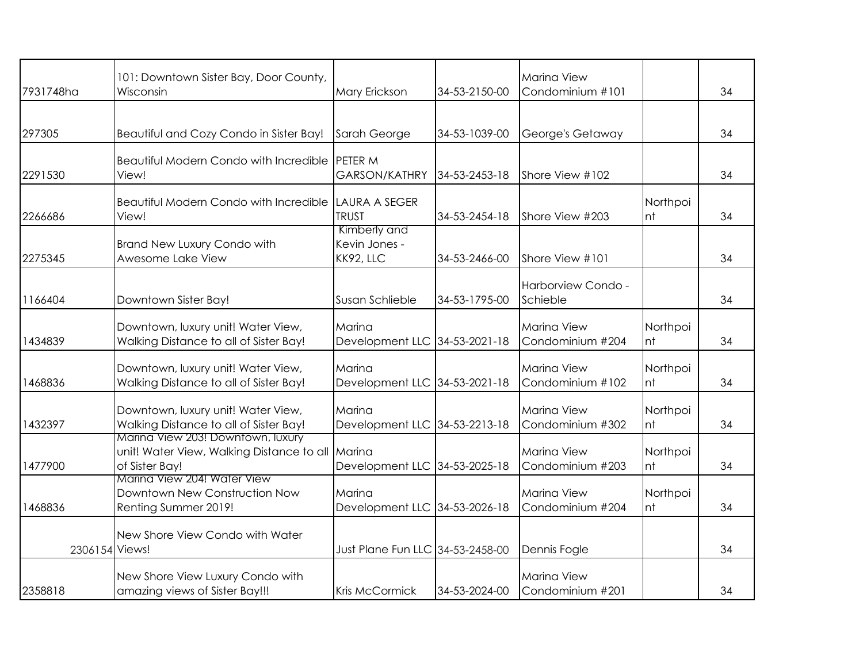|                | 101: Downtown Sister Bay, Door County,                        |                                  |               | <b>Marina View</b> |                |    |
|----------------|---------------------------------------------------------------|----------------------------------|---------------|--------------------|----------------|----|
| 7931748ha      | Wisconsin                                                     | Mary Erickson                    | 34-53-2150-00 | Condominium #101   |                | 34 |
|                |                                                               |                                  |               |                    |                |    |
| 297305         | Beautiful and Cozy Condo in Sister Bay!                       | Sarah George                     | 34-53-1039-00 | George's Getaway   |                | 34 |
|                |                                                               |                                  |               |                    |                |    |
|                | Beautiful Modern Condo with Incredible PETER M                |                                  |               |                    |                |    |
| 2291530        | View!                                                         | <b>GARSON/KATHRY</b>             | 34-53-2453-18 | Shore View #102    |                | 34 |
|                |                                                               |                                  |               |                    |                |    |
| 2266686        | Beautiful Modern Condo with Incredible LAURA A SEGER<br>View! | <b>TRUST</b>                     | 34-53-2454-18 | Shore View #203    | Northpoi<br>nt | 34 |
|                |                                                               | Kimberly and                     |               |                    |                |    |
|                | <b>Brand New Luxury Condo with</b>                            | Kevin Jones -                    |               |                    |                |    |
| 2275345        | Awesome Lake View                                             | KK92, LLC                        | 34-53-2466-00 | Shore View #101    |                | 34 |
|                |                                                               |                                  |               |                    |                |    |
|                |                                                               |                                  |               | Harborview Condo - |                | 34 |
| 1166404        | Downtown Sister Bay!                                          | Susan Schlieble                  | 34-53-1795-00 | Schieble           |                |    |
|                | Downtown, luxury unit! Water View,                            | Marina                           |               | <b>Marina View</b> | Northpoi       |    |
| 1434839        | Walking Distance to all of Sister Bay!                        | Development LLC 34-53-2021-18    |               | Condominium #204   | nt             | 34 |
|                |                                                               |                                  |               |                    |                |    |
|                | Downtown, luxury unit! Water View,                            | Marina                           |               | <b>Marina View</b> | Northpoi       |    |
| 1468836        | Walking Distance to all of Sister Bay!                        | Development LLC 34-53-2021-18    |               | Condominium #102   | nt             | 34 |
|                | Downtown, luxury unit! Water View,                            | Marina                           |               | <b>Marina View</b> | Northpoi       |    |
| 1432397        | Walking Distance to all of Sister Bay!                        | Development LLC 34-53-2213-18    |               | Condominium #302   | nt             | 34 |
|                | Marina View 203! Downtown, luxury                             |                                  |               |                    |                |    |
|                | unit! Water View, Walking Distance to all Marina              |                                  |               | <b>Marina View</b> | Northpoi       |    |
| 1477900        | of Sister Bay!<br>Marina View 204! Water View                 | Development LLC 34-53-2025-18    |               | Condominium #203   | nt             | 34 |
|                | Downtown New Construction Now                                 | Marina                           |               | <b>Marina View</b> | Northpoi       |    |
| 1468836        | Renting Summer 2019!                                          | Development LLC 34-53-2026-18    |               | Condominium #204   | nt             | 34 |
|                |                                                               |                                  |               |                    |                |    |
|                | New Shore View Condo with Water                               |                                  |               |                    |                |    |
| 2306154 Views! |                                                               | Just Plane Fun LLC 34-53-2458-00 |               | Dennis Fogle       |                | 34 |
|                | New Shore View Luxury Condo with                              |                                  |               | <b>Marina View</b> |                |    |
| 2358818        | amazing views of Sister Bay!!!                                | Kris McCormick                   | 34-53-2024-00 | Condominium #201   |                | 34 |
|                |                                                               |                                  |               |                    |                |    |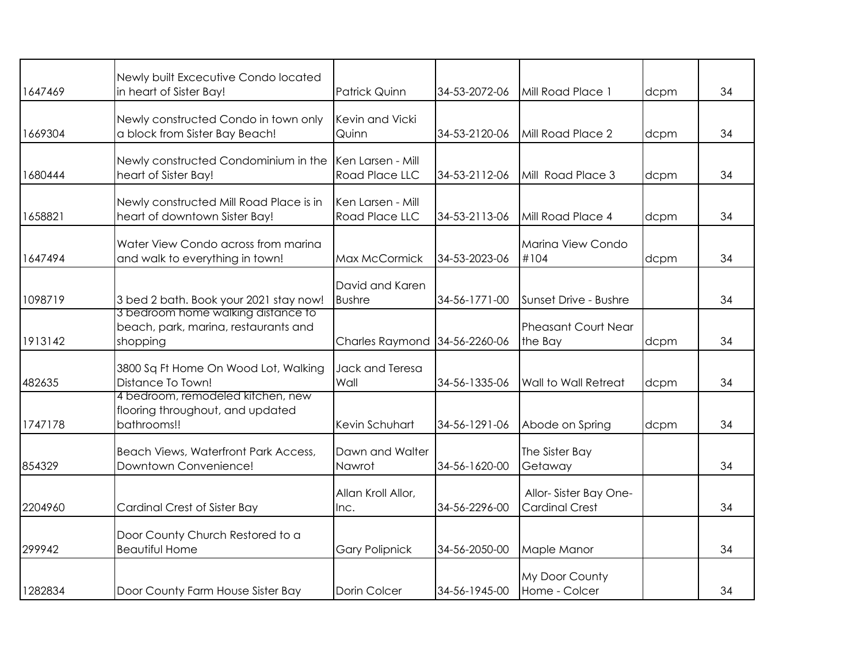|         | Newly built Excecutive Condo located                                                   |                                            |               |                                                |      |    |
|---------|----------------------------------------------------------------------------------------|--------------------------------------------|---------------|------------------------------------------------|------|----|
| 1647469 | in heart of Sister Bay!                                                                | <b>Patrick Quinn</b>                       | 34-53-2072-06 | Mill Road Place 1                              | dcpm | 34 |
| 1669304 | Newly constructed Condo in town only<br>a block from Sister Bay Beach!                 | Kevin and Vicki<br>Quinn                   | 34-53-2120-06 | Mill Road Place 2                              | dcpm | 34 |
| 1680444 | Newly constructed Condominium in the<br>heart of Sister Bay!                           | Ken Larsen - Mill<br><b>Road Place LLC</b> | 34-53-2112-06 | Mill Road Place 3                              | dcpm | 34 |
| 1658821 | Newly constructed Mill Road Place is in<br>heart of downtown Sister Bay!               | Ken Larsen - Mill<br><b>Road Place LLC</b> | 34-53-2113-06 | Mill Road Place 4                              | dcpm | 34 |
| 1647494 | Water View Condo across from marina<br>and walk to everything in town!                 | Max McCormick                              | 34-53-2023-06 | Marina View Condo<br>#104                      | dcpm | 34 |
| 1098719 | 3 bed 2 bath. Book your 2021 stay now!                                                 | David and Karen<br><b>Bushre</b>           | 34-56-1771-00 | Sunset Drive - Bushre                          |      | 34 |
| 1913142 | 3 bedroom home walking distance to<br>beach, park, marina, restaurants and<br>shopping | Charles Raymond 34-56-2260-06              |               | <b>Pheasant Court Near</b><br>the Bay          | dcpm | 34 |
| 482635  | 3800 Sq Ft Home On Wood Lot, Walking<br>Distance To Town!                              | Jack and Teresa<br>Wall                    | 34-56-1335-06 | <b>Wall to Wall Retreat</b>                    | dcpm | 34 |
| 1747178 | 4 bedroom, remodeled kitchen, new<br>flooring throughout, and updated<br>bathrooms!!   | Kevin Schuhart                             | 34-56-1291-06 | Abode on Spring                                | dcpm | 34 |
| 854329  | Beach Views, Waterfront Park Access,<br>Downtown Convenience!                          | Dawn and Walter<br>Nawrot                  | 34-56-1620-00 | The Sister Bay<br>Getaway                      |      | 34 |
| 2204960 | <b>Cardinal Crest of Sister Bay</b>                                                    | Allan Kroll Allor,<br>Inc.                 | 34-56-2296-00 | Allor-Sister Bay One-<br><b>Cardinal Crest</b> |      | 34 |
| 299942  | Door County Church Restored to a<br><b>Beautiful Home</b>                              | <b>Gary Polipnick</b>                      | 34-56-2050-00 | Maple Manor                                    |      | 34 |
| 1282834 | Door County Farm House Sister Bay                                                      | Dorin Colcer                               | 34-56-1945-00 | My Door County<br>Home - Colcer                |      | 34 |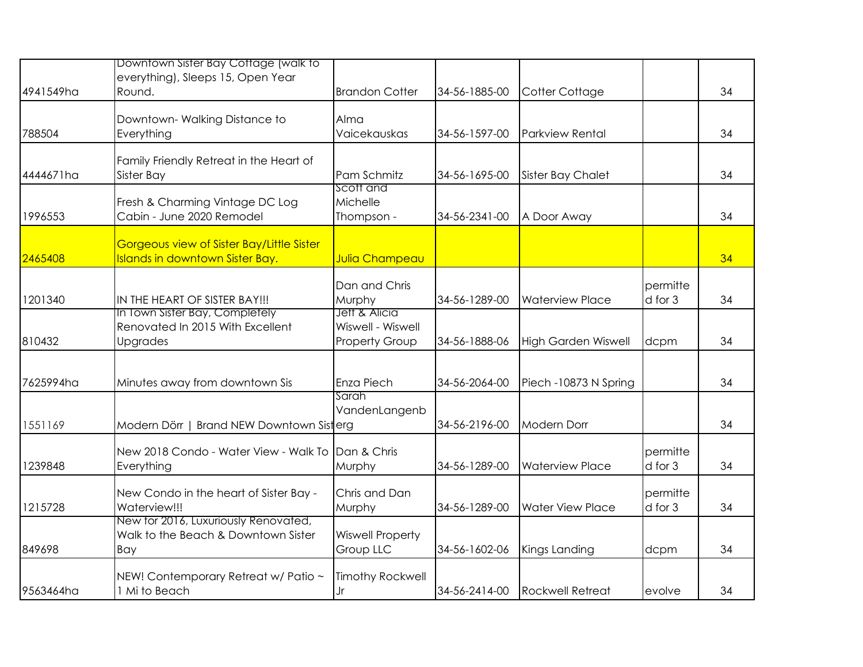| 4941549ha | Downtown Sister Bay Cottage (walk to<br>everything), Sleeps 15, Open Year<br>Round. | <b>Brandon Cotter</b>                                       | 34-56-1885-00 | Cotter Cottage             |                     | 34 |
|-----------|-------------------------------------------------------------------------------------|-------------------------------------------------------------|---------------|----------------------------|---------------------|----|
| 788504    | Downtown-Walking Distance to<br>Everything                                          | Alma<br>Vaicekauskas                                        | 34-56-1597-00 | <b>Parkview Rental</b>     |                     | 34 |
| 4444671ha | Family Friendly Retreat in the Heart of<br><b>Sister Bay</b>                        | Pam Schmitz                                                 | 34-56-1695-00 | <b>Sister Bay Chalet</b>   |                     | 34 |
| 1996553   | Fresh & Charming Vintage DC Log<br>Cabin - June 2020 Remodel                        | Scott and<br>Michelle<br>Thompson -                         | 34-56-2341-00 | A Door Away                |                     | 34 |
| 2465408   | Gorgeous view of Sister Bay/Little Sister<br><b>Islands in downtown Sister Bay.</b> | <b>Julia Champeau</b>                                       |               |                            |                     | 34 |
| 1201340   | IN THE HEART OF SISTER BAY!!!                                                       | Dan and Chris<br>Murphy                                     | 34-56-1289-00 | <b>Waterview Place</b>     | permitte<br>d for 3 | 34 |
| 810432    | In Town Sister Bay, Completely<br>Renovated In 2015 With Excellent<br>Upgrades      | Jett & Alicia<br>Wiswell - Wiswell<br><b>Property Group</b> | 34-56-1888-06 | <b>High Garden Wiswell</b> | dcpm                | 34 |
| 7625994ha | Minutes away from downtown Sis                                                      | Enza Piech                                                  | 34-56-2064-00 | Piech -10873 N Spring      |                     | 34 |
| 1551169   | Modern Dörr   Brand NEW Downtown Sisterg                                            | Sarah<br>VandenLangenb                                      | 34-56-2196-00 | <b>Modern Dorr</b>         |                     | 34 |
| 1239848   | New 2018 Condo - Water View - Walk To<br>Everything                                 | Dan & Chris<br>Murphy                                       | 34-56-1289-00 | <b>Waterview Place</b>     | permitte<br>d for 3 | 34 |
| 1215728   | New Condo in the heart of Sister Bay -<br>Waterview!!!                              | Chris and Dan<br>Murphy                                     | 34-56-1289-00 | <b>Water View Place</b>    | permitte<br>d for 3 | 34 |
| 849698    | New for 2016, Luxuriously Renovated,<br>Walk to the Beach & Downtown Sister<br>Bay  | <b>Wiswell Property</b><br>Group LLC                        | 34-56-1602-06 | Kings Landing              | dcpm                | 34 |
| 9563464ha | NEW! Contemporary Retreat w/ Patio ~<br>1 Mi to Beach                               | <b>Timothy Rockwell</b><br>Jr                               | 34-56-2414-00 | <b>Rockwell Retreat</b>    | evolve              | 34 |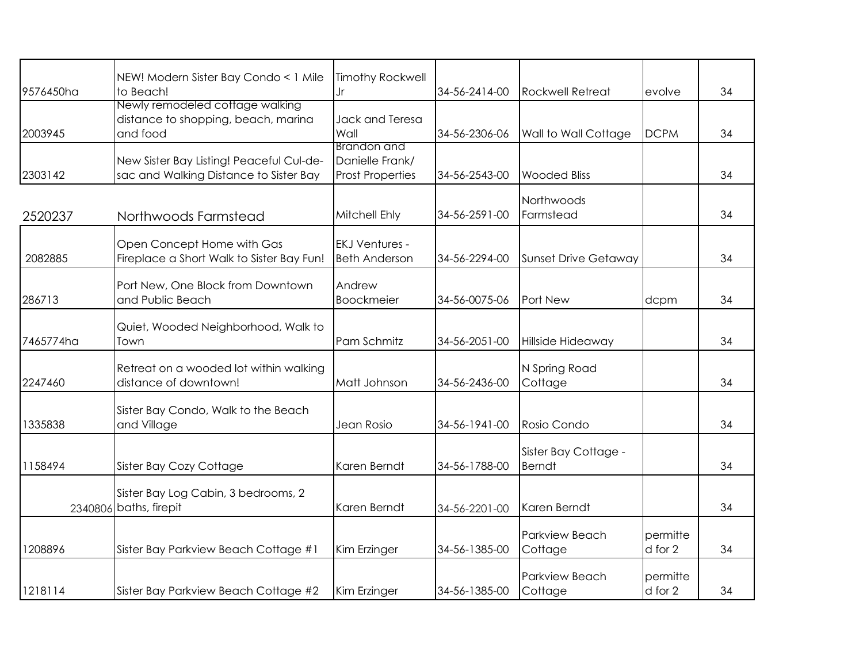| 9576450ha | NEW! Modern Sister Bay Condo < 1 Mile<br>to Beach!                                 | <b>Timothy Rockwell</b><br>Jr                             | 34-56-2414-00 | <b>Rockwell Retreat</b>               | evolve              | 34 |
|-----------|------------------------------------------------------------------------------------|-----------------------------------------------------------|---------------|---------------------------------------|---------------------|----|
| 2003945   | Newly remodeled cottage walking<br>distance to shopping, beach, marina<br>and food | Jack and Teresa<br>Wall                                   | 34-56-2306-06 | Wall to Wall Cottage                  | <b>DCPM</b>         | 34 |
| 2303142   | New Sister Bay Listing! Peaceful Cul-de-<br>sac and Walking Distance to Sister Bay | Brandon and<br>Danielle Frank/<br><b>Prost Properties</b> | 34-56-2543-00 | <b>Wooded Bliss</b>                   |                     | 34 |
| 2520237   | Northwoods Farmstead                                                               | Mitchell Ehly                                             | 34-56-2591-00 | Northwoods<br>Farmstead               |                     | 34 |
| 2082885   | Open Concept Home with Gas<br>Fireplace a Short Walk to Sister Bay Fun!            | <b>EKJ Ventures -</b><br><b>Beth Anderson</b>             | 34-56-2294-00 | <b>Sunset Drive Getaway</b>           |                     | 34 |
| 286713    | Port New, One Block from Downtown<br>and Public Beach                              | Andrew<br><b>Boockmeier</b>                               | 34-56-0075-06 | Port New                              | dcpm                | 34 |
| 7465774ha | Quiet, Wooded Neighborhood, Walk to<br>Town                                        | Pam Schmitz                                               | 34-56-2051-00 | Hillside Hideaway                     |                     | 34 |
| 2247460   | Retreat on a wooded lot within walking<br>distance of downtown!                    | Matt Johnson                                              | 34-56-2436-00 | N Spring Road<br>Cottage              |                     | 34 |
| 1335838   | Sister Bay Condo, Walk to the Beach<br>and Village                                 | Jean Rosio                                                | 34-56-1941-00 | Rosio Condo                           |                     | 34 |
| 1158494   | Sister Bay Cozy Cottage                                                            | Karen Berndt                                              | 34-56-1788-00 | Sister Bay Cottage -<br><b>Berndt</b> |                     | 34 |
|           | Sister Bay Log Cabin, 3 bedrooms, 2<br>2340806 baths, firepit                      | Karen Berndt                                              | 34-56-2201-00 | Karen Berndt                          |                     | 34 |
| 1208896   | Sister Bay Parkview Beach Cottage #1                                               | Kim Erzinger                                              | 34-56-1385-00 | Parkview Beach<br>Cottage             | permitte<br>d for 2 | 34 |
| 1218114   | Sister Bay Parkview Beach Cottage #2                                               | Kim Erzinger                                              | 34-56-1385-00 | Parkview Beach<br>Cottage             | permitte<br>d for 2 | 34 |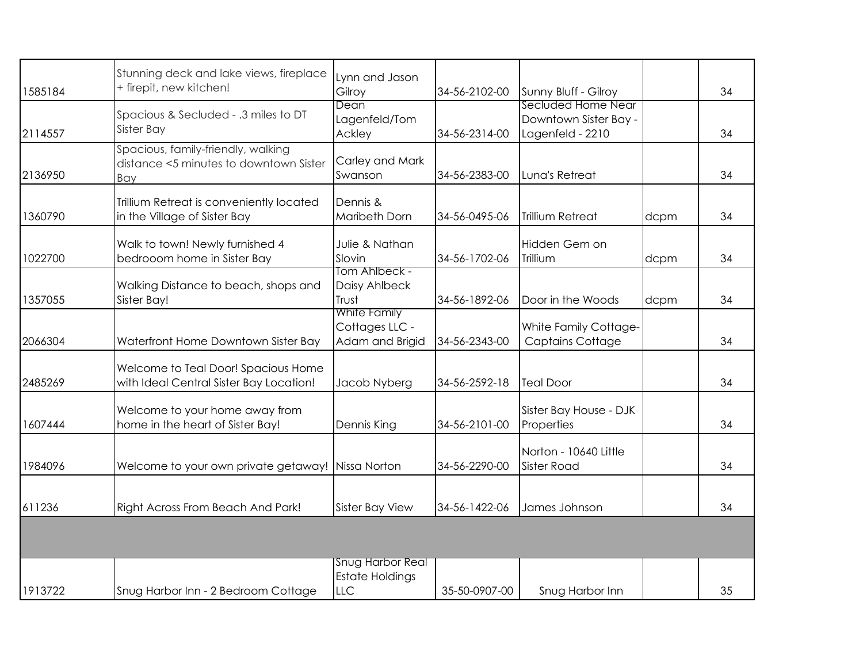| 1585184 | Stunning deck and lake views, fireplace<br>+ firepit, new kitchen!                  | Lynn and Jason<br>Gilroy                                 | 34-56-2102-00 | Sunny Bluff - Gilroy                                            |      | 34 |
|---------|-------------------------------------------------------------------------------------|----------------------------------------------------------|---------------|-----------------------------------------------------------------|------|----|
| 2114557 | Spacious & Secluded - .3 miles to DT<br>Sister Bay                                  | Dean<br>Lagenfeld/Tom<br>Ackley                          | 34-56-2314-00 | Secluded Home Near<br>Downtown Sister Bay -<br>Lagenfeld - 2210 |      | 34 |
| 2136950 | Spacious, family-friendly, walking<br>distance <5 minutes to downtown Sister<br>Bay | Carley and Mark<br>Swanson                               | 34-56-2383-00 | Luna's Retreat                                                  |      | 34 |
| 1360790 | Trillium Retreat is conveniently located<br>in the Village of Sister Bay            | Dennis &<br>Maribeth Dorn                                | 34-56-0495-06 | <b>Trillium Retreat</b>                                         | dcpm | 34 |
| 1022700 | Walk to town! Newly furnished 4<br>bedrooom home in Sister Bay                      | Julie & Nathan<br>Slovin                                 | 34-56-1702-06 | Hidden Gem on<br>Trillium                                       | dcpm | 34 |
| 1357055 | Walking Distance to beach, shops and<br>Sister Bay!                                 | <b>Tom Ahlbeck -</b><br>Daisy Ahlbeck<br>Trust           | 34-56-1892-06 | Door in the Woods                                               | dcpm | 34 |
| 2066304 | Waterfront Home Downtown Sister Bay                                                 | <b>White Family</b><br>Cottages LLC -<br>Adam and Brigid | 34-56-2343-00 | White Family Cottage-<br><b>Captains Cottage</b>                |      | 34 |
| 2485269 | Welcome to Teal Door! Spacious Home<br>with Ideal Central Sister Bay Location!      | Jacob Nyberg                                             | 34-56-2592-18 | <b>Teal Door</b>                                                |      | 34 |
| 1607444 | Welcome to your home away from<br>home in the heart of Sister Bay!                  | Dennis King                                              | 34-56-2101-00 | Sister Bay House - DJK<br>Properties                            |      | 34 |
| 1984096 | Welcome to your own private getaway! Nissa Norton                                   |                                                          | 34-56-2290-00 | Norton - 10640 Little<br><b>Sister Road</b>                     |      | 34 |
| 611236  | Right Across From Beach And Park!                                                   | Sister Bay View                                          | 34-56-1422-06 | James Johnson                                                   |      | 34 |
|         |                                                                                     |                                                          |               |                                                                 |      |    |
| 1913722 | Snug Harbor Inn - 2 Bedroom Cottage                                                 | <b>Snug Harbor Real</b><br><b>Estate Holdings</b><br>LLC | 35-50-0907-00 | Snug Harbor Inn                                                 |      | 35 |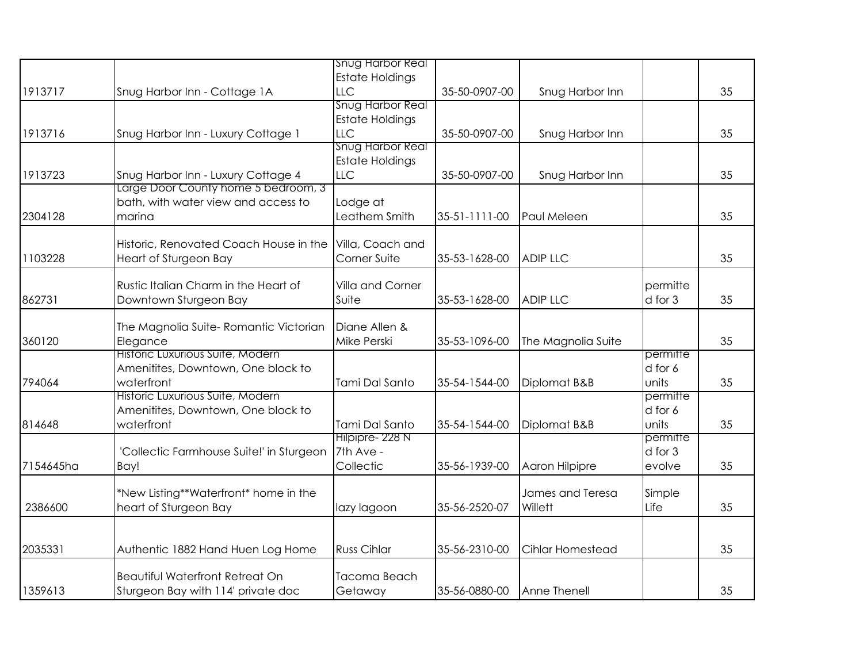|           |                                          | <b>Snug Harbor Real</b> |               |                         |          |    |
|-----------|------------------------------------------|-------------------------|---------------|-------------------------|----------|----|
|           |                                          | <b>Estate Holdings</b>  |               |                         |          |    |
| 1913717   | Snug Harbor Inn - Cottage 1A             | <b>LLC</b>              | 35-50-0907-00 | Snug Harbor Inn         |          | 35 |
|           |                                          | Snug Harbor Real        |               |                         |          |    |
|           |                                          | <b>Estate Holdings</b>  |               |                         |          |    |
| 1913716   | Snug Harbor Inn - Luxury Cottage 1       | LLC                     | 35-50-0907-00 | Snug Harbor Inn         |          | 35 |
|           |                                          | Snug Harbor Real        |               |                         |          |    |
|           |                                          | <b>Estate Holdings</b>  |               |                         |          |    |
| 1913723   | Snug Harbor Inn - Luxury Cottage 4       | <b>LLC</b>              | 35-50-0907-00 | Snug Harbor Inn         |          | 35 |
|           | Large Door County home 5 bedroom, 3      |                         |               |                         |          |    |
|           | bath, with water view and access to      | Lodge at                |               |                         |          |    |
| 2304128   | marina                                   | Leathem Smith           | 35-51-1111-00 | Paul Meleen             |          | 35 |
|           |                                          |                         |               |                         |          |    |
|           | Historic, Renovated Coach House in the   | Villa, Coach and        |               |                         |          |    |
| 1103228   | Heart of Sturgeon Bay                    | Corner Suite            | 35-53-1628-00 | <b>ADIP LLC</b>         |          | 35 |
|           | Rustic Italian Charm in the Heart of     | Villa and Corner        |               |                         | permitte |    |
| 862731    | Downtown Sturgeon Bay                    | Suite                   | 35-53-1628-00 | <b>ADIP LLC</b>         | d for 3  | 35 |
|           |                                          |                         |               |                         |          |    |
|           | The Magnolia Suite-Romantic Victorian    | Diane Allen &           |               |                         |          |    |
| 360120    | Elegance                                 | Mike Perski             | 35-53-1096-00 | The Magnolia Suite      |          | 35 |
|           | Historic Luxurious Suite, Modern         |                         |               |                         | permitte |    |
|           | Amenitites, Downtown, One block to       |                         |               |                         | d for 6  |    |
| 794064    | waterfront                               | Tami Dal Santo          | 35-54-1544-00 | Diplomat B&B            | units    | 35 |
|           | Historic Luxurious Suite, Modern         |                         |               |                         | permitte |    |
|           | Amenitites, Downtown, One block to       |                         |               |                         | d for 6  |    |
| 814648    | waterfront                               | Tami Dal Santo          | 35-54-1544-00 | Diplomat B&B            | units    | 35 |
|           |                                          | Hilpipre- 228 N         |               |                         | permitte |    |
|           | 'Collectic Farmhouse Suite!' in Sturgeon | 7th Ave -               |               |                         | d for 3  |    |
| 7154645ha | Bay!                                     | Collectic               | 35-56-1939-00 | Aaron Hilpipre          | evolve   | 35 |
|           |                                          |                         |               |                         |          |    |
|           | *New Listing**Waterfront* home in the    |                         |               | James and Teresa        | Simple   |    |
| 2386600   | heart of Sturgeon Bay                    | lazy lagoon             | 35-56-2520-07 | Willett                 | Life     | 35 |
|           |                                          |                         |               |                         |          |    |
|           |                                          |                         |               |                         |          |    |
| 2035331   | Authentic 1882 Hand Huen Log Home        | <b>Russ Cihlar</b>      | 35-56-2310-00 | <b>Cihlar Homestead</b> |          | 35 |
|           | <b>Beautiful Waterfront Retreat On</b>   | Tacoma Beach            |               |                         |          |    |
| 1359613   | Sturgeon Bay with 114' private doc       | Getaway                 | 35-56-0880-00 | Anne Thenell            |          | 35 |
|           |                                          |                         |               |                         |          |    |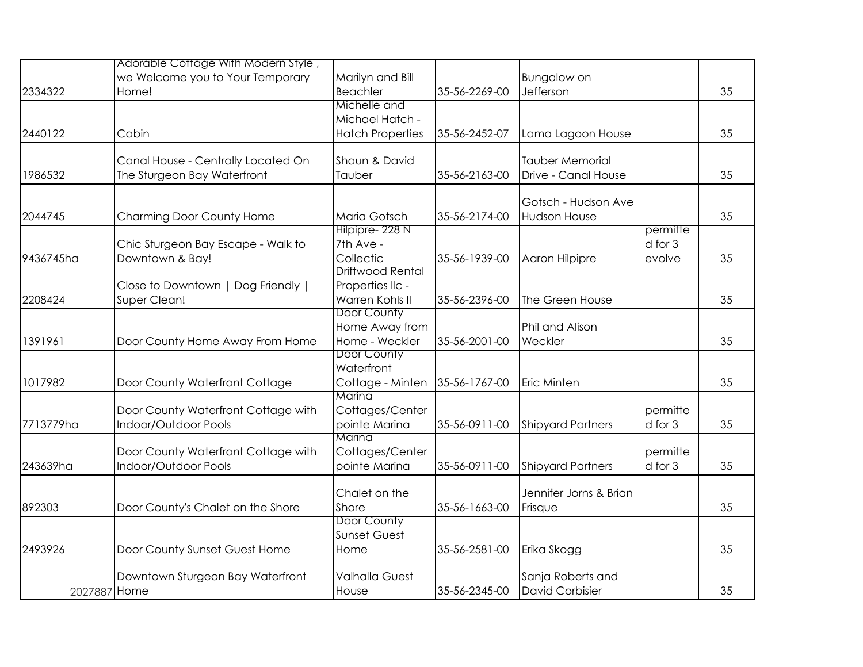|              | Adorable Cottage With Modern Style, |                         |               |                          |          |    |
|--------------|-------------------------------------|-------------------------|---------------|--------------------------|----------|----|
|              | we Welcome you to Your Temporary    | Marilyn and Bill        |               | <b>Bungalow on</b>       |          |    |
| 2334322      | Home!                               | <b>Beachler</b>         | 35-56-2269-00 | Jefferson                |          | 35 |
|              |                                     | Michelle and            |               |                          |          |    |
|              |                                     | Michael Hatch -         |               |                          |          |    |
| 2440122      | Cabin                               | <b>Hatch Properties</b> | 35-56-2452-07 | Lama Lagoon House        |          | 35 |
|              | Canal House - Centrally Located On  | Shaun & David           |               | <b>Tauber Memorial</b>   |          |    |
| 1986532      | The Sturgeon Bay Waterfront         | Tauber                  | 35-56-2163-00 | Drive - Canal House      |          | 35 |
|              |                                     |                         |               | Gotsch - Hudson Ave      |          |    |
| 2044745      | Charming Door County Home           | Maria Gotsch            | 35-56-2174-00 | Hudson House             |          | 35 |
|              |                                     | Hilpipre- 228 N         |               |                          | permitte |    |
|              | Chic Sturgeon Bay Escape - Walk to  | 7th Ave -               |               |                          | d for 3  |    |
| 9436745ha    | Downtown & Bay!                     | Collectic               | 35-56-1939-00 | Aaron Hilpipre           | evolve   | 35 |
|              |                                     | Driftwood Rental        |               |                          |          |    |
|              | Close to Downtown   Dog Friendly    | Properties IIc -        |               |                          |          |    |
| 2208424      | Super Clean!                        | Warren Kohls II         | 35-56-2396-00 | The Green House          |          | 35 |
|              |                                     | Door County             |               |                          |          |    |
|              |                                     | Home Away from          |               | Phil and Alison          |          |    |
| 1391961      | Door County Home Away From Home     | Home - Weckler          | 35-56-2001-00 | Weckler                  |          | 35 |
|              |                                     | Door County             |               |                          |          |    |
|              |                                     | Waterfront              |               |                          |          |    |
| 1017982      | Door County Waterfront Cottage      | Cottage - Minten        | 35-56-1767-00 | <b>Eric Minten</b>       |          | 35 |
|              |                                     | Marina                  |               |                          |          |    |
|              | Door County Waterfront Cottage with | Cottages/Center         |               |                          | permitte |    |
| 7713779ha    | Indoor/Outdoor Pools                | pointe Marina           | 35-56-0911-00 | <b>Shipyard Partners</b> | d for 3  | 35 |
|              |                                     | Marina                  |               |                          |          |    |
|              | Door County Waterfront Cottage with | Cottages/Center         |               |                          | permitte |    |
| 243639ha     | Indoor/Outdoor Pools                | pointe Marina           | 35-56-0911-00 | <b>Shipyard Partners</b> | d for 3  | 35 |
|              |                                     |                         |               |                          |          |    |
|              |                                     | Chalet on the           |               | Jennifer Jorns & Brian   |          |    |
| 892303       | Door County's Chalet on the Shore   | Shore                   | 35-56-1663-00 | Frisque                  |          | 35 |
|              |                                     | Door County             |               |                          |          |    |
|              |                                     | <b>Sunset Guest</b>     |               |                          |          |    |
| 2493926      | Door County Sunset Guest Home       | Home                    | 35-56-2581-00 | Erika Skogg              |          | 35 |
|              | Downtown Sturgeon Bay Waterfront    | <b>Valhalla Guest</b>   |               | Sanja Roberts and        |          |    |
| 2027887 Home |                                     | House                   | 35-56-2345-00 | David Corbisier          |          | 35 |
|              |                                     |                         |               |                          |          |    |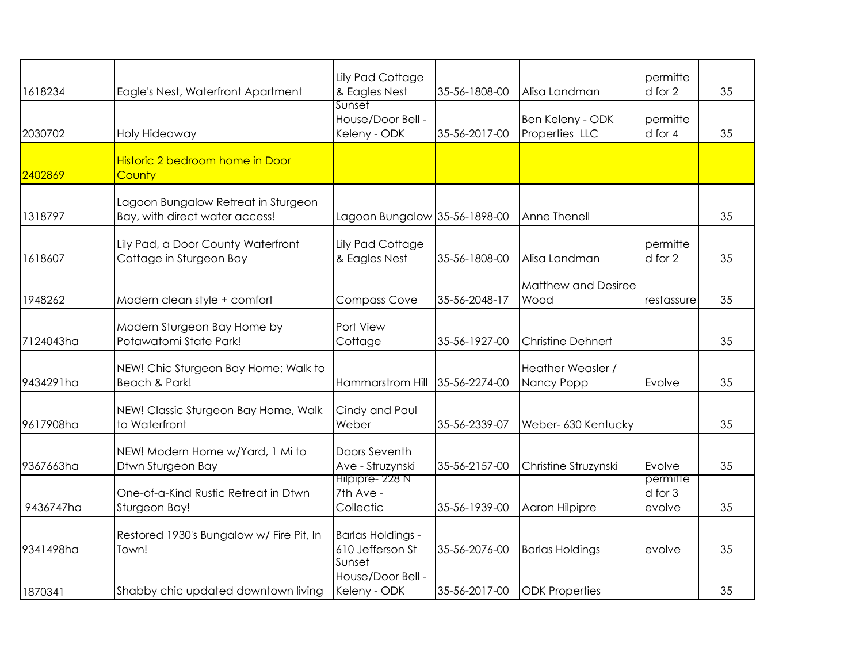| 1618234   | Eagle's Nest, Waterfront Apartment                                    | Lily Pad Cottage<br>& Eagles Nest            | 35-56-1808-00 | Alisa Landman                      | permitte<br>d for 2           | 35 |
|-----------|-----------------------------------------------------------------------|----------------------------------------------|---------------|------------------------------------|-------------------------------|----|
| 2030702   | Holy Hideaway                                                         | Sunset<br>House/Door Bell -<br>Keleny - ODK  | 35-56-2017-00 | Ben Keleny - ODK<br>Properties LLC | permitte<br>d for 4           | 35 |
| 2402869   | Historic 2 bedroom home in Door<br>County                             |                                              |               |                                    |                               |    |
| 1318797   | Lagoon Bungalow Retreat in Sturgeon<br>Bay, with direct water access! | Lagoon Bungalow 35-56-1898-00                |               | Anne Thenell                       |                               | 35 |
| 1618607   | Lily Pad, a Door County Waterfront<br>Cottage in Sturgeon Bay         | Lily Pad Cottage<br>& Eagles Nest            | 35-56-1808-00 | Alisa Landman                      | permitte<br>d for 2           | 35 |
| 1948262   | Modern clean style + comfort                                          | <b>Compass Cove</b>                          | 35-56-2048-17 | Matthew and Desiree<br>Wood        | restassure                    | 35 |
| 7124043ha | Modern Sturgeon Bay Home by<br>Potawatomi State Park!                 | Port View<br>Cottage                         | 35-56-1927-00 | <b>Christine Dehnert</b>           |                               | 35 |
| 9434291ha | NEW! Chic Sturgeon Bay Home: Walk to<br>Beach & Park!                 | Hammarstrom Hill                             | 35-56-2274-00 | Heather Weasler /<br>Nancy Popp    | Evolve                        | 35 |
| 9617908ha | NEW! Classic Sturgeon Bay Home, Walk<br>to Waterfront                 | Cindy and Paul<br>Weber                      | 35-56-2339-07 | Weber- 630 Kentucky                |                               | 35 |
| 9367663ha | NEW! Modern Home w/Yard, 1 Mi to<br>Dtwn Sturgeon Bay                 | Doors Seventh<br>Ave - Struzynski            | 35-56-2157-00 | Christine Struzynski               | Evolve                        | 35 |
| 9436747ha | One-of-a-Kind Rustic Retreat in Dtwn<br>Sturgeon Bay!                 | Hilpipre- 228 N<br>7th Ave -<br>Collectic    | 35-56-1939-00 | Aaron Hilpipre                     | permitte<br>d for 3<br>evolve | 35 |
| 9341498ha | Restored 1930's Bungalow w/ Fire Pit, In<br>Town!                     | <b>Barlas Holdings -</b><br>610 Jefferson St | 35-56-2076-00 | <b>Barlas Holdings</b>             | evolve                        | 35 |
| 1870341   | Shabby chic updated downtown living                                   | Sunset<br>House/Door Bell -<br>Keleny - ODK  | 35-56-2017-00 | <b>ODK Properties</b>              |                               | 35 |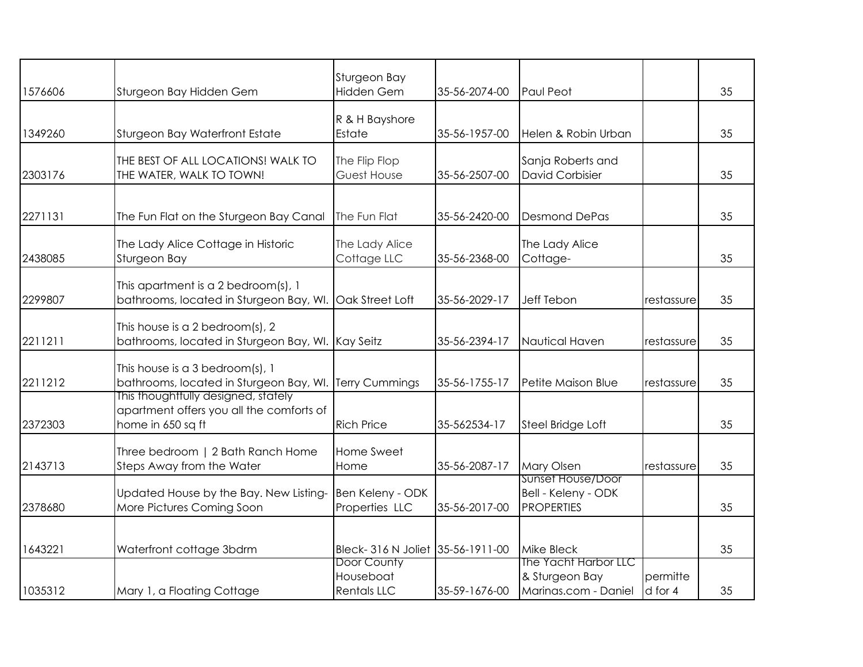| 1576606 | Sturgeon Bay Hidden Gem                                                                              | Sturgeon Bay<br>Hidden Gem                     | 35-56-2074-00 | Paul Peot                                                      |                     | 35 |
|---------|------------------------------------------------------------------------------------------------------|------------------------------------------------|---------------|----------------------------------------------------------------|---------------------|----|
| 1349260 | Sturgeon Bay Waterfront Estate                                                                       | R & H Bayshore<br>Estate                       | 35-56-1957-00 | Helen & Robin Urban                                            |                     | 35 |
| 2303176 | THE BEST OF ALL LOCATIONS! WALK TO<br>THE WATER, WALK TO TOWN!                                       | The Flip Flop<br>Guest House                   | 35-56-2507-00 | Sanja Roberts and<br><b>David Corbisier</b>                    |                     | 35 |
| 2271131 | The Fun Flat on the Sturgeon Bay Canal                                                               | The Fun Flat                                   | 35-56-2420-00 | <b>Desmond DePas</b>                                           |                     | 35 |
| 2438085 | The Lady Alice Cottage in Historic<br>Sturgeon Bay                                                   | The Lady Alice<br>Cottage LLC                  | 35-56-2368-00 | The Lady Alice<br>Cottage-                                     |                     | 35 |
| 2299807 | This apartment is a 2 bedroom(s), 1<br>bathrooms, located in Sturgeon Bay, WI. Oak Street Loft       |                                                | 35-56-2029-17 | Jeff Tebon                                                     | restassure          | 35 |
| 2211211 | This house is a 2 bedroom(s), 2<br>bathrooms, located in Sturgeon Bay, WI. Kay Seitz                 |                                                | 35-56-2394-17 | Nautical Haven                                                 | restassure          | 35 |
| 2211212 | This house is a 3 bedroom(s), $1$<br>bathrooms, located in Sturgeon Bay, WI. Terry Cummings          |                                                | 35-56-1755-17 | Petite Maison Blue                                             | restassure          | 35 |
| 2372303 | This thoughtfully designed, stately<br>apartment offers you all the comforts of<br>home in 650 sq ft | <b>Rich Price</b>                              | 35-562534-17  | Steel Bridge Loft                                              |                     | 35 |
| 2143713 | Three bedroom   2 Bath Ranch Home<br>Steps Away from the Water                                       | Home Sweet<br>Home                             | 35-56-2087-17 | Mary Olsen                                                     | restassure          | 35 |
| 2378680 | Updated House by the Bay. New Listing-<br>More Pictures Coming Soon                                  | Ben Keleny - ODK<br>Properties LLC             | 35-56-2017-00 | Sunset House/Door<br>Bell - Keleny - ODK<br><b>PROPERTIES</b>  |                     | 35 |
| 1643221 | Waterfront cottage 3bdrm                                                                             | Bleck-316 N Joliet 35-56-1911-00               |               | Mike Bleck                                                     |                     | 35 |
| 1035312 | Mary 1, a Floating Cottage                                                                           | Door County<br>Houseboat<br><b>Rentals LLC</b> | 35-59-1676-00 | The Yacht Harbor LLC<br>& Sturgeon Bay<br>Marinas.com - Daniel | permitte<br>d for 4 | 35 |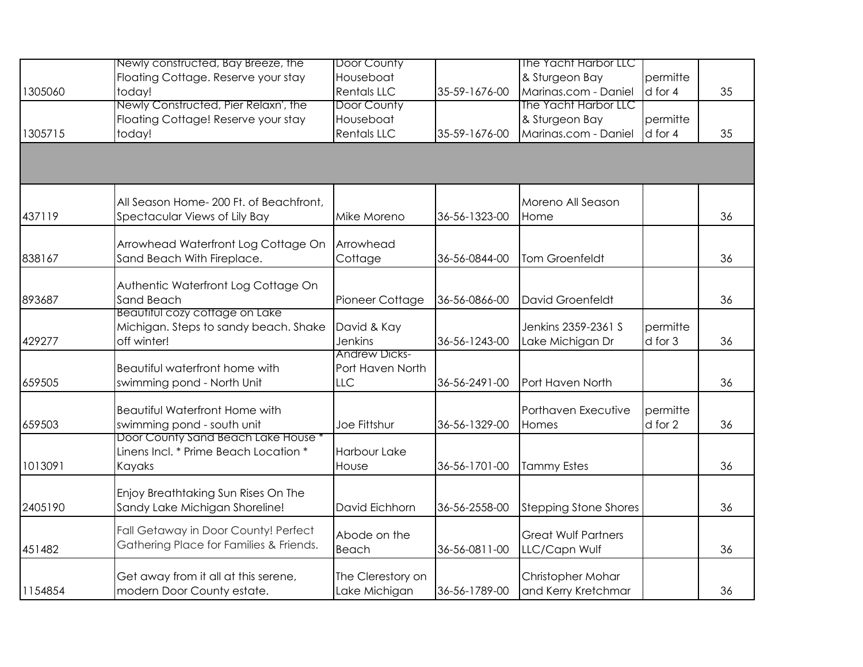|         | Newly constructed, Bay Breeze, the                                | Door County          |               | The Yacht Harbor LLC         |                     |    |
|---------|-------------------------------------------------------------------|----------------------|---------------|------------------------------|---------------------|----|
|         | Floating Cottage. Reserve your stay                               | Houseboat            |               | & Sturgeon Bay               | permitte            |    |
| 1305060 | today!                                                            | <b>Rentals LLC</b>   | 35-59-1676-00 | Marinas.com - Daniel         | d for 4             | 35 |
|         | Newly Constructed, Pier Relaxn', the                              | Door County          |               | The Yacht Harbor LLC         |                     |    |
|         | Floating Cottage! Reserve your stay                               | Houseboat            |               | & Sturgeon Bay               | permitte            |    |
| 1305715 | today!                                                            | <b>Rentals LLC</b>   | 35-59-1676-00 | Marinas.com - Daniel         | d for 4             | 35 |
|         |                                                                   |                      |               |                              |                     |    |
|         |                                                                   |                      |               |                              |                     |    |
|         | All Season Home-200 Ft. of Beachfront,                            |                      |               | Moreno All Season            |                     |    |
| 437119  | Spectacular Views of Lily Bay                                     | Mike Moreno          | 36-56-1323-00 | Home                         |                     | 36 |
|         |                                                                   |                      |               |                              |                     |    |
|         | Arrowhead Waterfront Log Cottage On                               | Arrowhead            |               |                              |                     |    |
| 838167  | Sand Beach With Fireplace.                                        | Cottage              | 36-56-0844-00 | Tom Groenfeldt               |                     | 36 |
|         |                                                                   |                      |               |                              |                     |    |
|         | Authentic Waterfront Log Cottage On                               |                      |               |                              |                     |    |
| 893687  | Sand Beach                                                        | Pioneer Cottage      | 36-56-0866-00 | David Groenfeldt             |                     | 36 |
|         | Beautitul cozy cottage on Lake                                    |                      |               |                              |                     |    |
|         | Michigan. Steps to sandy beach. Shake                             | David & Kay          |               | Jenkins 2359-2361 S          | permitte            |    |
| 429277  | off winter!                                                       | <b>Jenkins</b>       | 36-56-1243-00 | Lake Michigan Dr             | d for 3             | 36 |
|         |                                                                   | <b>Andrew Dicks-</b> |               |                              |                     |    |
|         | Beautiful waterfront home with                                    | Port Haven North     |               |                              |                     |    |
| 659505  | swimming pond - North Unit                                        | <b>LLC</b>           | 36-56-2491-00 | Port Haven North             |                     | 36 |
|         | <b>Beautiful Waterfront Home with</b>                             |                      |               | Porthaven Executive          |                     |    |
| 659503  |                                                                   | Joe Fittshur         | 36-56-1329-00 | Homes                        | permitte<br>d for 2 | 36 |
|         | swimming pond - south unit<br>Door County Sand Beach Lake House * |                      |               |                              |                     |    |
|         | Linens Incl. * Prime Beach Location *                             | Harbour Lake         |               |                              |                     |    |
| 1013091 | Kayaks                                                            | House                | 36-56-1701-00 | <b>Tammy Estes</b>           |                     | 36 |
|         |                                                                   |                      |               |                              |                     |    |
|         | Enjoy Breathtaking Sun Rises On The                               |                      |               |                              |                     |    |
| 2405190 | Sandy Lake Michigan Shoreline!                                    | David Eichhorn       | 36-56-2558-00 | <b>Stepping Stone Shores</b> |                     | 36 |
|         |                                                                   |                      |               |                              |                     |    |
|         | Fall Getaway in Door County! Perfect                              | Abode on the         |               | <b>Great Wulf Partners</b>   |                     |    |
| 451482  | Gathering Place for Families & Friends.                           | Beach                | 36-56-0811-00 | LLC/Capn Wulf                |                     | 36 |
|         |                                                                   |                      |               |                              |                     |    |
|         | Get away from it all at this serene,                              | The Clerestory on    |               | Christopher Mohar            |                     |    |
| 1154854 | modern Door County estate.                                        | Lake Michigan        | 36-56-1789-00 | and Kerry Kretchmar          |                     | 36 |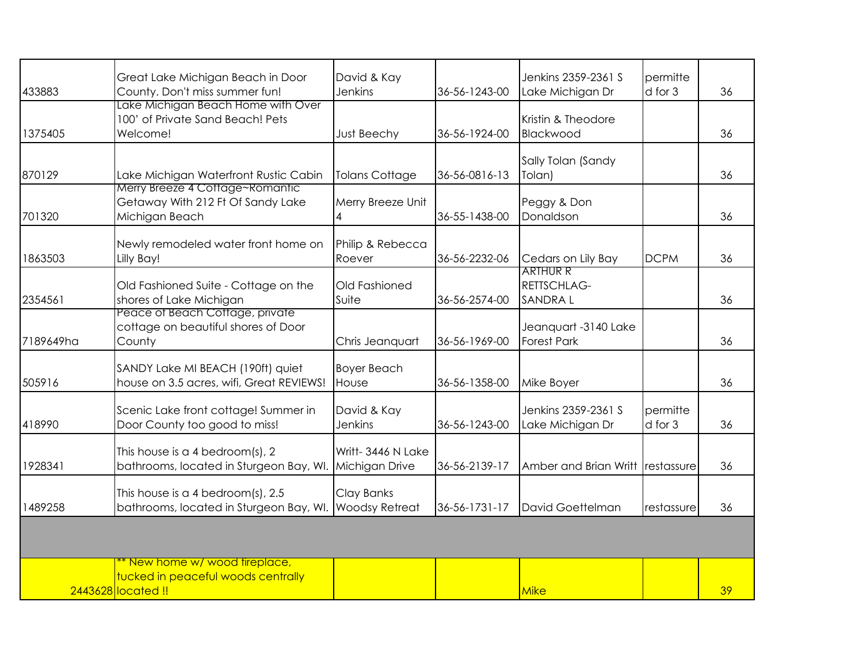|           | Great Lake Michigan Beach in Door                                                         | David & Kay            |               | Jenkins 2359-2361 S           | permitte    |    |
|-----------|-------------------------------------------------------------------------------------------|------------------------|---------------|-------------------------------|-------------|----|
| 433883    | County. Don't miss summer fun!                                                            | <b>Jenkins</b>         | 36-56-1243-00 | Lake Michigan Dr              | $d$ for $3$ | 36 |
|           | Lake Michigan Beach Home with Over<br>100' of Private Sand Beach! Pets                    |                        |               | Kristin & Theodore            |             |    |
| 1375405   | Welcome!                                                                                  | Just Beechy            | 36-56-1924-00 | Blackwood                     |             | 36 |
|           |                                                                                           |                        |               |                               |             |    |
| 870129    | Lake Michigan Waterfront Rustic Cabin                                                     | <b>Tolans Cottage</b>  | 36-56-0816-13 | Sally Tolan (Sandy<br>Tolan)  |             | 36 |
|           | Merry Breeze 4 Cottage~Romantic                                                           |                        |               |                               |             |    |
| 701320    | Getaway With 212 Ft Of Sandy Lake<br>Michigan Beach                                       | Merry Breeze Unit<br>4 | 36-55-1438-00 | Peggy & Don<br>Donaldson      |             | 36 |
|           |                                                                                           |                        |               |                               |             |    |
|           | Newly remodeled water front home on                                                       | Philip & Rebecca       |               |                               |             |    |
| 1863503   | Lilly Bay!                                                                                | Roever                 | 36-56-2232-06 | Cedars on Lily Bay            | <b>DCPM</b> | 36 |
|           |                                                                                           |                        |               | <b>ARTHUR R</b>               |             |    |
| 2354561   | Old Fashioned Suite - Cottage on the<br>shores of Lake Michigan                           | Old Fashioned<br>Suite | 36-56-2574-00 | RETTSCHLAG-<br><b>SANDRAL</b> |             | 36 |
|           | Peace of Beach Cottage, private                                                           |                        |               |                               |             |    |
|           | cottage on beautiful shores of Door                                                       |                        |               | Jeanquart -3140 Lake          |             |    |
| 7189649ha | County                                                                                    | Chris Jeanquart        | 36-56-1969-00 | <b>Forest Park</b>            |             | 36 |
|           | SANDY Lake MI BEACH (190ft) quiet                                                         | <b>Boyer Beach</b>     |               |                               |             |    |
| 505916    | house on 3.5 acres, wifi, Great REVIEWS!                                                  | House                  | 36-56-1358-00 | Mike Boyer                    |             | 36 |
|           | Scenic Lake front cottage! Summer in                                                      | David & Kay            |               | Jenkins 2359-2361 S           | permitte    |    |
| 418990    | Door County too good to miss!                                                             | <b>Jenkins</b>         | 36-56-1243-00 | Lake Michigan Dr              | d for 3     | 36 |
|           |                                                                                           |                        |               |                               |             |    |
| 1928341   | This house is a 4 bedroom(s), 2<br>bathrooms, located in Sturgeon Bay, WI. Michigan Drive | Writt-3446 N Lake      | 36-56-2139-17 | Amber and Brian Writt         | restassure  | 36 |
|           |                                                                                           |                        |               |                               |             |    |
|           | This house is a 4 bedroom(s), 2.5                                                         | Clay Banks             |               |                               |             |    |
| 1489258   | bathrooms, located in Sturgeon Bay, WI. Woodsy Retreat                                    |                        | 36-56-1731-17 | David Goettelman              | restassure  | 36 |
|           |                                                                                           |                        |               |                               |             |    |
|           |                                                                                           |                        |               |                               |             |    |
|           | * New home w/ wood fireplace,                                                             |                        |               |                               |             |    |
|           | tucked in peaceful woods centrally<br>2443628 located !!                                  |                        |               | Mike                          |             | 39 |
|           |                                                                                           |                        |               |                               |             |    |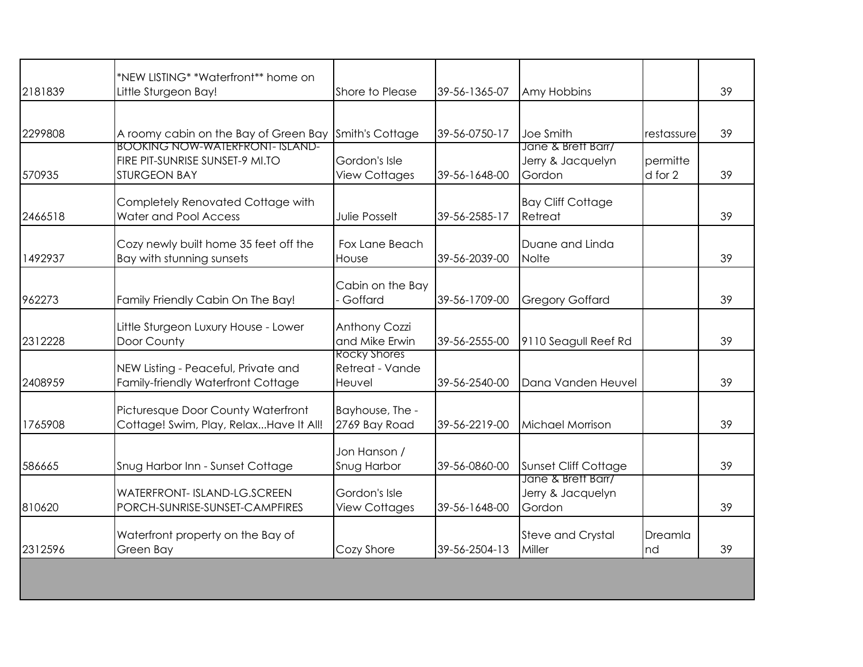| Little Sturgeon Bay!<br>A roomy cabin on the Bay of Green Bay Smith's Cottage                    | Shore to Please                       | 39-56-1365-07       | Amy Hobbins                                       |                     | 39 |
|--------------------------------------------------------------------------------------------------|---------------------------------------|---------------------|---------------------------------------------------|---------------------|----|
|                                                                                                  |                                       |                     |                                                   |                     |    |
|                                                                                                  |                                       | 39-56-0750-17       | Joe Smith                                         | restassure          | 39 |
| <b>BOOKING NOW-WATERFRONT- ISLAND-</b><br>FIRE PIT-SUNRISE SUNSET-9 MI.TO<br><b>STURGEON BAY</b> | Gordon's Isle<br><b>View Cottages</b> | 39-56-1648-00       | Jane & Brett Barr/<br>Jerry & Jacquelyn<br>Gordon | permitte<br>d for 2 | 39 |
| Completely Renovated Cottage with<br><b>Water and Pool Access</b>                                | <b>Julie Posselt</b>                  | 39-56-2585-17       | <b>Bay Cliff Cottage</b><br>Retreat               |                     | 39 |
| Cozy newly built home 35 feet off the<br>Bay with stunning sunsets                               | Fox Lane Beach<br>House               | 39-56-2039-00       | Duane and Linda<br><b>Nolte</b>                   |                     | 39 |
| Family Friendly Cabin On The Bay!                                                                | Cabin on the Bay<br>Goffard           | 39-56-1709-00       | <b>Gregory Goffard</b>                            |                     | 39 |
| Little Sturgeon Luxury House - Lower<br>Door County                                              | Anthony Cozzi<br>and Mike Erwin       | 39-56-2555-00       | 9110 Seagull Reef Rd                              |                     | 39 |
| NEW Listing - Peaceful, Private and<br>Family-friendly Waterfront Cottage                        | Retreat - Vande<br>Heuvel             | 39-56-2540-00       | Dana Vanden Heuvel                                |                     | 39 |
| Picturesque Door County Waterfront<br>Cottage! Swim, Play, RelaxHave It All!                     | Bayhouse, The -<br>2769 Bay Road      | 39-56-2219-00       | Michael Morrison                                  |                     | 39 |
| Snug Harbor Inn - Sunset Cottage                                                                 | Jon Hanson /<br>Snug Harbor           | 39-56-0860-00       | Sunset Cliff Cottage                              |                     | 39 |
| <b>WATERFRONT- ISLAND-LG.SCREEN</b><br>PORCH-SUNRISE-SUNSET-CAMPFIRES                            | Gordon's Isle<br><b>View Cottages</b> | 39-56-1648-00       | Jerry & Jacquelyn<br>Gordon                       |                     | 39 |
| Waterfront property on the Bay of<br>Green Bay                                                   | Cozy Shore                            | 39-56-2504-13       | <b>Steve and Crystal</b><br>Miller                | Dreamla<br>nd       | 39 |
|                                                                                                  |                                       | <b>Rocky Shores</b> |                                                   | Jane & Brett Barr/  |    |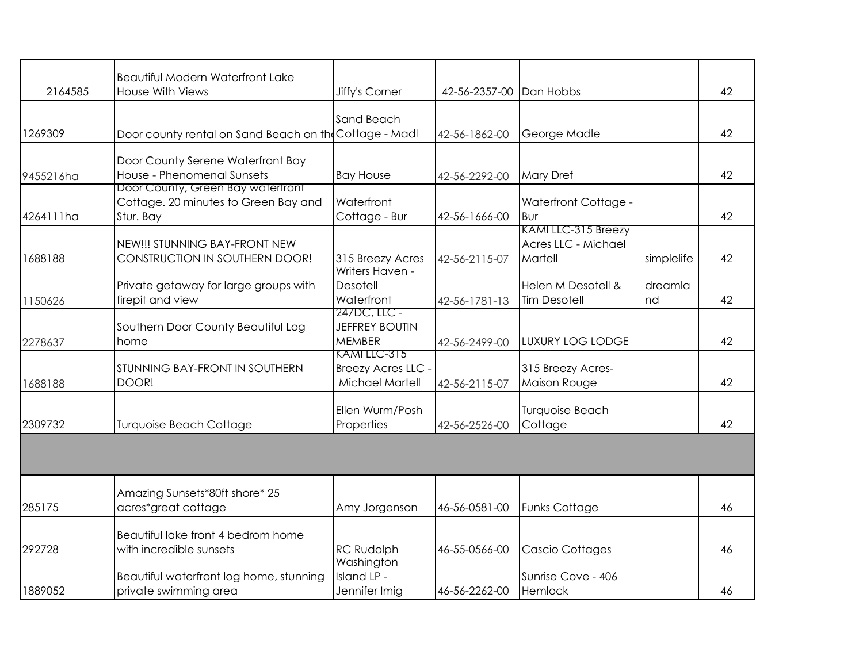| 2164585   | <b>Beautiful Modern Waterfront Lake</b><br><b>House With Views</b> | Jiffy's Corner             | 42-56-2357-00 | Dan Hobbs               |            | 42 |
|-----------|--------------------------------------------------------------------|----------------------------|---------------|-------------------------|------------|----|
|           |                                                                    |                            |               |                         |            |    |
|           |                                                                    | Sand Beach                 |               |                         |            |    |
| 1269309   | Door county rental on Sand Beach on the Cottage - Madl             |                            | 42-56-1862-00 | George Madle            |            | 42 |
|           | Door County Serene Waterfront Bay                                  |                            |               |                         |            |    |
| 9455216ha | House - Phenomenal Sunsets                                         | <b>Bay House</b>           | 42-56-2292-00 | <b>Mary Dref</b>        |            | 42 |
|           | Door County, Green Bay watertront                                  |                            |               |                         |            |    |
|           | Cottage. 20 minutes to Green Bay and                               | Waterfront                 |               | Waterfront Cottage -    |            |    |
| 4264111ha | Stur. Bay                                                          | Cottage - Bur              | 42-56-1666-00 | l Bur                   |            | 42 |
|           |                                                                    |                            |               | KAMI LLC-315 Breezy     |            |    |
|           | NEW!!! STUNNING BAY-FRONT NEW                                      |                            |               | Acres LLC - Michael     |            |    |
| 1688188   | CONSTRUCTION IN SOUTHERN DOOR!                                     | 315 Breezy Acres           | 42-56-2115-07 | Martell                 | simplelife | 42 |
|           |                                                                    | Writers Haven -            |               |                         |            |    |
|           | Private getaway for large groups with                              | Desotell                   |               | Helen M Desotell &      | dreamla    |    |
| 1150626   | firepit and view                                                   | Waterfront<br>247DC, LLC - | 42-56-1781-13 | <b>Tim Desotell</b>     | nd         | 42 |
|           | Southern Door County Beautiful Log                                 | <b>JEFFREY BOUTIN</b>      |               |                         |            |    |
| 2278637   | home                                                               | <b>MEMBER</b>              | 42-56-2499-00 | <b>LUXURY LOG LODGE</b> |            | 42 |
|           |                                                                    | KAMI LLC-315               |               |                         |            |    |
|           | STUNNING BAY-FRONT IN SOUTHERN                                     | Breezy Acres LLC -         |               | 315 Breezy Acres-       |            |    |
| 1688188   | DOOR!                                                              | Michael Martell            | 42-56-2115-07 | Maison Rouge            |            | 42 |
|           |                                                                    |                            |               |                         |            |    |
|           |                                                                    | Ellen Wurm/Posh            |               | <b>Turquoise Beach</b>  |            |    |
| 2309732   | <b>Turquoise Beach Cottage</b>                                     | Properties                 | 42-56-2526-00 | Cottage                 |            | 42 |
|           |                                                                    |                            |               |                         |            |    |
|           |                                                                    |                            |               |                         |            |    |
|           |                                                                    |                            |               |                         |            |    |
|           | Amazing Sunsets*80ft shore* 25                                     |                            |               |                         |            |    |
| 285175    | acres*great cottage                                                | Amy Jorgenson              | 46-56-0581-00 | <b>Funks Cottage</b>    |            | 46 |
|           | Beautiful lake front 4 bedrom home                                 |                            |               |                         |            |    |
| 292728    | with incredible sunsets                                            | RC Rudolph                 | 46-55-0566-00 | Cascio Cottages         |            | 46 |
|           |                                                                    | Washington                 |               |                         |            |    |
|           | Beautiful waterfront log home, stunning                            | Island LP -                |               | Sunrise Cove - 406      |            |    |
| 1889052   | private swimming area                                              | Jennifer Imig              | 46-56-2262-00 | Hemlock                 |            | 46 |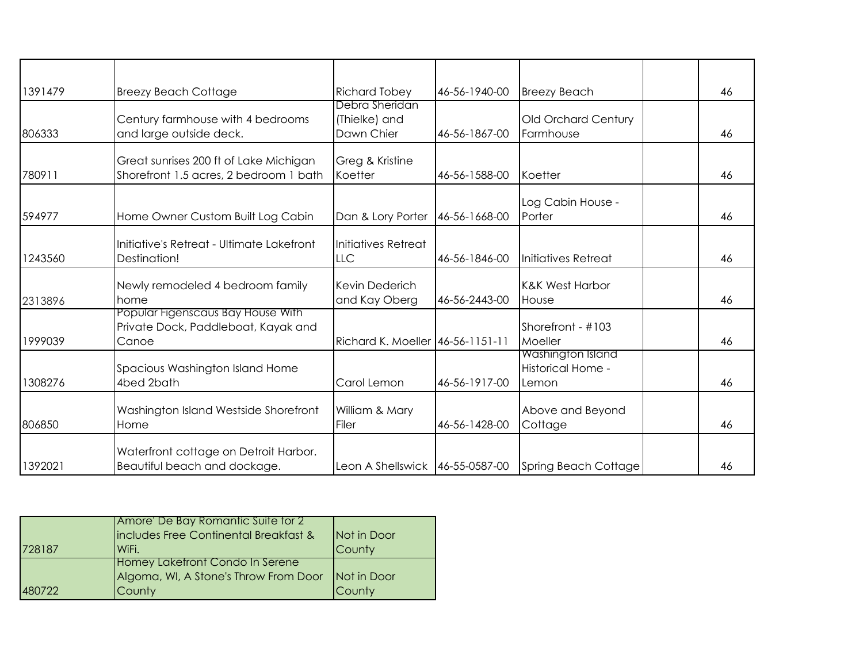| 1391479 | <b>Breezy Beach Cottage</b>                                                       | <b>Richard Tobey</b>                          | 46-56-1940-00 | <b>Breezy Beach</b>                             | 46 |
|---------|-----------------------------------------------------------------------------------|-----------------------------------------------|---------------|-------------------------------------------------|----|
| 806333  | Century farmhouse with 4 bedrooms<br>and large outside deck.                      | Debra Sheridan<br>(Thielke) and<br>Dawn Chier | 46-56-1867-00 | Old Orchard Century<br>Farmhouse                | 46 |
| 780911  | Great sunrises 200 ft of Lake Michigan<br>Shorefront 1.5 acres, 2 bedroom 1 bath  | Greg & Kristine<br>Koetter                    | 46-56-1588-00 | Koetter                                         | 46 |
| 594977  | Home Owner Custom Built Log Cabin                                                 | Dan & Lory Porter                             | 46-56-1668-00 | Log Cabin House -<br>Porter                     | 46 |
| 1243560 | Initiative's Retreat - Ultimate Lakefront<br>Destination!                         | Initiatives Retreat<br><b>LLC</b>             | 46-56-1846-00 | Initiatives Retreat                             | 46 |
| 2313896 | Newly remodeled 4 bedroom family<br>home                                          | Kevin Dederich<br>and Kay Oberg               | 46-56-2443-00 | <b>K&amp;K West Harbor</b><br>House             | 46 |
| 1999039 | Popular Figenscaus Bay House With<br>Private Dock, Paddleboat, Kayak and<br>Canoe | Richard K. Moeller 46-56-1151-11              |               | Shorefront - #103<br>Moeller                    | 46 |
| 1308276 | Spacious Washington Island Home<br>4bed 2bath                                     | Carol Lemon                                   | 46-56-1917-00 | Washington Island<br>Historical Home -<br>Lemon | 46 |
| 806850  | Washington Island Westside Shorefront<br>Home                                     | William & Mary<br>Filer                       | 46-56-1428-00 | Above and Beyond<br>Cottage                     | 46 |
| 1392021 | Waterfront cottage on Detroit Harbor.<br>Beautiful beach and dockage.             | Leon A Shellswick 46-55-0587-00               |               | Spring Beach Cottage                            | 46 |

|        | Amore' De Bay Romantic Suite for 2     |             |
|--------|----------------------------------------|-------------|
|        | includes Free Continental Breakfast &  | Not in Door |
| 728187 | WiFi.                                  | County      |
|        | <b>Homey Laketront Condo In Serene</b> |             |
|        | Algoma, WI, A Stone's Throw From Door  | Not in Door |
| 480722 | County                                 | County      |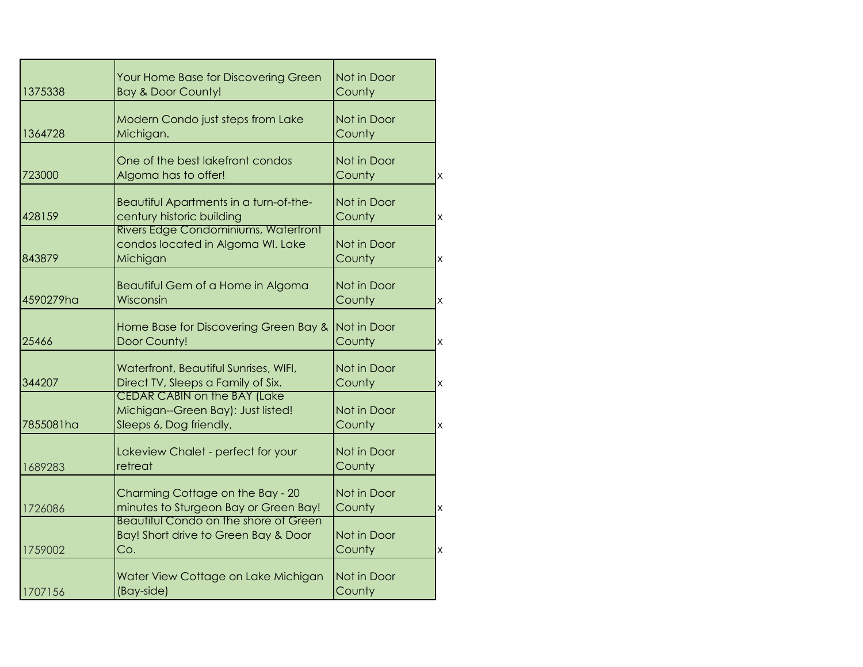| 1375338   | Your Home Base for Discovering Green<br>Bay & Door County!                | Not in Door<br>County |                         |
|-----------|---------------------------------------------------------------------------|-----------------------|-------------------------|
|           |                                                                           |                       |                         |
|           | Modern Condo just steps from Lake                                         | Not in Door           |                         |
| 1364728   | Michigan.                                                                 | County                |                         |
|           | One of the best lakefront condos                                          | Not in Door           |                         |
| 723000    | Algoma has to offer!                                                      | County                | $\mathsf{x}$            |
|           |                                                                           |                       |                         |
| 428159    | Beautiful Apartments in a turn-of-the-<br>century historic building       | Not in Door<br>County | $\mathsf{X}% _{0}$      |
|           | <b>Rivers Edge Condominiums, Watertront</b>                               |                       |                         |
|           | condos located in Algoma WI. Lake                                         | Not in Door           |                         |
| 843879    | Michigan                                                                  | County                | $\overline{\mathsf{x}}$ |
|           | Beautiful Gem of a Home in Algoma                                         | Not in Door           |                         |
| 4590279ha | Wisconsin                                                                 | County                | $\overline{\mathsf{x}}$ |
|           |                                                                           |                       |                         |
|           | Home Base for Discovering Green Bay &                                     | Not in Door           |                         |
| 25466     | Door County!                                                              | County                | $\overline{\mathsf{x}}$ |
|           | Waterfront, Beautiful Sunrises, WIFI,                                     | Not in Door           |                         |
| 344207    | Direct TV, Sleeps a Family of Six.                                        | County                | $\mathsf{x}$            |
|           | <b>CEDAR CABIN on the BAY (Lake</b>                                       |                       |                         |
|           | Michigan--Green Bay): Just listed!                                        | Not in Door           |                         |
| 7855081ha | Sleeps 6, Dog friendly,                                                   | County                | $\mathsf{x}$            |
|           | Lakeview Chalet - perfect for your                                        | Not in Door           |                         |
| 1689283   | retreat                                                                   | County                |                         |
|           |                                                                           |                       |                         |
| 1726086   | Charming Cottage on the Bay - 20<br>minutes to Sturgeon Bay or Green Bay! | Not in Door<br>County | $\times$                |
|           | <b>Beautitul Condo on the shore of Green</b>                              |                       |                         |
|           | Bay! Short drive to Green Bay & Door                                      | Not in Door           |                         |
| 1759002   | Co.                                                                       | County                | $\times$                |
|           | Water View Cottage on Lake Michigan                                       | Not in Door           |                         |
|           |                                                                           |                       |                         |
| 1707156   | (Bay-side)                                                                | County                |                         |